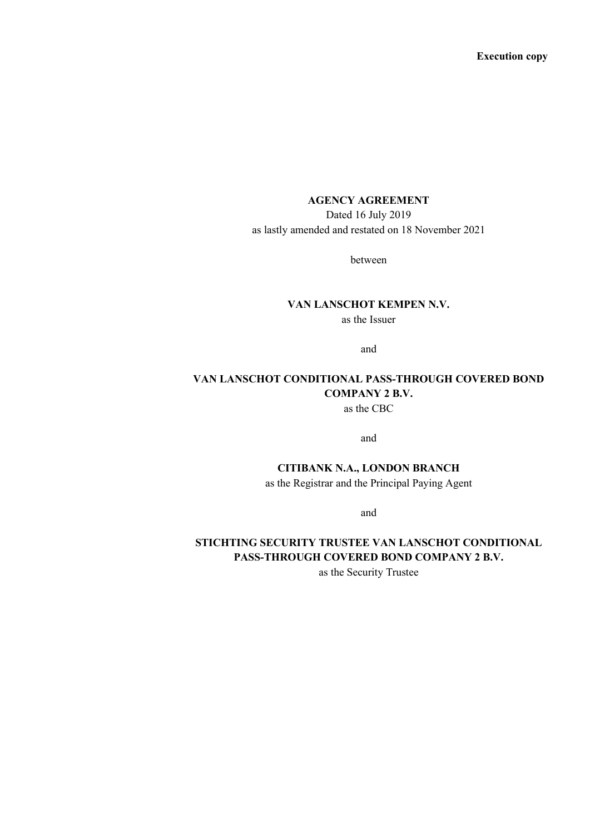# **AGENCY AGREEMENT**

Dated 16 July 2019 as lastly amended and restated on 18 November 2021

between

# **VAN LANSCHOT KEMPEN N.V.** as the Issuer

and

# **VAN LANSCHOT CONDITIONAL PASS-THROUGH COVERED BOND COMPANY 2 B.V.**

as the CBC

and

**CITIBANK N.A., LONDON BRANCH**

as the Registrar and the Principal Paying Agent

and

# **STICHTING SECURITY TRUSTEE VAN LANSCHOT CONDITIONAL PASS-THROUGH COVERED BOND COMPANY 2 B.V.**

as the Security Trustee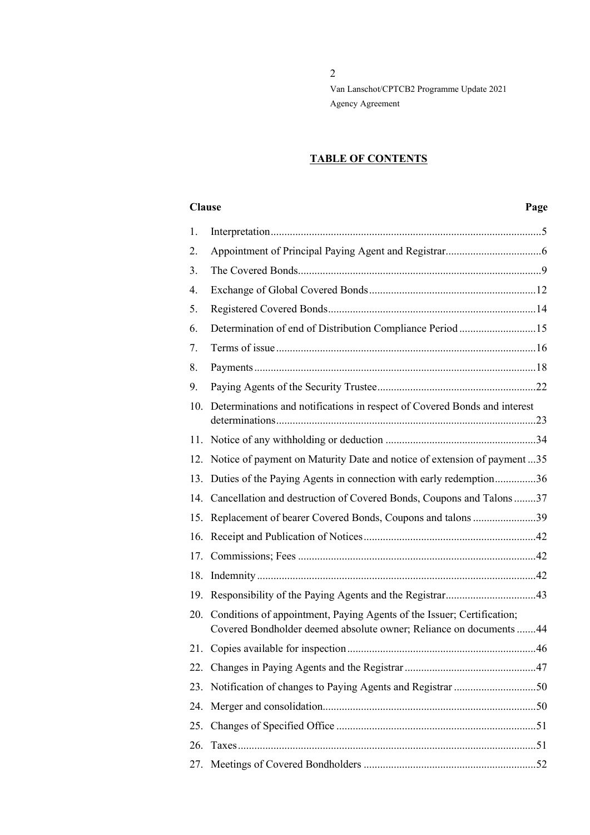# **TABLE OF CONTENTS**

#### **Clause Page**

| 1.  |                                                                                                                                              |
|-----|----------------------------------------------------------------------------------------------------------------------------------------------|
| 2.  |                                                                                                                                              |
| 3.  |                                                                                                                                              |
| 4.  |                                                                                                                                              |
| 5.  |                                                                                                                                              |
| 6.  | Determination of end of Distribution Compliance Period 15                                                                                    |
| 7.  |                                                                                                                                              |
| 8.  |                                                                                                                                              |
| 9.  |                                                                                                                                              |
| 10. | Determinations and notifications in respect of Covered Bonds and interest                                                                    |
| 11. |                                                                                                                                              |
| 12. | Notice of payment on Maturity Date and notice of extension of payment 35                                                                     |
| 13. | Duties of the Paying Agents in connection with early redemption36                                                                            |
|     | 14. Cancellation and destruction of Covered Bonds, Coupons and Talons 37                                                                     |
| 15. | Replacement of bearer Covered Bonds, Coupons and talons 39                                                                                   |
| 16. |                                                                                                                                              |
| 17. |                                                                                                                                              |
| 18. |                                                                                                                                              |
| 19. |                                                                                                                                              |
| 20. | Conditions of appointment, Paying Agents of the Issuer; Certification;<br>Covered Bondholder deemed absolute owner; Reliance on documents 44 |
| 21. |                                                                                                                                              |
|     |                                                                                                                                              |
|     | 23. Notification of changes to Paying Agents and Registrar 50                                                                                |
|     |                                                                                                                                              |
| 25. |                                                                                                                                              |
| 26. |                                                                                                                                              |
| 27. |                                                                                                                                              |
|     |                                                                                                                                              |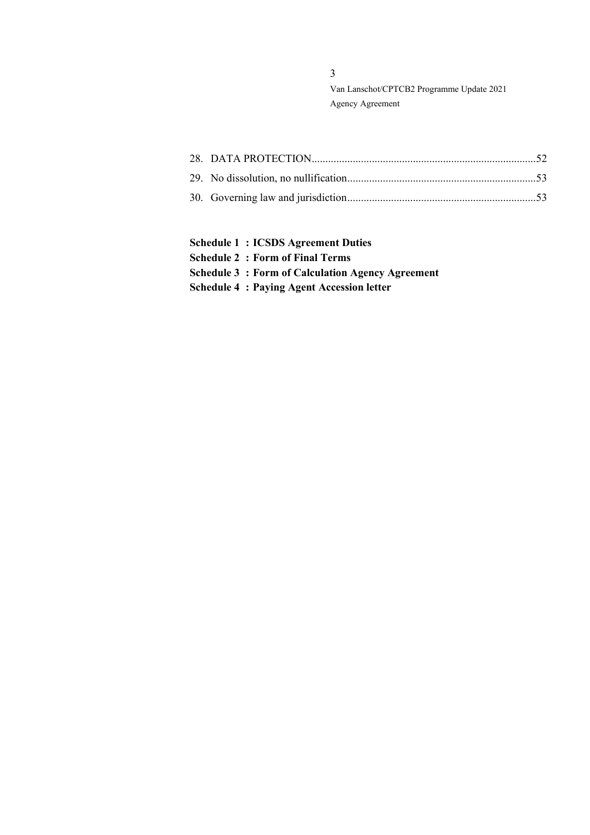- **Schedule 1 : ICSDS Agreement Duties**
- **Schedule 2 : Form of Final Terms**
- **Schedule 3 : Form of Calculation Agency Agreement**
- **Schedule 4 : Paying Agent Accession letter**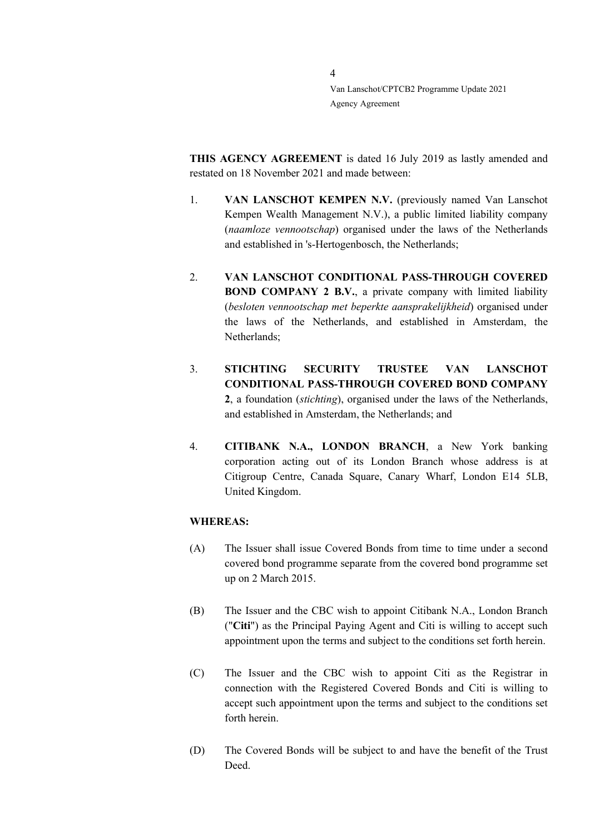**THIS AGENCY AGREEMENT** is dated 16 July 2019 as lastly amended and restated on 18 November 2021 and made between:

- 1. **VAN LANSCHOT KEMPEN N.V.** (previously named Van Lanschot Kempen Wealth Management N.V.), a public limited liability company (*naamloze vennootschap*) organised under the laws of the Netherlands and established in 's-Hertogenbosch, the Netherlands;
- 2. **VAN LANSCHOT CONDITIONAL PASS-THROUGH COVERED BOND COMPANY 2 B.V.**, a private company with limited liability (*besloten vennootschap met beperkte aansprakelijkheid*) organised under the laws of the Netherlands, and established in Amsterdam, the Netherlands;
- 3. **STICHTING SECURITY TRUSTEE VAN LANSCHOT CONDITIONAL PASS-THROUGH COVERED BOND COMPANY 2**, a foundation (*stichting*), organised under the laws of the Netherlands, and established in Amsterdam, the Netherlands; and
- 4. **CITIBANK N.A., LONDON BRANCH**, a New York banking corporation acting out of its London Branch whose address is at Citigroup Centre, Canada Square, Canary Wharf, London E14 5LB, United Kingdom.

# **WHEREAS:**

- (A) The Issuer shall issue Covered Bonds from time to time under a second covered bond programme separate from the covered bond programme set up on 2 March 2015.
- (B) The Issuer and the CBC wish to appoint Citibank N.A., London Branch ("**Citi**") as the Principal Paying Agent and Citi is willing to accept such appointment upon the terms and subject to the conditions set forth herein.
- (C) The Issuer and the CBC wish to appoint Citi as the Registrar in connection with the Registered Covered Bonds and Citi is willing to accept such appointment upon the terms and subject to the conditions set forth herein.
- (D) The Covered Bonds will be subject to and have the benefit of the Trust Deed.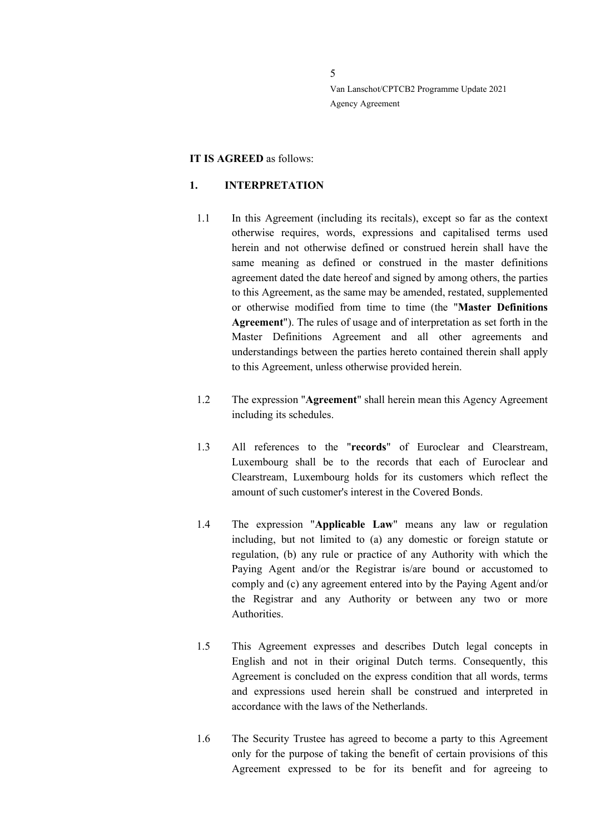#### **IT IS AGREED** as follows:

#### <span id="page-4-0"></span>**1. INTERPRETATION**

- 1.1 In this Agreement (including its recitals), except so far as the context otherwise requires, words, expressions and capitalised terms used herein and not otherwise defined or construed herein shall have the same meaning as defined or construed in the master definitions agreement dated the date hereof and signed by among others, the parties to this Agreement, as the same may be amended, restated, supplemented or otherwise modified from time to time (the "**Master Definitions Agreement**"). The rules of usage and of interpretation as set forth in the Master Definitions Agreement and all other agreements and understandings between the parties hereto contained therein shall apply to this Agreement, unless otherwise provided herein.
- 1.2 The expression "**Agreement**" shall herein mean this Agency Agreement including its schedules.
- 1.3 All references to the "**records**" of Euroclear and Clearstream, Luxembourg shall be to the records that each of Euroclear and Clearstream, Luxembourg holds for its customers which reflect the amount of such customer's interest in the Covered Bonds.
- 1.4 The expression "**Applicable Law**" means any law or regulation including, but not limited to (a) any domestic or foreign statute or regulation, (b) any rule or practice of any Authority with which the Paying Agent and/or the Registrar is/are bound or accustomed to comply and (c) any agreement entered into by the Paying Agent and/or the Registrar and any Authority or between any two or more Authorities.
- 1.5 This Agreement expresses and describes Dutch legal concepts in English and not in their original Dutch terms. Consequently, this Agreement is concluded on the express condition that all words, terms and expressions used herein shall be construed and interpreted in accordance with the laws of the Netherlands.
- 1.6 The Security Trustee has agreed to become a party to this Agreement only for the purpose of taking the benefit of certain provisions of this Agreement expressed to be for its benefit and for agreeing to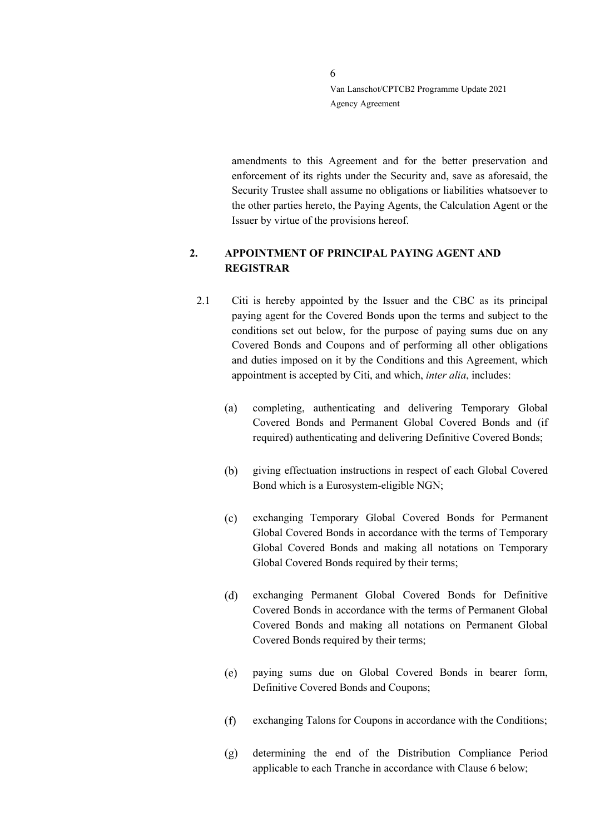amendments to this Agreement and for the better preservation and enforcement of its rights under the Security and, save as aforesaid, the Security Trustee shall assume no obligations or liabilities whatsoever to the other parties hereto, the Paying Agents, the Calculation Agent or the Issuer by virtue of the provisions hereof.

# <span id="page-5-0"></span>**2. APPOINTMENT OF PRINCIPAL PAYING AGENT AND REGISTRAR**

- 2.1 Citi is hereby appointed by the Issuer and the CBC as its principal paying agent for the Covered Bonds upon the terms and subject to the conditions set out below, for the purpose of paying sums due on any Covered Bonds and Coupons and of performing all other obligations and duties imposed on it by the Conditions and this Agreement, which appointment is accepted by Citi, and which, *inter alia*, includes:
	- completing, authenticating and delivering Temporary Global  $(a)$ Covered Bonds and Permanent Global Covered Bonds and (if required) authenticating and delivering Definitive Covered Bonds;
	- (b) giving effectuation instructions in respect of each Global Covered Bond which is a Eurosystem-eligible NGN;
	- $(c)$ exchanging Temporary Global Covered Bonds for Permanent Global Covered Bonds in accordance with the terms of Temporary Global Covered Bonds and making all notations on Temporary Global Covered Bonds required by their terms;
	- exchanging Permanent Global Covered Bonds for Definitive  $(d)$ Covered Bonds in accordance with the terms of Permanent Global Covered Bonds and making all notations on Permanent Global Covered Bonds required by their terms;
	- paying sums due on Global Covered Bonds in bearer form,  $(e)$ Definitive Covered Bonds and Coupons;
	- exchanging Talons for Coupons in accordance with the Conditions;  $(f)$
	- $(g)$ determining the end of the Distribution Compliance Period applicable to each Tranche in accordance with Clause 6 below;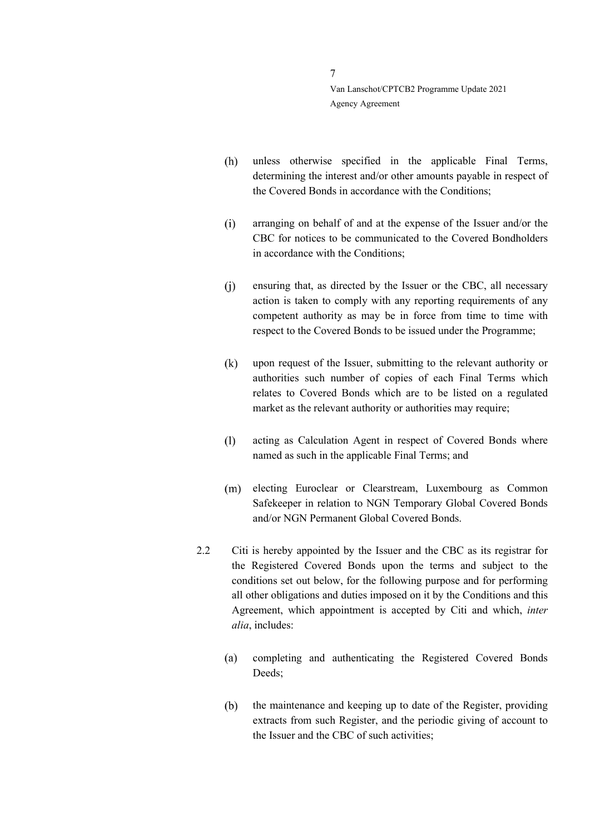- $(h)$ unless otherwise specified in the applicable Final Terms, determining the interest and/or other amounts payable in respect of the Covered Bonds in accordance with the Conditions;
- arranging on behalf of and at the expense of the Issuer and/or the  $(i)$ CBC for notices to be communicated to the Covered Bondholders in accordance with the Conditions;
- ensuring that, as directed by the Issuer or the CBC, all necessary  $(i)$ action is taken to comply with any reporting requirements of any competent authority as may be in force from time to time with respect to the Covered Bonds to be issued under the Programme;
- upon request of the Issuer, submitting to the relevant authority or  $(k)$ authorities such number of copies of each Final Terms which relates to Covered Bonds which are to be listed on a regulated market as the relevant authority or authorities may require;
- acting as Calculation Agent in respect of Covered Bonds where  $(1)$ named as such in the applicable Final Terms; and
- $(m)$ electing Euroclear or Clearstream, Luxembourg as Common Safekeeper in relation to NGN Temporary Global Covered Bonds and/or NGN Permanent Global Covered Bonds.
- 2.2 Citi is hereby appointed by the Issuer and the CBC as its registrar for the Registered Covered Bonds upon the terms and subject to the conditions set out below, for the following purpose and for performing all other obligations and duties imposed on it by the Conditions and this Agreement, which appointment is accepted by Citi and which, *inter alia*, includes:
	- completing and authenticating the Registered Covered Bonds  $(a)$ Deeds;
	- the maintenance and keeping up to date of the Register, providing  $(b)$ extracts from such Register, and the periodic giving of account to the Issuer and the CBC of such activities;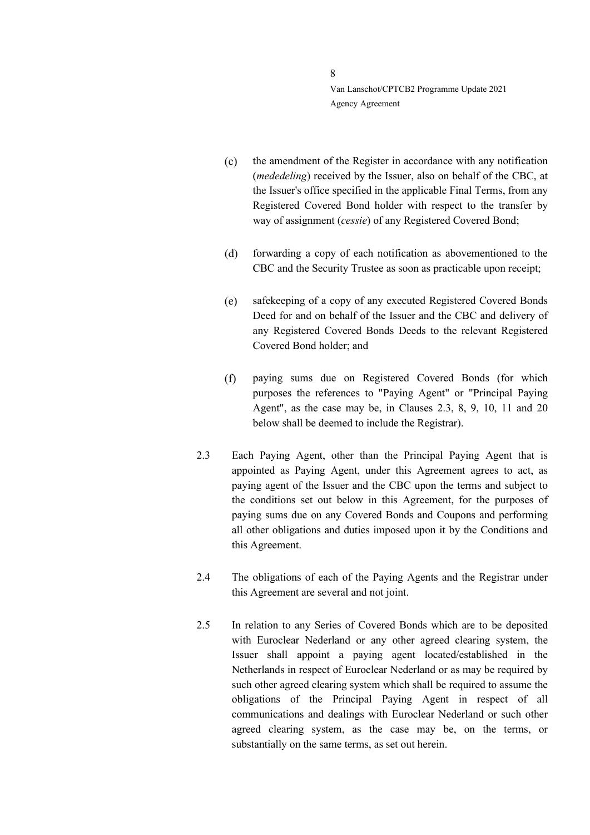- $(c)$ the amendment of the Register in accordance with any notification (*mededeling*) received by the Issuer, also on behalf of the CBC, at the Issuer's office specified in the applicable Final Terms, from any Registered Covered Bond holder with respect to the transfer by way of assignment (*cessie*) of any Registered Covered Bond;
- $(d)$ forwarding a copy of each notification as abovementioned to the CBC and the Security Trustee as soon as practicable upon receipt;
- $(e)$ safekeeping of a copy of any executed Registered Covered Bonds Deed for and on behalf of the Issuer and the CBC and delivery of any Registered Covered Bonds Deeds to the relevant Registered Covered Bond holder; and
- paying sums due on Registered Covered Bonds (for which  $(f)$ purposes the references to "Paying Agent" or "Principal Paying Agent", as the case may be, in Clauses [2.3,](#page-7-0) [8,](#page-17-0) [9,](#page-21-0) 10, 11 and [20](#page-43-0) below shall be deemed to include the Registrar).
- <span id="page-7-0"></span>2.3 Each Paying Agent, other than the Principal Paying Agent that is appointed as Paying Agent, under this Agreement agrees to act, as paying agent of the Issuer and the CBC upon the terms and subject to the conditions set out below in this Agreement, for the purposes of paying sums due on any Covered Bonds and Coupons and performing all other obligations and duties imposed upon it by the Conditions and this Agreement.
- 2.4 The obligations of each of the Paying Agents and the Registrar under this Agreement are several and not joint.
- <span id="page-7-1"></span>2.5 In relation to any Series of Covered Bonds which are to be deposited with Euroclear Nederland or any other agreed clearing system, the Issuer shall appoint a paying agent located/established in the Netherlands in respect of Euroclear Nederland or as may be required by such other agreed clearing system which shall be required to assume the obligations of the Principal Paying Agent in respect of all communications and dealings with Euroclear Nederland or such other agreed clearing system, as the case may be, on the terms, or substantially on the same terms, as set out herein.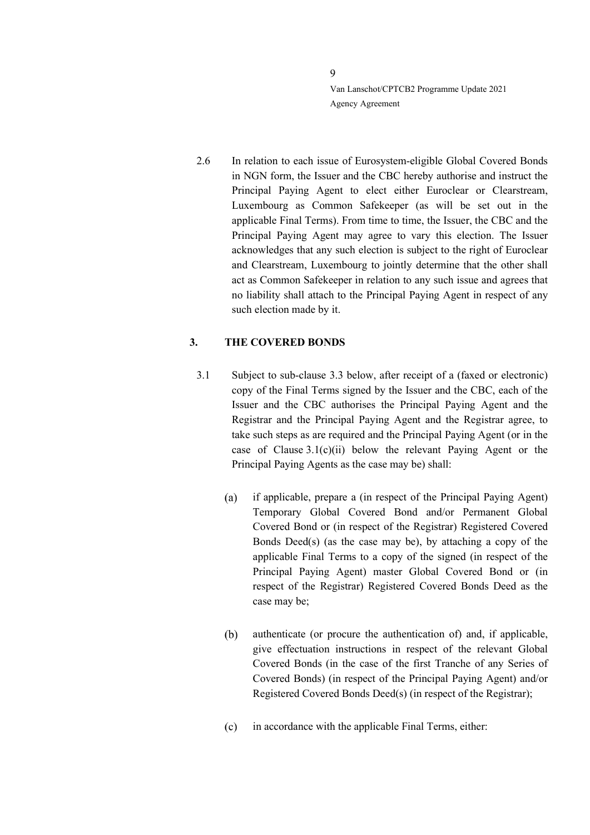2.6 In relation to each issue of Eurosystem-eligible Global Covered Bonds in NGN form, the Issuer and the CBC hereby authorise and instruct the Principal Paying Agent to elect either Euroclear or Clearstream, Luxembourg as Common Safekeeper (as will be set out in the applicable Final Terms). From time to time, the Issuer, the CBC and the Principal Paying Agent may agree to vary this election. The Issuer acknowledges that any such election is subject to the right of Euroclear and Clearstream, Luxembourg to jointly determine that the other shall act as Common Safekeeper in relation to any such issue and agrees that no liability shall attach to the Principal Paying Agent in respect of any such election made by it.

# <span id="page-8-0"></span>**3. THE COVERED BONDS**

- <span id="page-8-2"></span><span id="page-8-1"></span>3.1 Subject to sub-clause [3.3](#page-10-0) below, after receipt of a (faxed or electronic) copy of the Final Terms signed by the Issuer and the CBC, each of the Issuer and the CBC authorises the Principal Paying Agent and the Registrar and the Principal Paying Agent and the Registrar agree, to take such steps as are required and the Principal Paying Agent (or in the case of Clause  $3.1(c)(ii)$  $3.1(c)(ii)$  $3.1(c)(ii)$  below the relevant Paying Agent or the Principal Paying Agents as the case may be) shall:
	- $(a)$ if applicable, prepare a (in respect of the Principal Paying Agent) Temporary Global Covered Bond and/or Permanent Global Covered Bond or (in respect of the Registrar) Registered Covered Bonds Deed(s) (as the case may be), by attaching a copy of the applicable Final Terms to a copy of the signed (in respect of the Principal Paying Agent) master Global Covered Bond or (in respect of the Registrar) Registered Covered Bonds Deed as the case may be;
	- authenticate (or procure the authentication of) and, if applicable,  $(b)$ give effectuation instructions in respect of the relevant Global Covered Bonds (in the case of the first Tranche of any Series of Covered Bonds) (in respect of the Principal Paying Agent) and/or Registered Covered Bonds Deed(s) (in respect of the Registrar);
	- $(c)$ in accordance with the applicable Final Terms, either: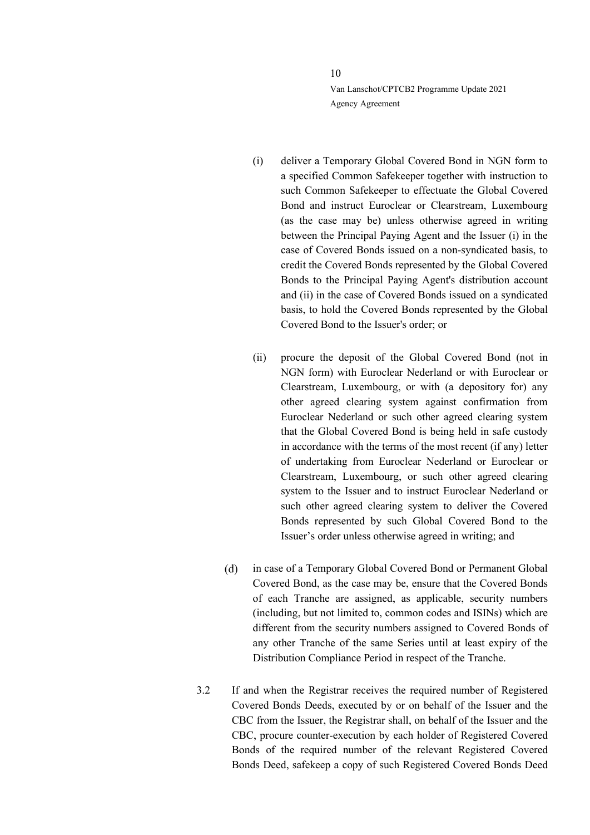- (i) deliver a Temporary Global Covered Bond in NGN form to a specified Common Safekeeper together with instruction to such Common Safekeeper to effectuate the Global Covered Bond and instruct Euroclear or Clearstream, Luxembourg (as the case may be) unless otherwise agreed in writing between the Principal Paying Agent and the Issuer (i) in the case of Covered Bonds issued on a non-syndicated basis, to credit the Covered Bonds represented by the Global Covered Bonds to the Principal Paying Agent's distribution account and (ii) in the case of Covered Bonds issued on a syndicated basis, to hold the Covered Bonds represented by the Global Covered Bond to the Issuer's order; or
- <span id="page-9-0"></span>(ii) procure the deposit of the Global Covered Bond (not in NGN form) with Euroclear Nederland or with Euroclear or Clearstream, Luxembourg, or with (a depository for) any other agreed clearing system against confirmation from Euroclear Nederland or such other agreed clearing system that the Global Covered Bond is being held in safe custody in accordance with the terms of the most recent (if any) letter of undertaking from Euroclear Nederland or Euroclear or Clearstream, Luxembourg, or such other agreed clearing system to the Issuer and to instruct Euroclear Nederland or such other agreed clearing system to deliver the Covered Bonds represented by such Global Covered Bond to the Issuer's order unless otherwise agreed in writing; and
- $(d)$ in case of a Temporary Global Covered Bond or Permanent Global Covered Bond, as the case may be, ensure that the Covered Bonds of each Tranche are assigned, as applicable, security numbers (including, but not limited to, common codes and ISINs) which are different from the security numbers assigned to Covered Bonds of any other Tranche of the same Series until at least expiry of the Distribution Compliance Period in respect of the Tranche.
- 3.2 If and when the Registrar receives the required number of Registered Covered Bonds Deeds, executed by or on behalf of the Issuer and the CBC from the Issuer, the Registrar shall, on behalf of the Issuer and the CBC, procure counter-execution by each holder of Registered Covered Bonds of the required number of the relevant Registered Covered Bonds Deed, safekeep a copy of such Registered Covered Bonds Deed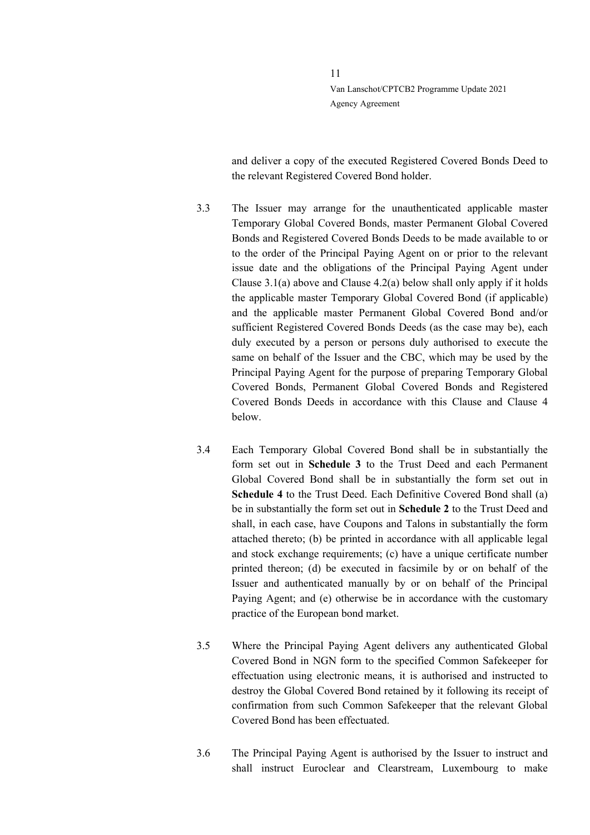and deliver a copy of the executed Registered Covered Bonds Deed to the relevant Registered Covered Bond holder.

- <span id="page-10-0"></span>3.3 The Issuer may arrange for the unauthenticated applicable master Temporary Global Covered Bonds, master Permanent Global Covered Bonds and Registered Covered Bonds Deeds to be made available to or to the order of the Principal Paying Agent on or prior to the relevant issue date and the obligations of the Principal Paying Agent under Clause 3.1(a) above and Clause 4.2(a) below shall only apply if it holds the applicable master Temporary Global Covered Bond (if applicable) and the applicable master Permanent Global Covered Bond and/or sufficient Registered Covered Bonds Deeds (as the case may be), each duly executed by a person or persons duly authorised to execute the same on behalf of the Issuer and the CBC, which may be used by the Principal Paying Agent for the purpose of preparing Temporary Global Covered Bonds, Permanent Global Covered Bonds and Registered Covered Bonds Deeds in accordance with this Clause and Clause [4](#page-11-0) below.
- 3.4 Each Temporary Global Covered Bond shall be in substantially the form set out in **Schedule 3** to the Trust Deed and each Permanent Global Covered Bond shall be in substantially the form set out in **Schedule 4** to the Trust Deed. Each Definitive Covered Bond shall (a) be in substantially the form set out in **Schedule 2** to the Trust Deed and shall, in each case, have Coupons and Talons in substantially the form attached thereto; (b) be printed in accordance with all applicable legal and stock exchange requirements; (c) have a unique certificate number printed thereon; (d) be executed in facsimile by or on behalf of the Issuer and authenticated manually by or on behalf of the Principal Paying Agent; and (e) otherwise be in accordance with the customary practice of the European bond market.
- 3.5 Where the Principal Paying Agent delivers any authenticated Global Covered Bond in NGN form to the specified Common Safekeeper for effectuation using electronic means, it is authorised and instructed to destroy the Global Covered Bond retained by it following its receipt of confirmation from such Common Safekeeper that the relevant Global Covered Bond has been effectuated.
- 3.6 The Principal Paying Agent is authorised by the Issuer to instruct and shall instruct Euroclear and Clearstream, Luxembourg to make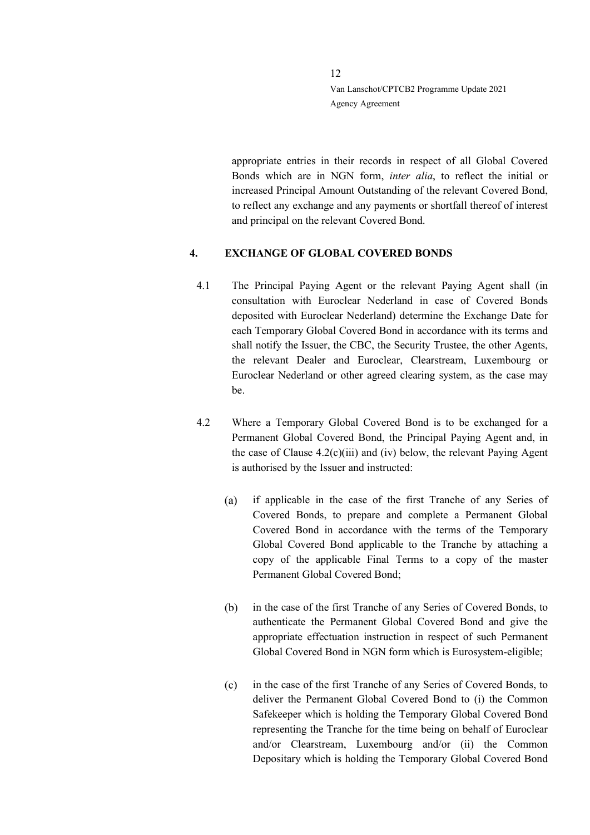appropriate entries in their records in respect of all Global Covered Bonds which are in NGN form, *inter alia*, to reflect the initial or increased Principal Amount Outstanding of the relevant Covered Bond, to reflect any exchange and any payments or shortfall thereof of interest and principal on the relevant Covered Bond.

# <span id="page-11-0"></span>**4. EXCHANGE OF GLOBAL COVERED BONDS**

- 4.1 The Principal Paying Agent or the relevant Paying Agent shall (in consultation with Euroclear Nederland in case of Covered Bonds deposited with Euroclear Nederland) determine the Exchange Date for each Temporary Global Covered Bond in accordance with its terms and shall notify the Issuer, the CBC, the Security Trustee, the other Agents, the relevant Dealer and Euroclear, Clearstream, Luxembourg or Euroclear Nederland or other agreed clearing system, as the case may be.
- <span id="page-11-1"></span>4.2 Where a Temporary Global Covered Bond is to be exchanged for a Permanent Global Covered Bond, the Principal Paying Agent and, in the case of Clause  $4.2(c)(iii)$  and (iv) below, the relevant Paying Agent is authorised by the Issuer and instructed:
	- if applicable in the case of the first Tranche of any Series of  $(a)$ Covered Bonds, to prepare and complete a Permanent Global Covered Bond in accordance with the terms of the Temporary Global Covered Bond applicable to the Tranche by attaching a copy of the applicable Final Terms to a copy of the master Permanent Global Covered Bond;
	- $(b)$ in the case of the first Tranche of any Series of Covered Bonds, to authenticate the Permanent Global Covered Bond and give the appropriate effectuation instruction in respect of such Permanent Global Covered Bond in NGN form which is Eurosystem-eligible;
	- $(c)$ in the case of the first Tranche of any Series of Covered Bonds, to deliver the Permanent Global Covered Bond to (i) the Common Safekeeper which is holding the Temporary Global Covered Bond representing the Tranche for the time being on behalf of Euroclear and/or Clearstream, Luxembourg and/or (ii) the Common Depositary which is holding the Temporary Global Covered Bond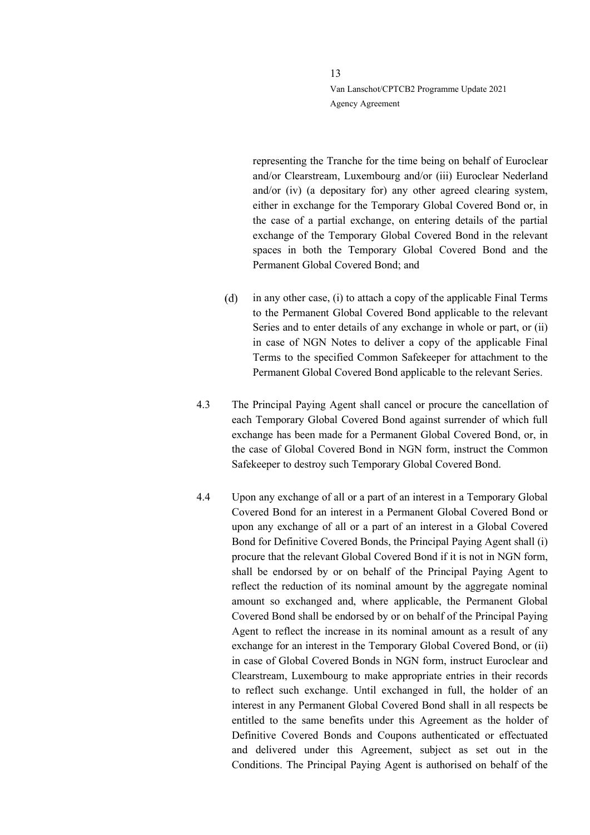representing the Tranche for the time being on behalf of Euroclear and/or Clearstream, Luxembourg and/or (iii) Euroclear Nederland and/or (iv) (a depositary for) any other agreed clearing system, either in exchange for the Temporary Global Covered Bond or, in the case of a partial exchange, on entering details of the partial exchange of the Temporary Global Covered Bond in the relevant spaces in both the Temporary Global Covered Bond and the Permanent Global Covered Bond; and

- in any other case, (i) to attach a copy of the applicable Final Terms  $(d)$ to the Permanent Global Covered Bond applicable to the relevant Series and to enter details of any exchange in whole or part, or (ii) in case of NGN Notes to deliver a copy of the applicable Final Terms to the specified Common Safekeeper for attachment to the Permanent Global Covered Bond applicable to the relevant Series.
- 4.3 The Principal Paying Agent shall cancel or procure the cancellation of each Temporary Global Covered Bond against surrender of which full exchange has been made for a Permanent Global Covered Bond, or, in the case of Global Covered Bond in NGN form, instruct the Common Safekeeper to destroy such Temporary Global Covered Bond.
- 4.4 Upon any exchange of all or a part of an interest in a Temporary Global Covered Bond for an interest in a Permanent Global Covered Bond or upon any exchange of all or a part of an interest in a Global Covered Bond for Definitive Covered Bonds, the Principal Paying Agent shall (i) procure that the relevant Global Covered Bond if it is not in NGN form, shall be endorsed by or on behalf of the Principal Paying Agent to reflect the reduction of its nominal amount by the aggregate nominal amount so exchanged and, where applicable, the Permanent Global Covered Bond shall be endorsed by or on behalf of the Principal Paying Agent to reflect the increase in its nominal amount as a result of any exchange for an interest in the Temporary Global Covered Bond, or (ii) in case of Global Covered Bonds in NGN form, instruct Euroclear and Clearstream, Luxembourg to make appropriate entries in their records to reflect such exchange. Until exchanged in full, the holder of an interest in any Permanent Global Covered Bond shall in all respects be entitled to the same benefits under this Agreement as the holder of Definitive Covered Bonds and Coupons authenticated or effectuated and delivered under this Agreement, subject as set out in the Conditions. The Principal Paying Agent is authorised on behalf of the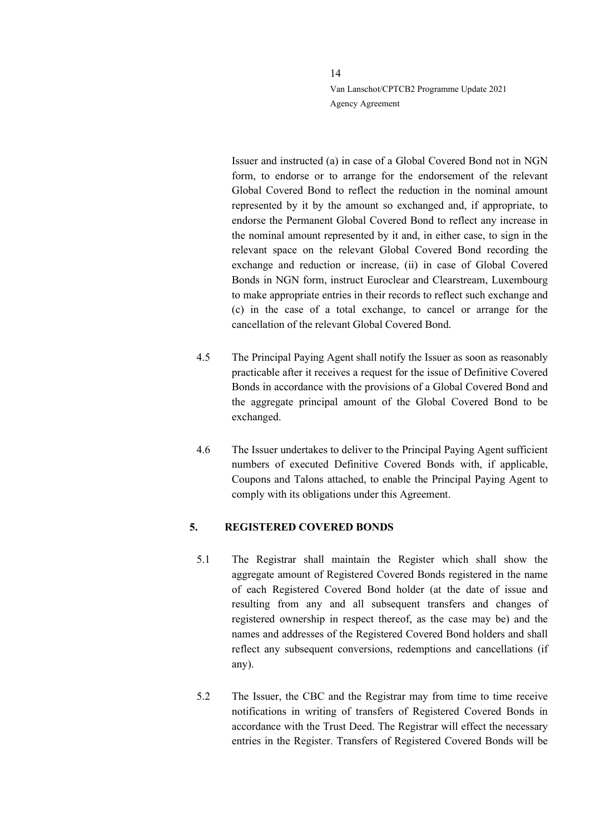Issuer and instructed (a) in case of a Global Covered Bond not in NGN form, to endorse or to arrange for the endorsement of the relevant Global Covered Bond to reflect the reduction in the nominal amount represented by it by the amount so exchanged and, if appropriate, to endorse the Permanent Global Covered Bond to reflect any increase in the nominal amount represented by it and, in either case, to sign in the relevant space on the relevant Global Covered Bond recording the exchange and reduction or increase, (ii) in case of Global Covered Bonds in NGN form, instruct Euroclear and Clearstream, Luxembourg to make appropriate entries in their records to reflect such exchange and (c) in the case of a total exchange, to cancel or arrange for the cancellation of the relevant Global Covered Bond.

- 4.5 The Principal Paying Agent shall notify the Issuer as soon as reasonably practicable after it receives a request for the issue of Definitive Covered Bonds in accordance with the provisions of a Global Covered Bond and the aggregate principal amount of the Global Covered Bond to be exchanged.
- 4.6 The Issuer undertakes to deliver to the Principal Paying Agent sufficient numbers of executed Definitive Covered Bonds with, if applicable, Coupons and Talons attached, to enable the Principal Paying Agent to comply with its obligations under this Agreement.

#### <span id="page-13-0"></span>**5. REGISTERED COVERED BONDS**

- 5.1 The Registrar shall maintain the Register which shall show the aggregate amount of Registered Covered Bonds registered in the name of each Registered Covered Bond holder (at the date of issue and resulting from any and all subsequent transfers and changes of registered ownership in respect thereof, as the case may be) and the names and addresses of the Registered Covered Bond holders and shall reflect any subsequent conversions, redemptions and cancellations (if any).
- 5.2 The Issuer, the CBC and the Registrar may from time to time receive notifications in writing of transfers of Registered Covered Bonds in accordance with the Trust Deed. The Registrar will effect the necessary entries in the Register. Transfers of Registered Covered Bonds will be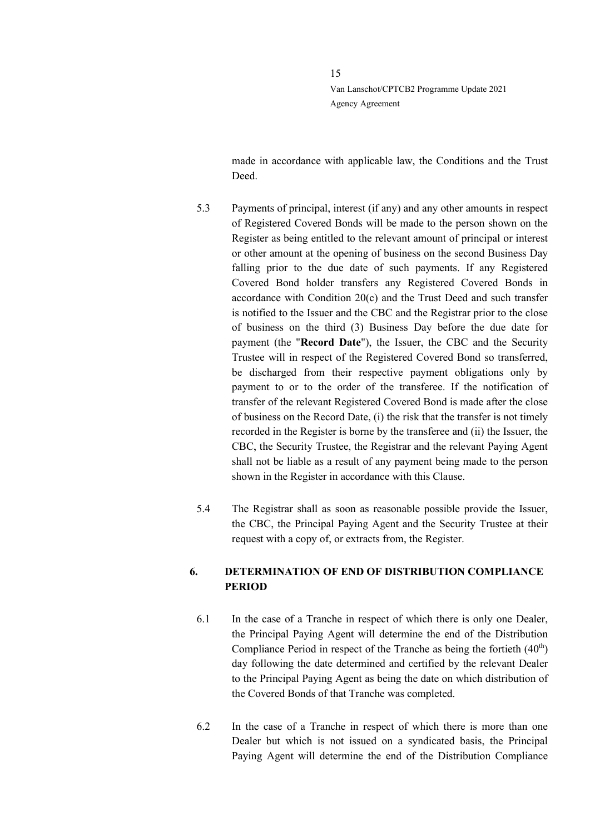made in accordance with applicable law, the Conditions and the Trust Deed.

- 5.3 Payments of principal, interest (if any) and any other amounts in respect of Registered Covered Bonds will be made to the person shown on the Register as being entitled to the relevant amount of principal or interest or other amount at the opening of business on the second Business Day falling prior to the due date of such payments. If any Registered Covered Bond holder transfers any Registered Covered Bonds in accordance with Condition 20(c) and the Trust Deed and such transfer is notified to the Issuer and the CBC and the Registrar prior to the close of business on the third (3) Business Day before the due date for payment (the "**Record Date**"), the Issuer, the CBC and the Security Trustee will in respect of the Registered Covered Bond so transferred, be discharged from their respective payment obligations only by payment to or to the order of the transferee. If the notification of transfer of the relevant Registered Covered Bond is made after the close of business on the Record Date, (i) the risk that the transfer is not timely recorded in the Register is borne by the transferee and (ii) the Issuer, the CBC, the Security Trustee, the Registrar and the relevant Paying Agent shall not be liable as a result of any payment being made to the person shown in the Register in accordance with this Clause.
- 5.4 The Registrar shall as soon as reasonable possible provide the Issuer, the CBC, the Principal Paying Agent and the Security Trustee at their request with a copy of, or extracts from, the Register.

# <span id="page-14-0"></span>**6. DETERMINATION OF END OF DISTRIBUTION COMPLIANCE PERIOD**

- 6.1 In the case of a Tranche in respect of which there is only one Dealer, the Principal Paying Agent will determine the end of the Distribution Compliance Period in respect of the Tranche as being the fortieth  $(40<sup>th</sup>)$ day following the date determined and certified by the relevant Dealer to the Principal Paying Agent as being the date on which distribution of the Covered Bonds of that Tranche was completed.
- 6.2 In the case of a Tranche in respect of which there is more than one Dealer but which is not issued on a syndicated basis, the Principal Paying Agent will determine the end of the Distribution Compliance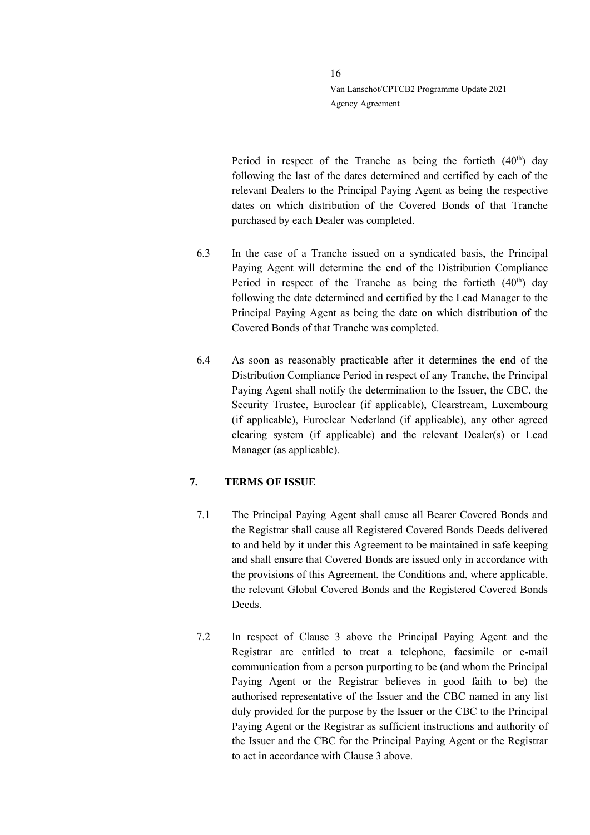Period in respect of the Tranche as being the fortieth  $(40<sup>th</sup>)$  day following the last of the dates determined and certified by each of the relevant Dealers to the Principal Paying Agent as being the respective dates on which distribution of the Covered Bonds of that Tranche purchased by each Dealer was completed.

- 6.3 In the case of a Tranche issued on a syndicated basis, the Principal Paying Agent will determine the end of the Distribution Compliance Period in respect of the Tranche as being the fortieth  $(40<sup>th</sup>)$  day following the date determined and certified by the Lead Manager to the Principal Paying Agent as being the date on which distribution of the Covered Bonds of that Tranche was completed.
- 6.4 As soon as reasonably practicable after it determines the end of the Distribution Compliance Period in respect of any Tranche, the Principal Paying Agent shall notify the determination to the Issuer, the CBC, the Security Trustee, Euroclear (if applicable), Clearstream, Luxembourg (if applicable), Euroclear Nederland (if applicable), any other agreed clearing system (if applicable) and the relevant Dealer(s) or Lead Manager (as applicable).

# <span id="page-15-0"></span>**7. TERMS OF ISSUE**

- 7.1 The Principal Paying Agent shall cause all Bearer Covered Bonds and the Registrar shall cause all Registered Covered Bonds Deeds delivered to and held by it under this Agreement to be maintained in safe keeping and shall ensure that Covered Bonds are issued only in accordance with the provisions of this Agreement, the Conditions and, where applicable, the relevant Global Covered Bonds and the Registered Covered Bonds Deeds.
- 7.2 In respect of Clause [3](#page-8-0) above the Principal Paying Agent and the Registrar are entitled to treat a telephone, facsimile or e-mail communication from a person purporting to be (and whom the Principal Paying Agent or the Registrar believes in good faith to be) the authorised representative of the Issuer and the CBC named in any list duly provided for the purpose by the Issuer or the CBC to the Principal Paying Agent or the Registrar as sufficient instructions and authority of the Issuer and the CBC for the Principal Paying Agent or the Registrar to act in accordance with Clause [3](#page-8-0) above.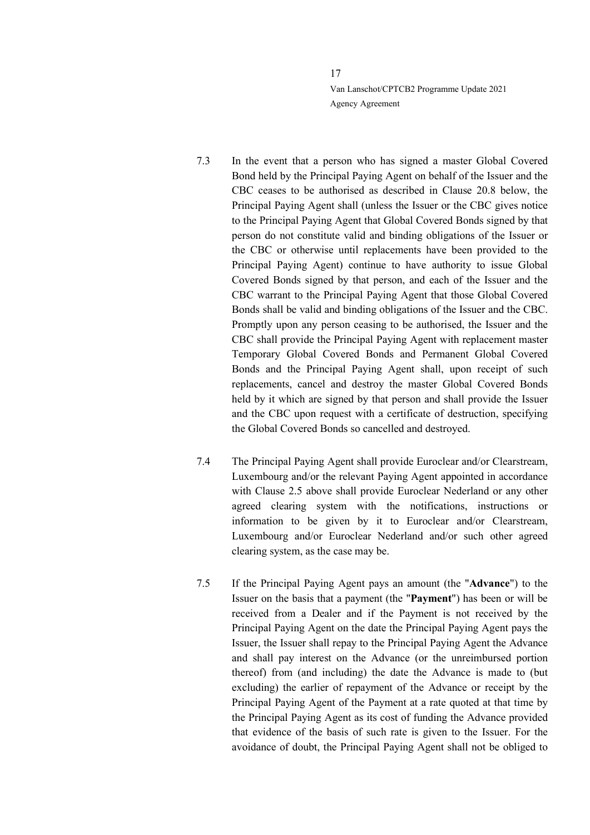- 7.3 In the event that a person who has signed a master Global Covered Bond held by the Principal Paying Agent on behalf of the Issuer and the CBC ceases to be authorised as described in Clause [20.8](#page-45-1) below, the Principal Paying Agent shall (unless the Issuer or the CBC gives notice to the Principal Paying Agent that Global Covered Bonds signed by that person do not constitute valid and binding obligations of the Issuer or the CBC or otherwise until replacements have been provided to the Principal Paying Agent) continue to have authority to issue Global Covered Bonds signed by that person, and each of the Issuer and the CBC warrant to the Principal Paying Agent that those Global Covered Bonds shall be valid and binding obligations of the Issuer and the CBC. Promptly upon any person ceasing to be authorised, the Issuer and the CBC shall provide the Principal Paying Agent with replacement master Temporary Global Covered Bonds and Permanent Global Covered Bonds and the Principal Paying Agent shall, upon receipt of such replacements, cancel and destroy the master Global Covered Bonds held by it which are signed by that person and shall provide the Issuer and the CBC upon request with a certificate of destruction, specifying the Global Covered Bonds so cancelled and destroyed.
- 7.4 The Principal Paying Agent shall provide Euroclear and/or Clearstream, Luxembourg and/or the relevant Paying Agent appointed in accordance with Clause [2.5](#page-7-1) above shall provide Euroclear Nederland or any other agreed clearing system with the notifications, instructions or information to be given by it to Euroclear and/or Clearstream, Luxembourg and/or Euroclear Nederland and/or such other agreed clearing system, as the case may be.
- 7.5 If the Principal Paying Agent pays an amount (the "**Advance**") to the Issuer on the basis that a payment (the "**Payment**") has been or will be received from a Dealer and if the Payment is not received by the Principal Paying Agent on the date the Principal Paying Agent pays the Issuer, the Issuer shall repay to the Principal Paying Agent the Advance and shall pay interest on the Advance (or the unreimbursed portion thereof) from (and including) the date the Advance is made to (but excluding) the earlier of repayment of the Advance or receipt by the Principal Paying Agent of the Payment at a rate quoted at that time by the Principal Paying Agent as its cost of funding the Advance provided that evidence of the basis of such rate is given to the Issuer. For the avoidance of doubt, the Principal Paying Agent shall not be obliged to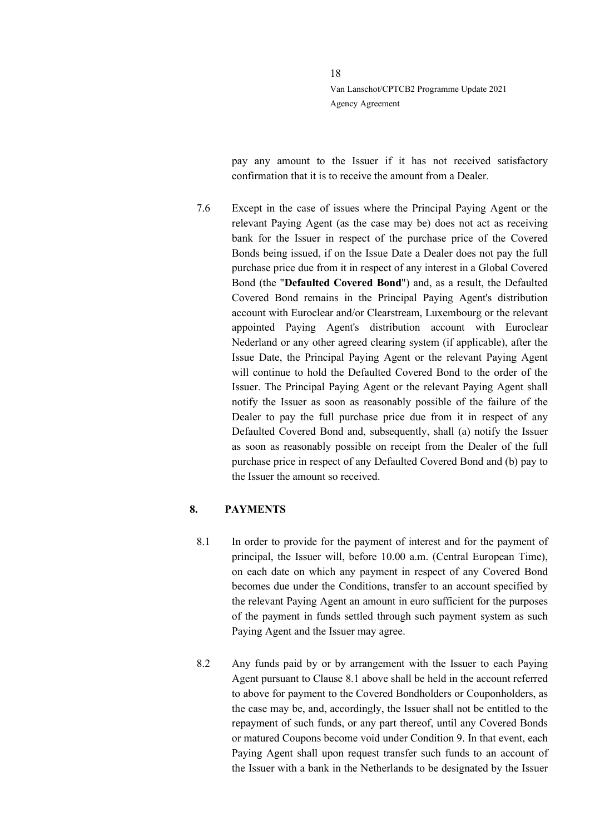pay any amount to the Issuer if it has not received satisfactory confirmation that it is to receive the amount from a Dealer.

7.6 Except in the case of issues where the Principal Paying Agent or the relevant Paying Agent (as the case may be) does not act as receiving bank for the Issuer in respect of the purchase price of the Covered Bonds being issued, if on the Issue Date a Dealer does not pay the full purchase price due from it in respect of any interest in a Global Covered Bond (the "**Defaulted Covered Bond**") and, as a result, the Defaulted Covered Bond remains in the Principal Paying Agent's distribution account with Euroclear and/or Clearstream, Luxembourg or the relevant appointed Paying Agent's distribution account with Euroclear Nederland or any other agreed clearing system (if applicable), after the Issue Date, the Principal Paying Agent or the relevant Paying Agent will continue to hold the Defaulted Covered Bond to the order of the Issuer. The Principal Paying Agent or the relevant Paying Agent shall notify the Issuer as soon as reasonably possible of the failure of the Dealer to pay the full purchase price due from it in respect of any Defaulted Covered Bond and, subsequently, shall (a) notify the Issuer as soon as reasonably possible on receipt from the Dealer of the full purchase price in respect of any Defaulted Covered Bond and (b) pay to the Issuer the amount so received.

## <span id="page-17-0"></span>**8. PAYMENTS**

- <span id="page-17-1"></span>8.1 In order to provide for the payment of interest and for the payment of principal, the Issuer will, before 10.00 a.m. (Central European Time), on each date on which any payment in respect of any Covered Bond becomes due under the Conditions, transfer to an account specified by the relevant Paying Agent an amount in euro sufficient for the purposes of the payment in funds settled through such payment system as such Paying Agent and the Issuer may agree.
- 8.2 Any funds paid by or by arrangement with the Issuer to each Paying Agent pursuant to Clause [8.1](#page-17-1) above shall be held in the account referred to above for payment to the Covered Bondholders or Couponholders, as the case may be, and, accordingly, the Issuer shall not be entitled to the repayment of such funds, or any part thereof, until any Covered Bonds or matured Coupons become void under Condition 9. In that event, each Paying Agent shall upon request transfer such funds to an account of the Issuer with a bank in the Netherlands to be designated by the Issuer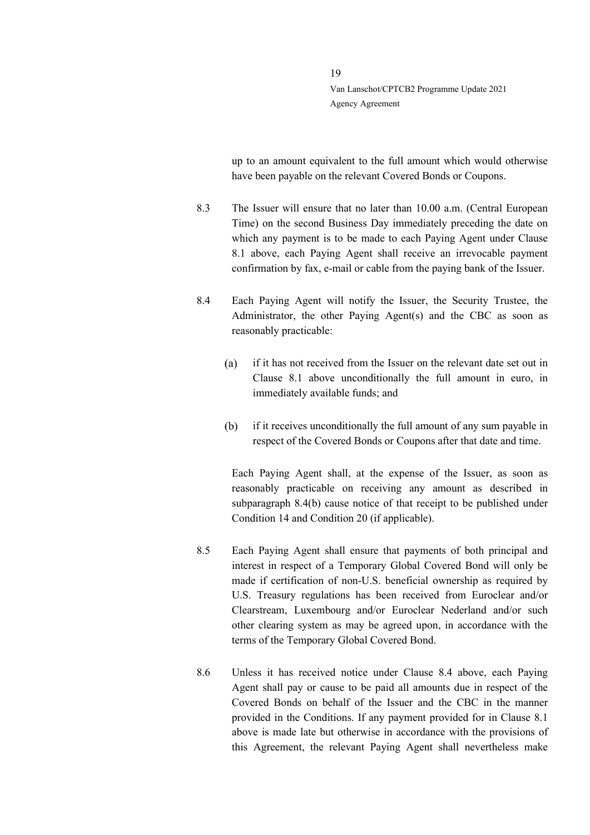up to an amount equivalent to the full amount which would otherwise have been payable on the relevant Covered Bonds or Coupons.

- <span id="page-18-3"></span>8.3 The Issuer will ensure that no later than 10.00 a.m. (Central European Time) on the second Business Day immediately preceding the date on which any payment is to be made to each Paying Agent under Clause [8.1](#page-17-1) above, each Paying Agent shall receive an irrevocable payment confirmation by fax, e-mail or cable from the paying bank of the Issuer.
- <span id="page-18-0"></span>8.4 Each Paying Agent will notify the Issuer, the Security Trustee, the Administrator, the other Paying Agent(s) and the CBC as soon as reasonably practicable:
	- $(a)$ if it has not received from the Issuer on the relevant date set out in Clause [8.1](#page-17-1) above unconditionally the full amount in euro, in immediately available funds; and
	- (b) if it receives unconditionally the full amount of any sum payable in respect of the Covered Bonds or Coupons after that date and time.

<span id="page-18-1"></span>Each Paying Agent shall, at the expense of the Issuer, as soon as reasonably practicable on receiving any amount as described in subparagraph [8.4](#page-18-0)[\(b\)](#page-18-1) cause notice of that receipt to be published under Condition 14 and Condition 20 (if applicable).

- 8.5 Each Paying Agent shall ensure that payments of both principal and interest in respect of a Temporary Global Covered Bond will only be made if certification of non-U.S. beneficial ownership as required by U.S. Treasury regulations has been received from Euroclear and/or Clearstream, Luxembourg and/or Euroclear Nederland and/or such other clearing system as may be agreed upon, in accordance with the terms of the Temporary Global Covered Bond.
- <span id="page-18-2"></span>8.6 Unless it has received notice under Clause [8.4](#page-18-0) above, each Paying Agent shall pay or cause to be paid all amounts due in respect of the Covered Bonds on behalf of the Issuer and the CBC in the manner provided in the Conditions. If any payment provided for in Clause [8.1](#page-17-1) above is made late but otherwise in accordance with the provisions of this Agreement, the relevant Paying Agent shall nevertheless make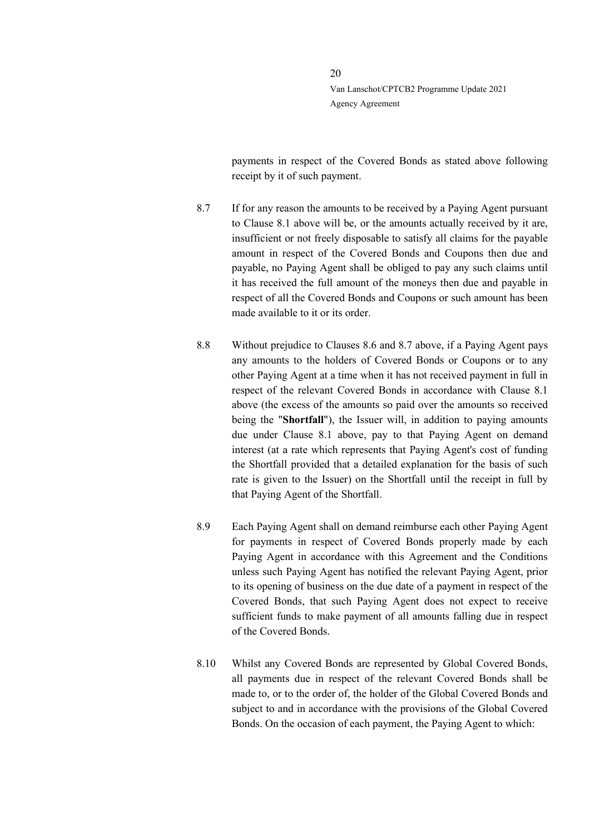payments in respect of the Covered Bonds as stated above following receipt by it of such payment.

- <span id="page-19-0"></span>8.7 If for any reason the amounts to be received by a Paying Agent pursuant to Clause [8.1](#page-17-1) above will be, or the amounts actually received by it are, insufficient or not freely disposable to satisfy all claims for the payable amount in respect of the Covered Bonds and Coupons then due and payable, no Paying Agent shall be obliged to pay any such claims until it has received the full amount of the moneys then due and payable in respect of all the Covered Bonds and Coupons or such amount has been made available to it or its order.
- 8.8 Without prejudice to Clauses [8.6](#page-18-2) and [8.7](#page-19-0) above, if a Paying Agent pays any amounts to the holders of Covered Bonds or Coupons or to any other Paying Agent at a time when it has not received payment in full in respect of the relevant Covered Bonds in accordance with Clause [8.1](#page-17-1) above (the excess of the amounts so paid over the amounts so received being the "**Shortfall**"), the Issuer will, in addition to paying amounts due under Clause [8.1](#page-17-1) above, pay to that Paying Agent on demand interest (at a rate which represents that Paying Agent's cost of funding the Shortfall provided that a detailed explanation for the basis of such rate is given to the Issuer) on the Shortfall until the receipt in full by that Paying Agent of the Shortfall.
- 8.9 Each Paying Agent shall on demand reimburse each other Paying Agent for payments in respect of Covered Bonds properly made by each Paying Agent in accordance with this Agreement and the Conditions unless such Paying Agent has notified the relevant Paying Agent, prior to its opening of business on the due date of a payment in respect of the Covered Bonds, that such Paying Agent does not expect to receive sufficient funds to make payment of all amounts falling due in respect of the Covered Bonds.
- 8.10 Whilst any Covered Bonds are represented by Global Covered Bonds, all payments due in respect of the relevant Covered Bonds shall be made to, or to the order of, the holder of the Global Covered Bonds and subject to and in accordance with the provisions of the Global Covered Bonds. On the occasion of each payment, the Paying Agent to which: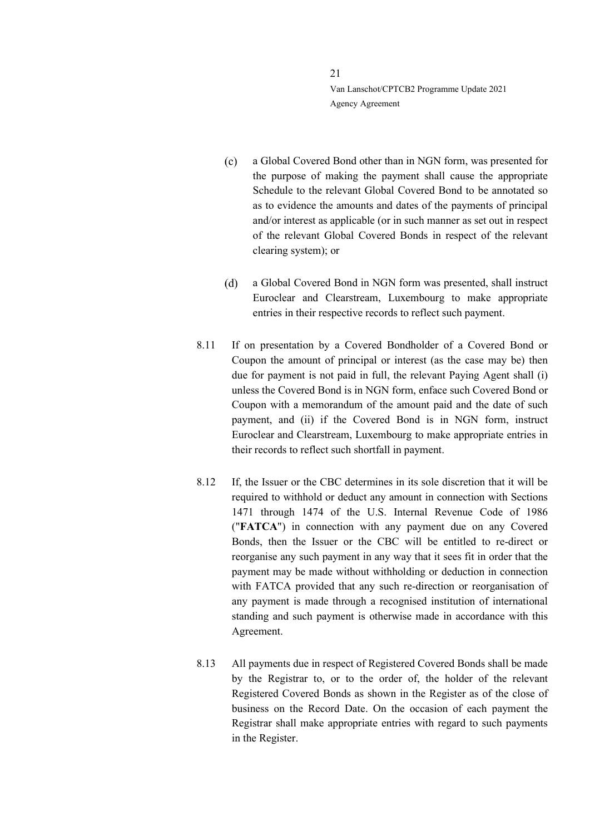- $(c)$ a Global Covered Bond other than in NGN form, was presented for the purpose of making the payment shall cause the appropriate Schedule to the relevant Global Covered Bond to be annotated so as to evidence the amounts and dates of the payments of principal and/or interest as applicable (or in such manner as set out in respect of the relevant Global Covered Bonds in respect of the relevant clearing system); or
- $(d)$ a Global Covered Bond in NGN form was presented, shall instruct Euroclear and Clearstream, Luxembourg to make appropriate entries in their respective records to reflect such payment.
- 8.11 If on presentation by a Covered Bondholder of a Covered Bond or Coupon the amount of principal or interest (as the case may be) then due for payment is not paid in full, the relevant Paying Agent shall (i) unless the Covered Bond is in NGN form, enface such Covered Bond or Coupon with a memorandum of the amount paid and the date of such payment, and (ii) if the Covered Bond is in NGN form, instruct Euroclear and Clearstream, Luxembourg to make appropriate entries in their records to reflect such shortfall in payment.
- 8.12 If, the Issuer or the CBC determines in its sole discretion that it will be required to withhold or deduct any amount in connection with Sections 1471 through 1474 of the U.S. Internal Revenue Code of 1986 ("**FATCA**") in connection with any payment due on any Covered Bonds, then the Issuer or the CBC will be entitled to re-direct or reorganise any such payment in any way that it sees fit in order that the payment may be made without withholding or deduction in connection with FATCA provided that any such re-direction or reorganisation of any payment is made through a recognised institution of international standing and such payment is otherwise made in accordance with this Agreement.
- 8.13 All payments due in respect of Registered Covered Bonds shall be made by the Registrar to, or to the order of, the holder of the relevant Registered Covered Bonds as shown in the Register as of the close of business on the Record Date. On the occasion of each payment the Registrar shall make appropriate entries with regard to such payments in the Register.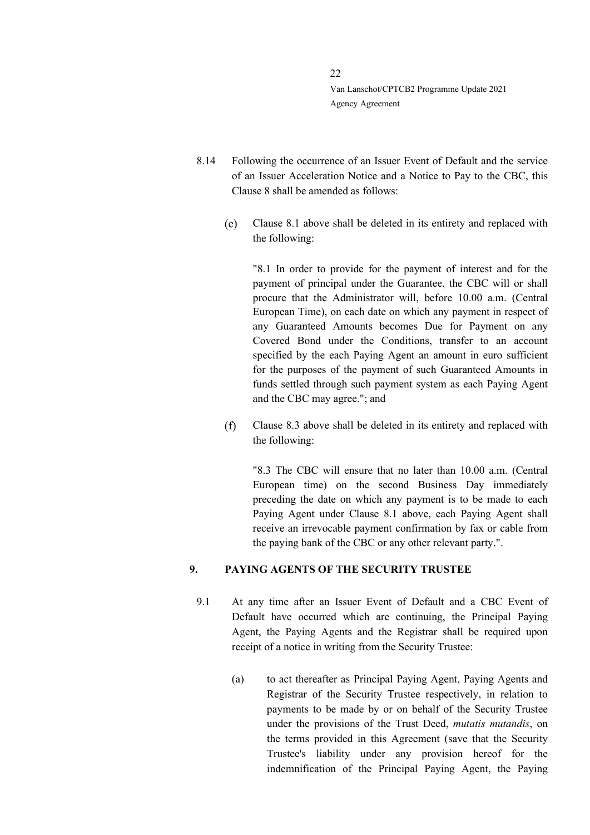- 8.14 Following the occurrence of an Issuer Event of Default and the service of an Issuer Acceleration Notice and a Notice to Pay to the CBC, this Claus[e 8](#page-17-0) shall be amended as follows:
	- Clause 8.1 above shall be deleted in its entirety and replaced with  $(e)$ the following:

"8.1 In order to provide for the payment of interest and for the payment of principal under the Guarantee, the CBC will or shall procure that the Administrator will, before 10.00 a.m. (Central European Time), on each date on which any payment in respect of any Guaranteed Amounts becomes Due for Payment on any Covered Bond under the Conditions, transfer to an account specified by the each Paying Agent an amount in euro sufficient for the purposes of the payment of such Guaranteed Amounts in funds settled through such payment system as each Paying Agent and the CBC may agree."; and

 $(f)$ Clause [8.3](#page-18-3) above shall be deleted in its entirety and replaced with the following:

["8.3](#page-18-3) The CBC will ensure that no later than 10.00 a.m. (Central European time) on the second Business Day immediately preceding the date on which any payment is to be made to each Paying Agent under Clause 8.1 above, each Paying Agent shall receive an irrevocable payment confirmation by fax or cable from the paying bank of the CBC or any other relevant party.".

# <span id="page-21-0"></span>**9. PAYING AGENTS OF THE SECURITY TRUSTEE**

- 9.1 At any time after an Issuer Event of Default and a CBC Event of Default have occurred which are continuing, the Principal Paying Agent, the Paying Agents and the Registrar shall be required upon receipt of a notice in writing from the Security Trustee:
	- (a) to act thereafter as Principal Paying Agent, Paying Agents and Registrar of the Security Trustee respectively, in relation to payments to be made by or on behalf of the Security Trustee under the provisions of the Trust Deed, *mutatis mutandis*, on the terms provided in this Agreement (save that the Security Trustee's liability under any provision hereof for the indemnification of the Principal Paying Agent, the Paying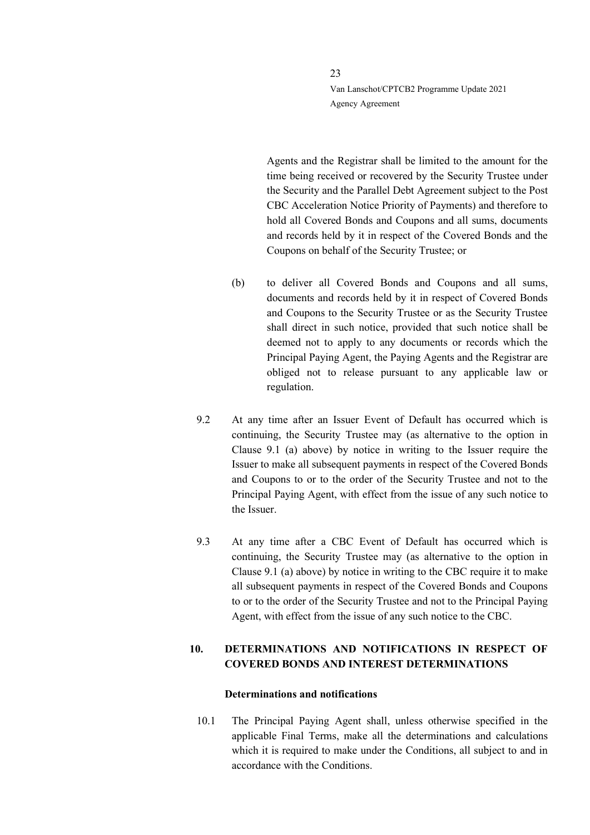Agents and the Registrar shall be limited to the amount for the time being received or recovered by the Security Trustee under the Security and the Parallel Debt Agreement subject to the Post CBC Acceleration Notice Priority of Payments) and therefore to hold all Covered Bonds and Coupons and all sums, documents and records held by it in respect of the Covered Bonds and the Coupons on behalf of the Security Trustee; or

- (b) to deliver all Covered Bonds and Coupons and all sums, documents and records held by it in respect of Covered Bonds and Coupons to the Security Trustee or as the Security Trustee shall direct in such notice, provided that such notice shall be deemed not to apply to any documents or records which the Principal Paying Agent, the Paying Agents and the Registrar are obliged not to release pursuant to any applicable law or regulation.
- 9.2 At any time after an Issuer Event of Default has occurred which is continuing, the Security Trustee may (as alternative to the option in Clause 9.1 (a) above) by notice in writing to the Issuer require the Issuer to make all subsequent payments in respect of the Covered Bonds and Coupons to or to the order of the Security Trustee and not to the Principal Paying Agent, with effect from the issue of any such notice to the Issuer.
- 9.3 At any time after a CBC Event of Default has occurred which is continuing, the Security Trustee may (as alternative to the option in Clause 9.1 (a) above) by notice in writing to the CBC require it to make all subsequent payments in respect of the Covered Bonds and Coupons to or to the order of the Security Trustee and not to the Principal Paying Agent, with effect from the issue of any such notice to the CBC.

# <span id="page-22-0"></span>**10. DETERMINATIONS AND NOTIFICATIONS IN RESPECT OF COVERED BONDS AND INTEREST DETERMINATIONS**

#### **Determinations and notifications**

<span id="page-22-1"></span>10.1 The Principal Paying Agent shall, unless otherwise specified in the applicable Final Terms, make all the determinations and calculations which it is required to make under the Conditions, all subject to and in accordance with the Conditions.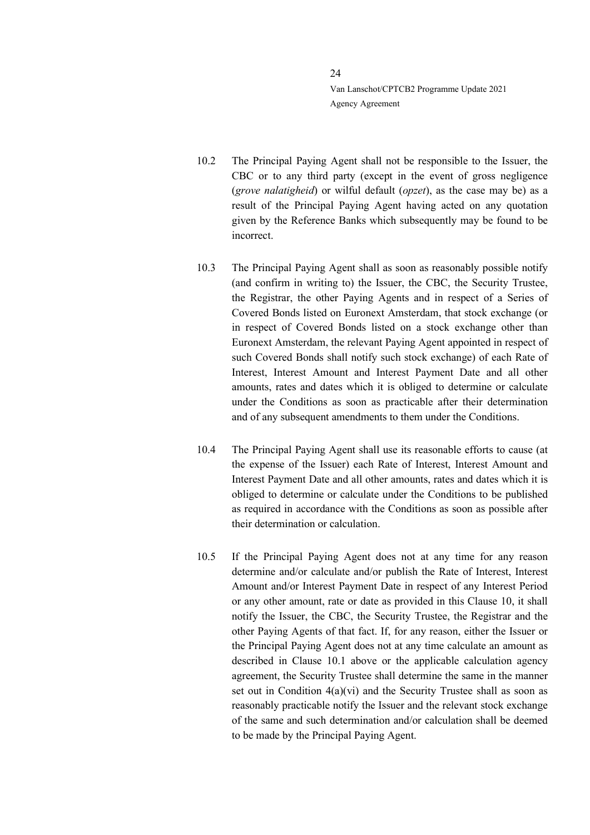- 10.2 The Principal Paying Agent shall not be responsible to the Issuer, the CBC or to any third party (except in the event of gross negligence (*grove nalatigheid*) or wilful default (*opzet*), as the case may be) as a result of the Principal Paying Agent having acted on any quotation given by the Reference Banks which subsequently may be found to be incorrect.
- 10.3 The Principal Paying Agent shall as soon as reasonably possible notify (and confirm in writing to) the Issuer, the CBC, the Security Trustee, the Registrar, the other Paying Agents and in respect of a Series of Covered Bonds listed on Euronext Amsterdam, that stock exchange (or in respect of Covered Bonds listed on a stock exchange other than Euronext Amsterdam, the relevant Paying Agent appointed in respect of such Covered Bonds shall notify such stock exchange) of each Rate of Interest, Interest Amount and Interest Payment Date and all other amounts, rates and dates which it is obliged to determine or calculate under the Conditions as soon as practicable after their determination and of any subsequent amendments to them under the Conditions.
- 10.4 The Principal Paying Agent shall use its reasonable efforts to cause (at the expense of the Issuer) each Rate of Interest, Interest Amount and Interest Payment Date and all other amounts, rates and dates which it is obliged to determine or calculate under the Conditions to be published as required in accordance with the Conditions as soon as possible after their determination or calculation.
- 10.5 If the Principal Paying Agent does not at any time for any reason determine and/or calculate and/or publish the Rate of Interest, Interest Amount and/or Interest Payment Date in respect of any Interest Period or any other amount, rate or date as provided in this Clause [10,](#page-22-0) it shall notify the Issuer, the CBC, the Security Trustee, the Registrar and the other Paying Agents of that fact. If, for any reason, either the Issuer or the Principal Paying Agent does not at any time calculate an amount as described in Clause [10.1](#page-22-1) above or the applicable calculation agency agreement, the Security Trustee shall determine the same in the manner set out in Condition  $4(a)(vi)$  and the Security Trustee shall as soon as reasonably practicable notify the Issuer and the relevant stock exchange of the same and such determination and/or calculation shall be deemed to be made by the Principal Paying Agent.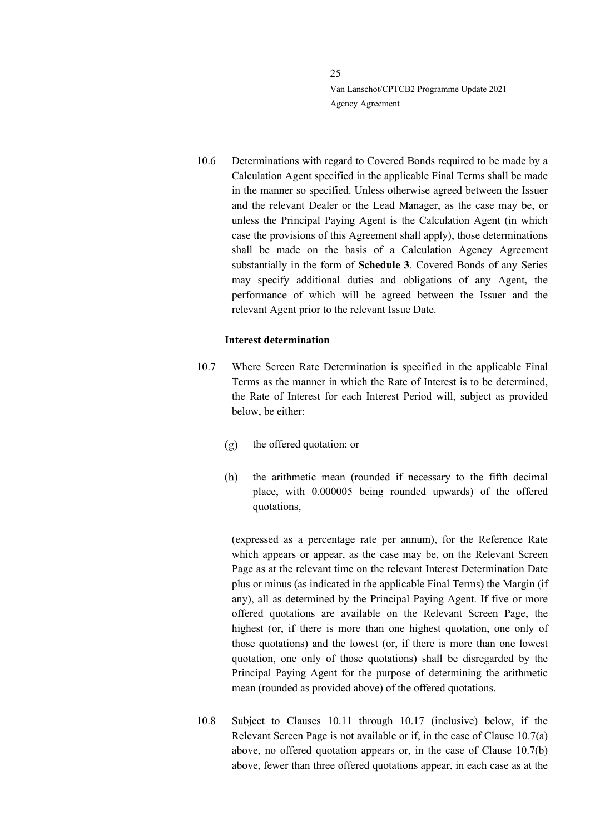10.6 Determinations with regard to Covered Bonds required to be made by a Calculation Agent specified in the applicable Final Terms shall be made in the manner so specified. Unless otherwise agreed between the Issuer and the relevant Dealer or the Lead Manager, as the case may be, or unless the Principal Paying Agent is the Calculation Agent (in which case the provisions of this Agreement shall apply), those determinations shall be made on the basis of a Calculation Agency Agreement substantially in the form of **Schedule 3**. Covered Bonds of any Series may specify additional duties and obligations of any Agent, the performance of which will be agreed between the Issuer and the relevant Agent prior to the relevant Issue Date.

#### **Interest determination**

- <span id="page-24-1"></span><span id="page-24-0"></span>10.7 Where Screen Rate Determination is specified in the applicable Final Terms as the manner in which the Rate of Interest is to be determined, the Rate of Interest for each Interest Period will, subject as provided below, be either:
	- $(g)$ the offered quotation; or
	- $(h)$ the arithmetic mean (rounded if necessary to the fifth decimal place, with 0.000005 being rounded upwards) of the offered quotations,

<span id="page-24-2"></span>(expressed as a percentage rate per annum), for the Reference Rate which appears or appear, as the case may be, on the Relevant Screen Page as at the relevant time on the relevant Interest Determination Date plus or minus (as indicated in the applicable Final Terms) the Margin (if any), all as determined by the Principal Paying Agent. If five or more offered quotations are available on the Relevant Screen Page, the highest (or, if there is more than one highest quotation, one only of those quotations) and the lowest (or, if there is more than one lowest quotation, one only of those quotations) shall be disregarded by the Principal Paying Agent for the purpose of determining the arithmetic mean (rounded as provided above) of the offered quotations.

<span id="page-24-3"></span>10.8 Subject to Clauses [10.11](#page-26-0) through [10.17](#page-30-0) (inclusive) below, if the Relevant Screen Page is not available or if, in the case of Clause [10.7](#page-24-0)[\(a\)](#page-24-1) above, no offered quotation appears or, in the case of Clause [10.7](#page-24-0)[\(b\)](#page-24-2) above, fewer than three offered quotations appear, in each case as at the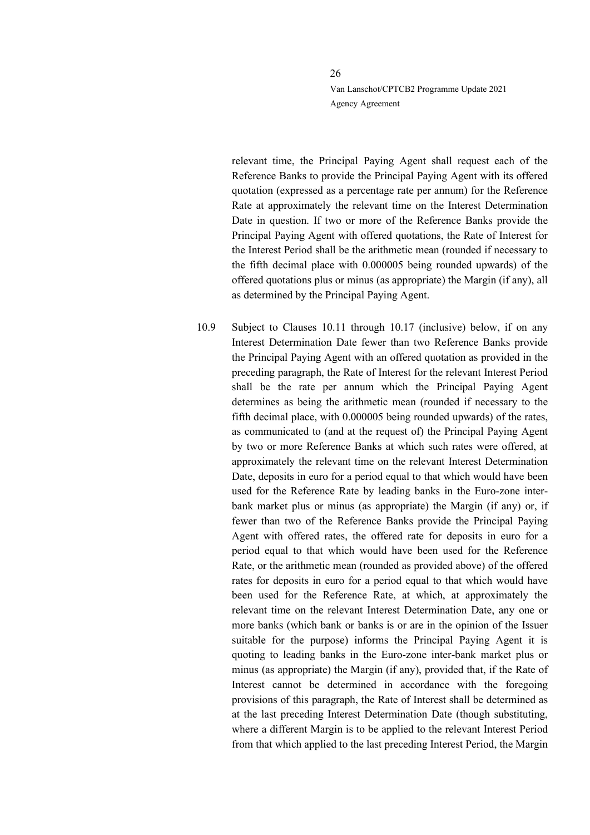relevant time, the Principal Paying Agent shall request each of the Reference Banks to provide the Principal Paying Agent with its offered quotation (expressed as a percentage rate per annum) for the Reference Rate at approximately the relevant time on the Interest Determination Date in question. If two or more of the Reference Banks provide the Principal Paying Agent with offered quotations, the Rate of Interest for the Interest Period shall be the arithmetic mean (rounded if necessary to the fifth decimal place with 0.000005 being rounded upwards) of the offered quotations plus or minus (as appropriate) the Margin (if any), all as determined by the Principal Paying Agent.

<span id="page-25-0"></span>10.9 Subject to Clauses [10.11](#page-26-0) through [10.17](#page-30-0) (inclusive) below, if on any Interest Determination Date fewer than two Reference Banks provide the Principal Paying Agent with an offered quotation as provided in the preceding paragraph, the Rate of Interest for the relevant Interest Period shall be the rate per annum which the Principal Paying Agent determines as being the arithmetic mean (rounded if necessary to the fifth decimal place, with 0.000005 being rounded upwards) of the rates, as communicated to (and at the request of) the Principal Paying Agent by two or more Reference Banks at which such rates were offered, at approximately the relevant time on the relevant Interest Determination Date, deposits in euro for a period equal to that which would have been used for the Reference Rate by leading banks in the Euro-zone interbank market plus or minus (as appropriate) the Margin (if any) or, if fewer than two of the Reference Banks provide the Principal Paying Agent with offered rates, the offered rate for deposits in euro for a period equal to that which would have been used for the Reference Rate, or the arithmetic mean (rounded as provided above) of the offered rates for deposits in euro for a period equal to that which would have been used for the Reference Rate, at which, at approximately the relevant time on the relevant Interest Determination Date, any one or more banks (which bank or banks is or are in the opinion of the Issuer suitable for the purpose) informs the Principal Paying Agent it is quoting to leading banks in the Euro-zone inter-bank market plus or minus (as appropriate) the Margin (if any), provided that, if the Rate of Interest cannot be determined in accordance with the foregoing provisions of this paragraph, the Rate of Interest shall be determined as at the last preceding Interest Determination Date (though substituting, where a different Margin is to be applied to the relevant Interest Period from that which applied to the last preceding Interest Period, the Margin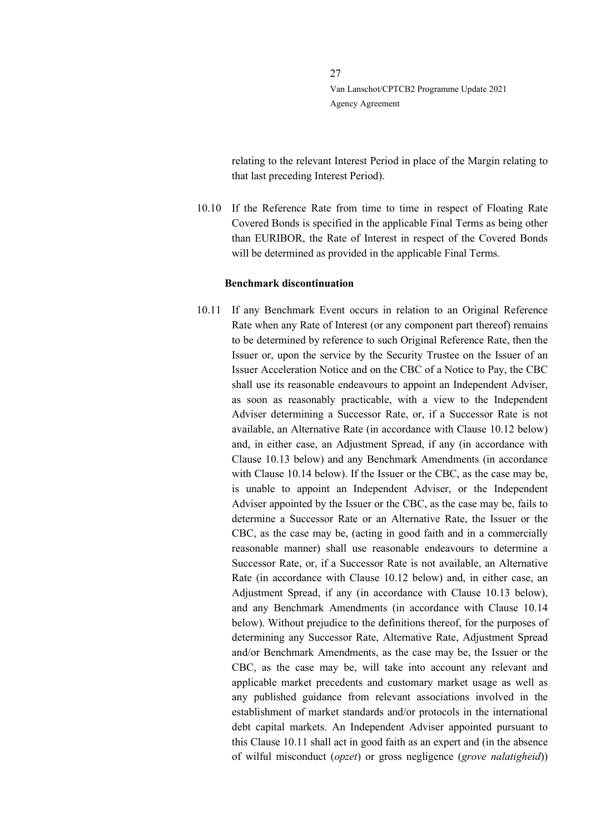relating to the relevant Interest Period in place of the Margin relating to that last preceding Interest Period).

10.10 If the Reference Rate from time to time in respect of Floating Rate Covered Bonds is specified in the applicable Final Terms as being other than EURIBOR, the Rate of Interest in respect of the Covered Bonds will be determined as provided in the applicable Final Terms.

#### **Benchmark discontinuation**

<span id="page-26-0"></span>10.11 If any Benchmark Event occurs in relation to an Original Reference Rate when any Rate of Interest (or any component part thereof) remains to be determined by reference to such Original Reference Rate, then the Issuer or, upon the service by the Security Trustee on the Issuer of an Issuer Acceleration Notice and on the CBC of a Notice to Pay, the CBC shall use its reasonable endeavours to appoint an Independent Adviser, as soon as reasonably practicable, with a view to the Independent Adviser determining a Successor Rate, or, if a Successor Rate is not available, an Alternative Rate (in accordance with Clause [10.12](#page-27-0) below) and, in either case, an Adjustment Spread, if any (in accordance with Clause [10.13](#page-27-1) below) and any Benchmark Amendments (in accordance with Clause [10.14](#page-27-2) below). If the Issuer or the CBC, as the case may be, is unable to appoint an Independent Adviser, or the Independent Adviser appointed by the Issuer or the CBC, as the case may be, fails to determine a Successor Rate or an Alternative Rate, the Issuer or the CBC, as the case may be, (acting in good faith and in a commercially reasonable manner) shall use reasonable endeavours to determine a Successor Rate, or, if a Successor Rate is not available, an Alternative Rate (in accordance with Clause 10.12 below) and, in either case, an Adjustment Spread, if any (in accordance with Clause 10.13 below), and any Benchmark Amendments (in accordance with Clause 10.14 below). Without prejudice to the definitions thereof, for the purposes of determining any Successor Rate, Alternative Rate, Adjustment Spread and/or Benchmark Amendments, as the case may be, the Issuer or the CBC, as the case may be, will take into account any relevant and applicable market precedents and customary market usage as well as any published guidance from relevant associations involved in the establishment of market standards and/or protocols in the international debt capital markets. An Independent Adviser appointed pursuant to this Clause [10.11](#page-26-0) shall act in good faith as an expert and (in the absence of wilful misconduct (*opzet*) or gross negligence (*grove nalatigheid*))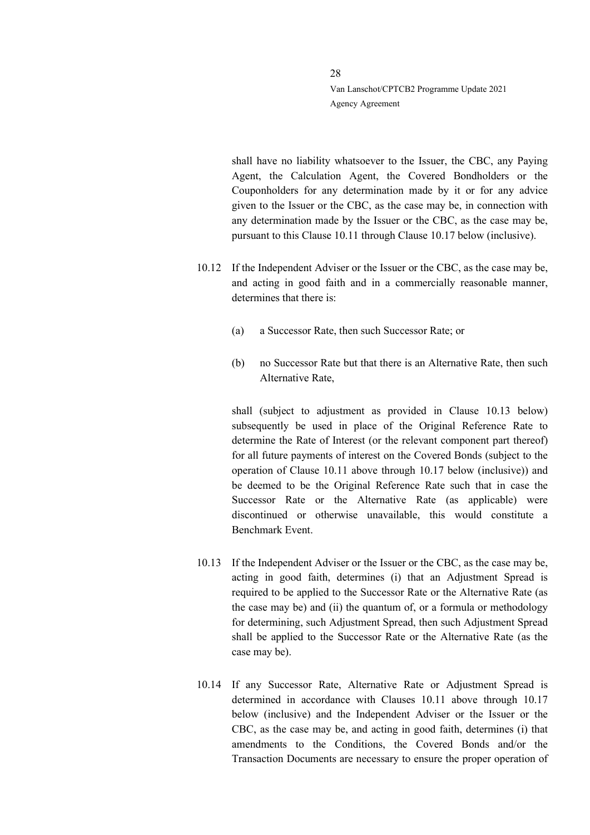shall have no liability whatsoever to the Issuer, the CBC, any Paying Agent, the Calculation Agent, the Covered Bondholders or the Couponholders for any determination made by it or for any advice given to the Issuer or the CBC, as the case may be, in connection with any determination made by the Issuer or the CBC, as the case may be, pursuant to this Clause [10.11](#page-26-0) through Clause [10.17](#page-30-0) below (inclusive).

- <span id="page-27-0"></span>10.12 If the Independent Adviser or the Issuer or the CBC, as the case may be, and acting in good faith and in a commercially reasonable manner, determines that there is:
	- (a) a Successor Rate, then such Successor Rate; or
	- (b) no Successor Rate but that there is an Alternative Rate, then such Alternative Rate,

shall (subject to adjustment as provided in Clause 10.13 below) subsequently be used in place of the Original Reference Rate to determine the Rate of Interest (or the relevant component part thereof) for all future payments of interest on the Covered Bonds (subject to the operation of Clause 10.11 above through [10.17](#page-30-0) below (inclusive)) and be deemed to be the Original Reference Rate such that in case the Successor Rate or the Alternative Rate (as applicable) were discontinued or otherwise unavailable, this would constitute a Benchmark Event.

- <span id="page-27-1"></span>10.13 If the Independent Adviser or the Issuer or the CBC, as the case may be, acting in good faith, determines (i) that an Adjustment Spread is required to be applied to the Successor Rate or the Alternative Rate (as the case may be) and (ii) the quantum of, or a formula or methodology for determining, such Adjustment Spread, then such Adjustment Spread shall be applied to the Successor Rate or the Alternative Rate (as the case may be).
- <span id="page-27-2"></span>10.14 If any Successor Rate, Alternative Rate or Adjustment Spread is determined in accordance with Clauses [10.11](#page-26-0) above through [10.17](#page-30-0) below (inclusive) and the Independent Adviser or the Issuer or the CBC, as the case may be, and acting in good faith, determines (i) that amendments to the Conditions, the Covered Bonds and/or the Transaction Documents are necessary to ensure the proper operation of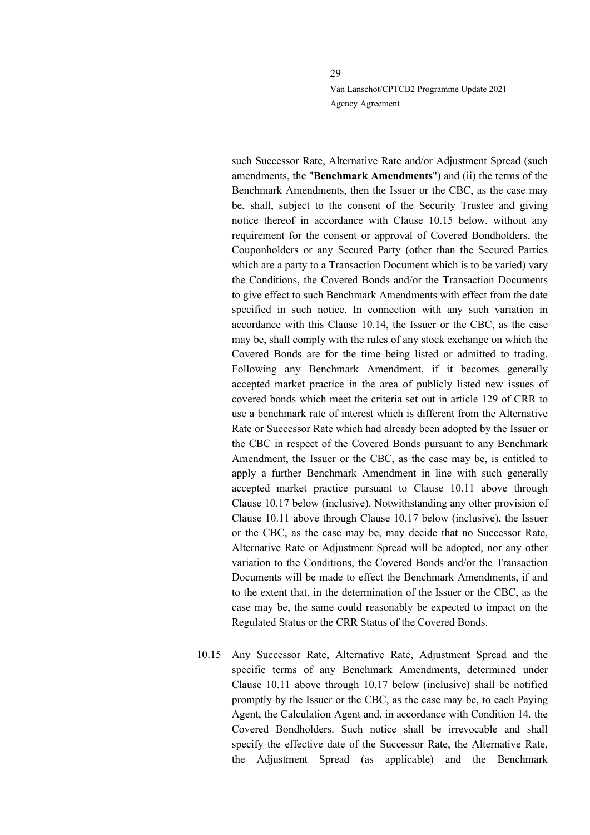<span id="page-28-1"></span>such Successor Rate, Alternative Rate and/or Adjustment Spread (such amendments, the "**Benchmark Amendments**") and (ii) the terms of the Benchmark Amendments, then the Issuer or the CBC, as the case may be, shall, subject to the consent of the Security Trustee and giving notice thereof in accordance with Clause [10.15](#page-28-0) below, without any requirement for the consent or approval of Covered Bondholders, the Couponholders or any Secured Party (other than the Secured Parties which are a party to a Transaction Document which is to be varied) vary the Conditions, the Covered Bonds and/or the Transaction Documents to give effect to such Benchmark Amendments with effect from the date specified in such notice. In connection with any such variation in accordance with this Clause [10.14,](#page-27-2) the Issuer or the CBC, as the case may be, shall comply with the rules of any stock exchange on which the Covered Bonds are for the time being listed or admitted to trading. Following any Benchmark Amendment, if it becomes generally accepted market practice in the area of publicly listed new issues of covered bonds which meet the criteria set out in article 129 of CRR to use a benchmark rate of interest which is different from the Alternative Rate or Successor Rate which had already been adopted by the Issuer or the CBC in respect of the Covered Bonds pursuant to any Benchmark Amendment, the Issuer or the CBC, as the case may be, is entitled to apply a further Benchmark Amendment in line with such generally accepted market practice pursuant to Clause 10.11 above through Clause [10.17](#page-30-0) below (inclusive). Notwithstanding any other provision of Clause 10.11 above through Clause [10.17](#page-30-0) below (inclusive), the Issuer or the CBC, as the case may be, may decide that no Successor Rate, Alternative Rate or Adjustment Spread will be adopted, nor any other variation to the Conditions, the Covered Bonds and/or the Transaction Documents will be made to effect the Benchmark Amendments, if and to the extent that, in the determination of the Issuer or the CBC, as the case may be, the same could reasonably be expected to impact on the Regulated Status or the CRR Status of the Covered Bonds.

<span id="page-28-0"></span>10.15 Any Successor Rate, Alternative Rate, Adjustment Spread and the specific terms of any Benchmark Amendments, determined under Clause [10.11](#page-26-0) above through [10.17](#page-30-0) below (inclusive) shall be notified promptly by the Issuer or the CBC, as the case may be, to each Paying Agent, the Calculation Agent and, in accordance with Condition 14, the Covered Bondholders. Such notice shall be irrevocable and shall specify the effective date of the Successor Rate, the Alternative Rate, the Adjustment Spread (as applicable) and the Benchmark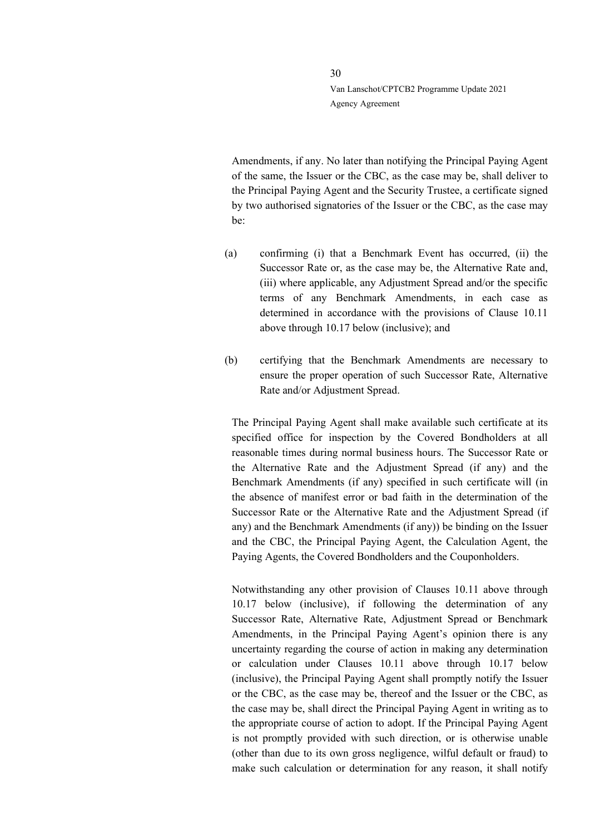Amendments, if any. No later than notifying the Principal Paying Agent of the same, the Issuer or the CBC, as the case may be, shall deliver to the Principal Paying Agent and the Security Trustee, a certificate signed by two authorised signatories of the Issuer or the CBC, as the case may be:

- (a) confirming (i) that a Benchmark Event has occurred, (ii) the Successor Rate or, as the case may be, the Alternative Rate and, (iii) where applicable, any Adjustment Spread and/or the specific terms of any Benchmark Amendments, in each case as determined in accordance with the provisions of Clause [10.11](#page-26-0) above through [10.17](#page-30-0) below (inclusive); and
- (b) certifying that the Benchmark Amendments are necessary to ensure the proper operation of such Successor Rate, Alternative Rate and/or Adjustment Spread.

The Principal Paying Agent shall make available such certificate at its specified office for inspection by the Covered Bondholders at all reasonable times during normal business hours. The Successor Rate or the Alternative Rate and the Adjustment Spread (if any) and the Benchmark Amendments (if any) specified in such certificate will (in the absence of manifest error or bad faith in the determination of the Successor Rate or the Alternative Rate and the Adjustment Spread (if any) and the Benchmark Amendments (if any)) be binding on the Issuer and the CBC, the Principal Paying Agent, the Calculation Agent, the Paying Agents, the Covered Bondholders and the Couponholders.

Notwithstanding any other provision of Clauses 10.11 above through [10.17](#page-30-0) below (inclusive), if following the determination of any Successor Rate, Alternative Rate, Adjustment Spread or Benchmark Amendments, in the Principal Paying Agent's opinion there is any uncertainty regarding the course of action in making any determination or calculation under Clauses 10.11 above through [10.17](#page-30-0) below (inclusive), the Principal Paying Agent shall promptly notify the Issuer or the CBC, as the case may be, thereof and the Issuer or the CBC, as the case may be, shall direct the Principal Paying Agent in writing as to the appropriate course of action to adopt. If the Principal Paying Agent is not promptly provided with such direction, or is otherwise unable (other than due to its own gross negligence, wilful default or fraud) to make such calculation or determination for any reason, it shall notify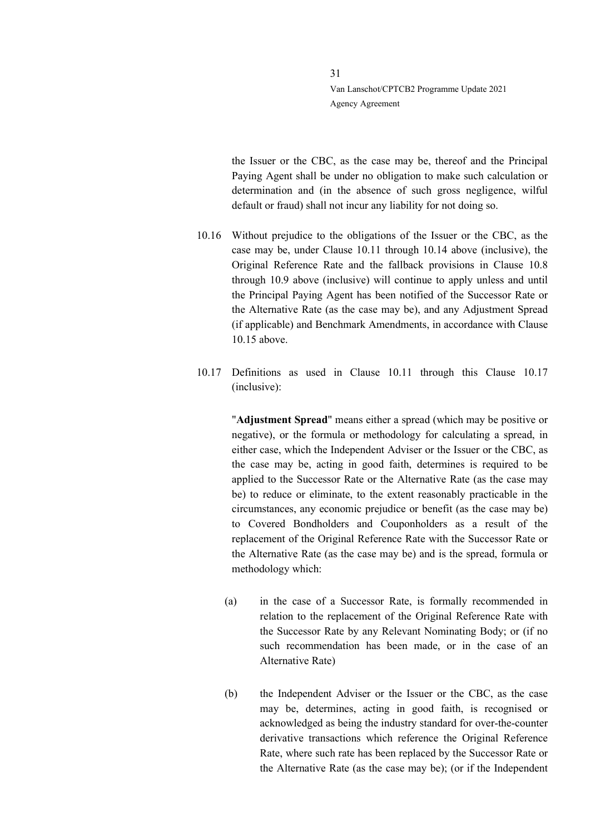the Issuer or the CBC, as the case may be, thereof and the Principal Paying Agent shall be under no obligation to make such calculation or determination and (in the absence of such gross negligence, wilful default or fraud) shall not incur any liability for not doing so.

- 10.16 Without prejudice to the obligations of the Issuer or the CBC, as the case may be, under Clause [10.11](#page-26-0) through [10.14](#page-28-1) above (inclusive), the Original Reference Rate and the fallback provisions in Clause [10.8](#page-24-3) through [10.9](#page-25-0) above (inclusive) will continue to apply unless and until the Principal Paying Agent has been notified of the Successor Rate or the Alternative Rate (as the case may be), and any Adjustment Spread (if applicable) and Benchmark Amendments, in accordance with Clause [10.15](#page-28-0) above.
- <span id="page-30-0"></span>10.17 Definitions as used in Clause [10.11](#page-26-0) through this Clause [10.17](#page-30-0) (inclusive):

"**Adjustment Spread**" means either a spread (which may be positive or negative), or the formula or methodology for calculating a spread, in either case, which the Independent Adviser or the Issuer or the CBC, as the case may be, acting in good faith, determines is required to be applied to the Successor Rate or the Alternative Rate (as the case may be) to reduce or eliminate, to the extent reasonably practicable in the circumstances, any economic prejudice or benefit (as the case may be) to Covered Bondholders and Couponholders as a result of the replacement of the Original Reference Rate with the Successor Rate or the Alternative Rate (as the case may be) and is the spread, formula or methodology which:

- (a) in the case of a Successor Rate, is formally recommended in relation to the replacement of the Original Reference Rate with the Successor Rate by any Relevant Nominating Body; or (if no such recommendation has been made, or in the case of an Alternative Rate)
- (b) the Independent Adviser or the Issuer or the CBC, as the case may be, determines, acting in good faith, is recognised or acknowledged as being the industry standard for over-the-counter derivative transactions which reference the Original Reference Rate, where such rate has been replaced by the Successor Rate or the Alternative Rate (as the case may be); (or if the Independent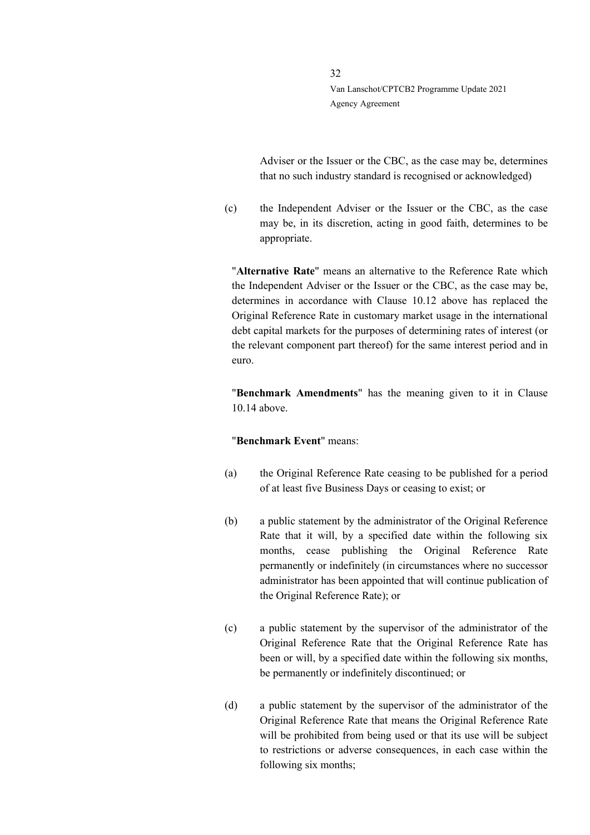Adviser or the Issuer or the CBC, as the case may be, determines that no such industry standard is recognised or acknowledged)

(c) the Independent Adviser or the Issuer or the CBC, as the case may be, in its discretion, acting in good faith, determines to be appropriate.

"**Alternative Rate**" means an alternative to the Reference Rate which the Independent Adviser or the Issuer or the CBC, as the case may be, determines in accordance with Clause [10.12](#page-27-0) above has replaced the Original Reference Rate in customary market usage in the international debt capital markets for the purposes of determining rates of interest (or the relevant component part thereof) for the same interest period and in euro.

"**Benchmark Amendments**" has the meaning given to it in Clause [10.14](#page-27-2) above.

## "**Benchmark Event**" means:

- (a) the Original Reference Rate ceasing to be published for a period of at least five Business Days or ceasing to exist; or
- (b) a public statement by the administrator of the Original Reference Rate that it will, by a specified date within the following six months, cease publishing the Original Reference Rate permanently or indefinitely (in circumstances where no successor administrator has been appointed that will continue publication of the Original Reference Rate); or
- (c) a public statement by the supervisor of the administrator of the Original Reference Rate that the Original Reference Rate has been or will, by a specified date within the following six months, be permanently or indefinitely discontinued; or
- (d) a public statement by the supervisor of the administrator of the Original Reference Rate that means the Original Reference Rate will be prohibited from being used or that its use will be subject to restrictions or adverse consequences, in each case within the following six months;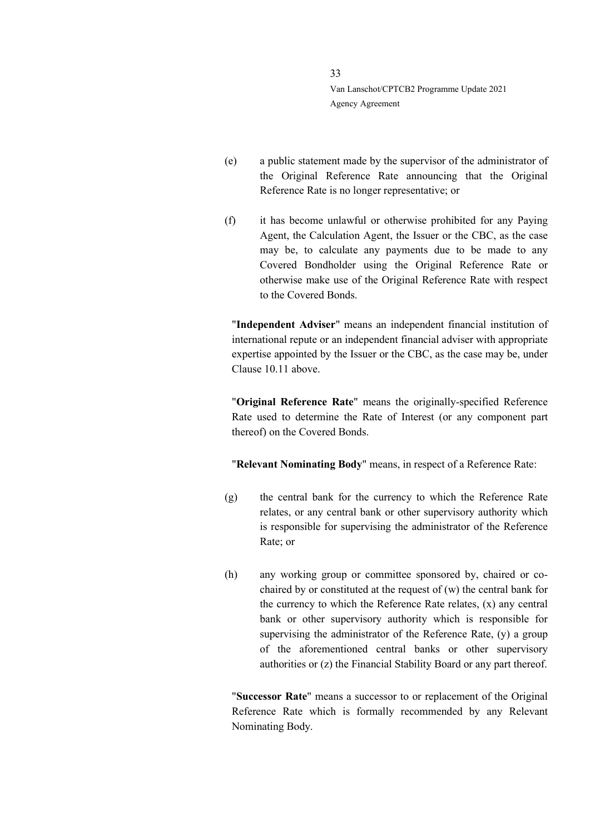- (e) a public statement made by the supervisor of the administrator of the Original Reference Rate announcing that the Original Reference Rate is no longer representative; or
- (f) it has become unlawful or otherwise prohibited for any Paying Agent, the Calculation Agent, the Issuer or the CBC, as the case may be, to calculate any payments due to be made to any Covered Bondholder using the Original Reference Rate or otherwise make use of the Original Reference Rate with respect to the Covered Bonds.

"**Independent Adviser**" means an independent financial institution of international repute or an independent financial adviser with appropriate expertise appointed by the Issuer or the CBC, as the case may be, under Claus[e 10.11](#page-26-0) above.

"**Original Reference Rate**" means the originally-specified Reference Rate used to determine the Rate of Interest (or any component part thereof) on the Covered Bonds.

"**Relevant Nominating Body**" means, in respect of a Reference Rate:

- (g) the central bank for the currency to which the Reference Rate relates, or any central bank or other supervisory authority which is responsible for supervising the administrator of the Reference Rate; or
- (h) any working group or committee sponsored by, chaired or cochaired by or constituted at the request of (w) the central bank for the currency to which the Reference Rate relates, (x) any central bank or other supervisory authority which is responsible for supervising the administrator of the Reference Rate, (y) a group of the aforementioned central banks or other supervisory authorities or (z) the Financial Stability Board or any part thereof.

"**Successor Rate**" means a successor to or replacement of the Original Reference Rate which is formally recommended by any Relevant Nominating Body.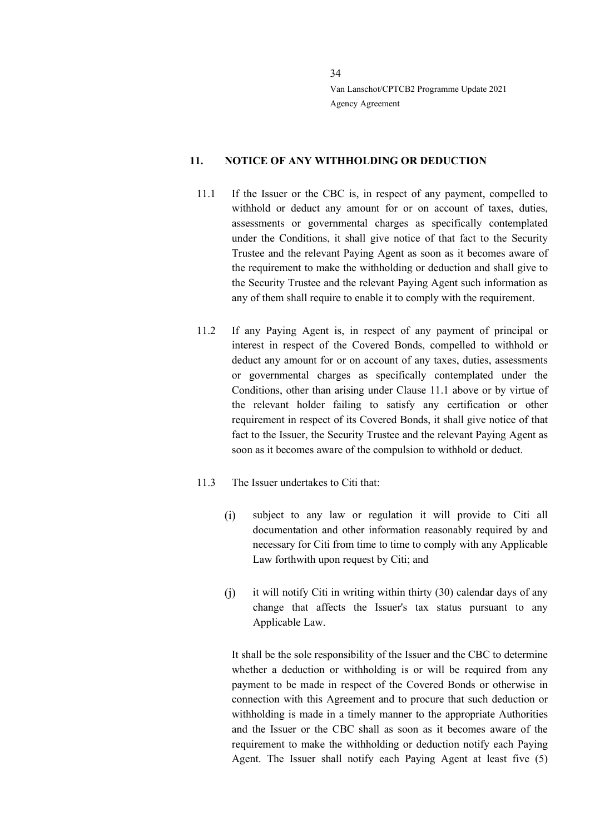#### <span id="page-33-0"></span>**11. NOTICE OF ANY WITHHOLDING OR DEDUCTION**

- <span id="page-33-1"></span>11.1 If the Issuer or the CBC is, in respect of any payment, compelled to withhold or deduct any amount for or on account of taxes, duties, assessments or governmental charges as specifically contemplated under the Conditions, it shall give notice of that fact to the Security Trustee and the relevant Paying Agent as soon as it becomes aware of the requirement to make the withholding or deduction and shall give to the Security Trustee and the relevant Paying Agent such information as any of them shall require to enable it to comply with the requirement.
- 11.2 If any Paying Agent is, in respect of any payment of principal or interest in respect of the Covered Bonds, compelled to withhold or deduct any amount for or on account of any taxes, duties, assessments or governmental charges as specifically contemplated under the Conditions, other than arising under Clause [11.1](#page-33-1) above or by virtue of the relevant holder failing to satisfy any certification or other requirement in respect of its Covered Bonds, it shall give notice of that fact to the Issuer, the Security Trustee and the relevant Paying Agent as soon as it becomes aware of the compulsion to withhold or deduct.
- 11.3 The Issuer undertakes to Citi that:
	- $(i)$ subject to any law or regulation it will provide to Citi all documentation and other information reasonably required by and necessary for Citi from time to time to comply with any Applicable Law forthwith upon request by Citi; and
	- $(i)$ it will notify Citi in writing within thirty (30) calendar days of any change that affects the Issuer's tax status pursuant to any Applicable Law.

It shall be the sole responsibility of the Issuer and the CBC to determine whether a deduction or withholding is or will be required from any payment to be made in respect of the Covered Bonds or otherwise in connection with this Agreement and to procure that such deduction or withholding is made in a timely manner to the appropriate Authorities and the Issuer or the CBC shall as soon as it becomes aware of the requirement to make the withholding or deduction notify each Paying Agent. The Issuer shall notify each Paying Agent at least five (5)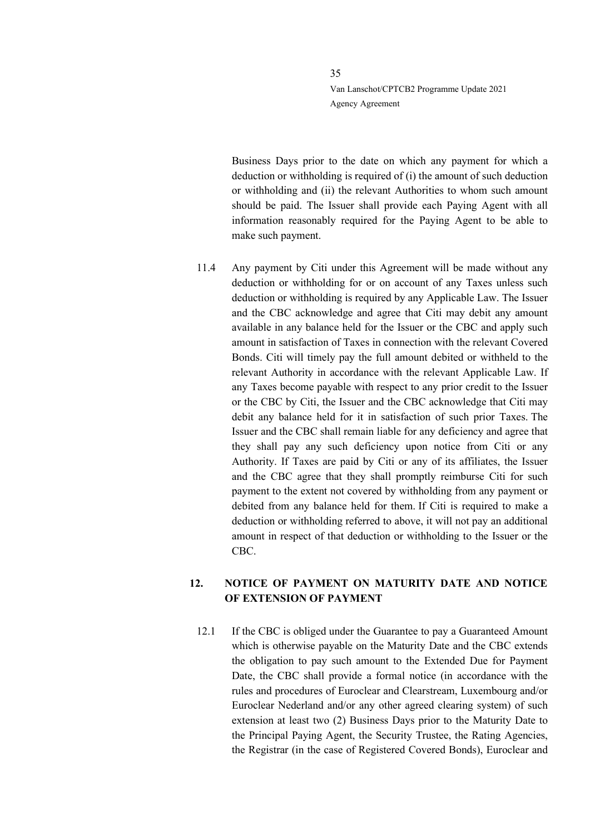Business Days prior to the date on which any payment for which a deduction or withholding is required of (i) the amount of such deduction or withholding and (ii) the relevant Authorities to whom such amount should be paid. The Issuer shall provide each Paying Agent with all information reasonably required for the Paying Agent to be able to make such payment.

11.4 Any payment by Citi under this Agreement will be made without any deduction or withholding for or on account of any Taxes unless such deduction or withholding is required by any Applicable Law. The Issuer and the CBC acknowledge and agree that Citi may debit any amount available in any balance held for the Issuer or the CBC and apply such amount in satisfaction of Taxes in connection with the relevant Covered Bonds. Citi will timely pay the full amount debited or withheld to the relevant Authority in accordance with the relevant Applicable Law. If any Taxes become payable with respect to any prior credit to the Issuer or the CBC by Citi, the Issuer and the CBC acknowledge that Citi may debit any balance held for it in satisfaction of such prior Taxes. The Issuer and the CBC shall remain liable for any deficiency and agree that they shall pay any such deficiency upon notice from Citi or any Authority. If Taxes are paid by Citi or any of its affiliates, the Issuer and the CBC agree that they shall promptly reimburse Citi for such payment to the extent not covered by withholding from any payment or debited from any balance held for them. If Citi is required to make a deduction or withholding referred to above, it will not pay an additional amount in respect of that deduction or withholding to the Issuer or the CBC.

# <span id="page-34-0"></span>**12. NOTICE OF PAYMENT ON MATURITY DATE AND NOTICE OF EXTENSION OF PAYMENT**

12.1 If the CBC is obliged under the Guarantee to pay a Guaranteed Amount which is otherwise payable on the Maturity Date and the CBC extends the obligation to pay such amount to the Extended Due for Payment Date, the CBC shall provide a formal notice (in accordance with the rules and procedures of Euroclear and Clearstream, Luxembourg and/or Euroclear Nederland and/or any other agreed clearing system) of such extension at least two (2) Business Days prior to the Maturity Date to the Principal Paying Agent, the Security Trustee, the Rating Agencies, the Registrar (in the case of Registered Covered Bonds), Euroclear and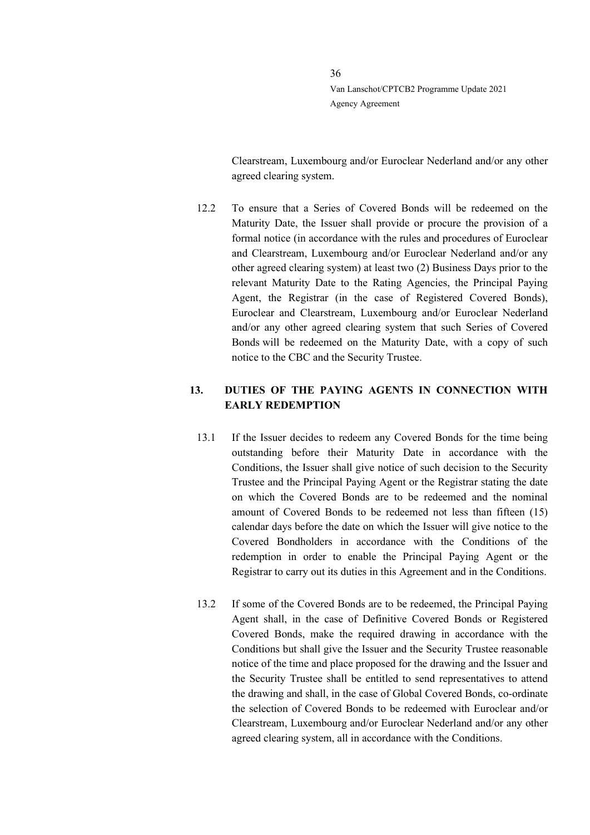Clearstream, Luxembourg and/or Euroclear Nederland and/or any other agreed clearing system.

12.2 To ensure that a Series of Covered Bonds will be redeemed on the Maturity Date, the Issuer shall provide or procure the provision of a formal notice (in accordance with the rules and procedures of Euroclear and Clearstream, Luxembourg and/or Euroclear Nederland and/or any other agreed clearing system) at least two (2) Business Days prior to the relevant Maturity Date to the Rating Agencies, the Principal Paying Agent, the Registrar (in the case of Registered Covered Bonds), Euroclear and Clearstream, Luxembourg and/or Euroclear Nederland and/or any other agreed clearing system that such Series of Covered Bonds will be redeemed on the Maturity Date, with a copy of such notice to the CBC and the Security Trustee.

# <span id="page-35-0"></span>**13. DUTIES OF THE PAYING AGENTS IN CONNECTION WITH EARLY REDEMPTION**

- <span id="page-35-1"></span>13.1 If the Issuer decides to redeem any Covered Bonds for the time being outstanding before their Maturity Date in accordance with the Conditions, the Issuer shall give notice of such decision to the Security Trustee and the Principal Paying Agent or the Registrar stating the date on which the Covered Bonds are to be redeemed and the nominal amount of Covered Bonds to be redeemed not less than fifteen (15) calendar days before the date on which the Issuer will give notice to the Covered Bondholders in accordance with the Conditions of the redemption in order to enable the Principal Paying Agent or the Registrar to carry out its duties in this Agreement and in the Conditions.
- 13.2 If some of the Covered Bonds are to be redeemed, the Principal Paying Agent shall, in the case of Definitive Covered Bonds or Registered Covered Bonds, make the required drawing in accordance with the Conditions but shall give the Issuer and the Security Trustee reasonable notice of the time and place proposed for the drawing and the Issuer and the Security Trustee shall be entitled to send representatives to attend the drawing and shall, in the case of Global Covered Bonds, co-ordinate the selection of Covered Bonds to be redeemed with Euroclear and/or Clearstream, Luxembourg and/or Euroclear Nederland and/or any other agreed clearing system, all in accordance with the Conditions.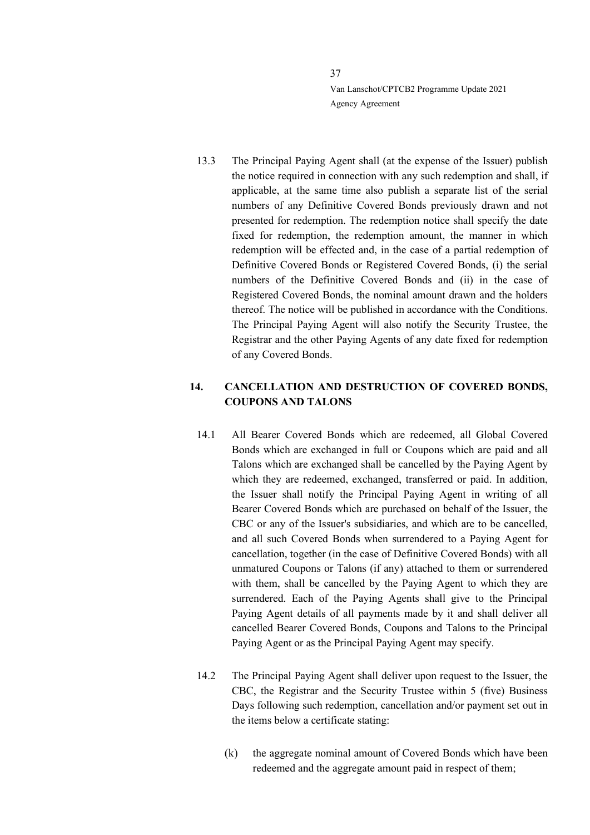13.3 The Principal Paying Agent shall (at the expense of the Issuer) publish the notice required in connection with any such redemption and shall, if applicable, at the same time also publish a separate list of the serial numbers of any Definitive Covered Bonds previously drawn and not presented for redemption. The redemption notice shall specify the date fixed for redemption, the redemption amount, the manner in which redemption will be effected and, in the case of a partial redemption of Definitive Covered Bonds or Registered Covered Bonds, (i) the serial numbers of the Definitive Covered Bonds and (ii) in the case of Registered Covered Bonds, the nominal amount drawn and the holders thereof. The notice will be published in accordance with the Conditions. The Principal Paying Agent will also notify the Security Trustee, the Registrar and the other Paying Agents of any date fixed for redemption of any Covered Bonds.

# <span id="page-36-0"></span>**14. CANCELLATION AND DESTRUCTION OF COVERED BONDS, COUPONS AND TALONS**

- <span id="page-36-2"></span>14.1 All Bearer Covered Bonds which are redeemed, all Global Covered Bonds which are exchanged in full or Coupons which are paid and all Talons which are exchanged shall be cancelled by the Paying Agent by which they are redeemed, exchanged, transferred or paid. In addition, the Issuer shall notify the Principal Paying Agent in writing of all Bearer Covered Bonds which are purchased on behalf of the Issuer, the CBC or any of the Issuer's subsidiaries, and which are to be cancelled, and all such Covered Bonds when surrendered to a Paying Agent for cancellation, together (in the case of Definitive Covered Bonds) with all unmatured Coupons or Talons (if any) attached to them or surrendered with them, shall be cancelled by the Paying Agent to which they are surrendered. Each of the Paying Agents shall give to the Principal Paying Agent details of all payments made by it and shall deliver all cancelled Bearer Covered Bonds, Coupons and Talons to the Principal Paying Agent or as the Principal Paying Agent may specify.
- <span id="page-36-1"></span>14.2 The Principal Paying Agent shall deliver upon request to the Issuer, the CBC, the Registrar and the Security Trustee within 5 (five) Business Days following such redemption, cancellation and/or payment set out in the items below a certificate stating:
	- $(k)$ the aggregate nominal amount of Covered Bonds which have been redeemed and the aggregate amount paid in respect of them;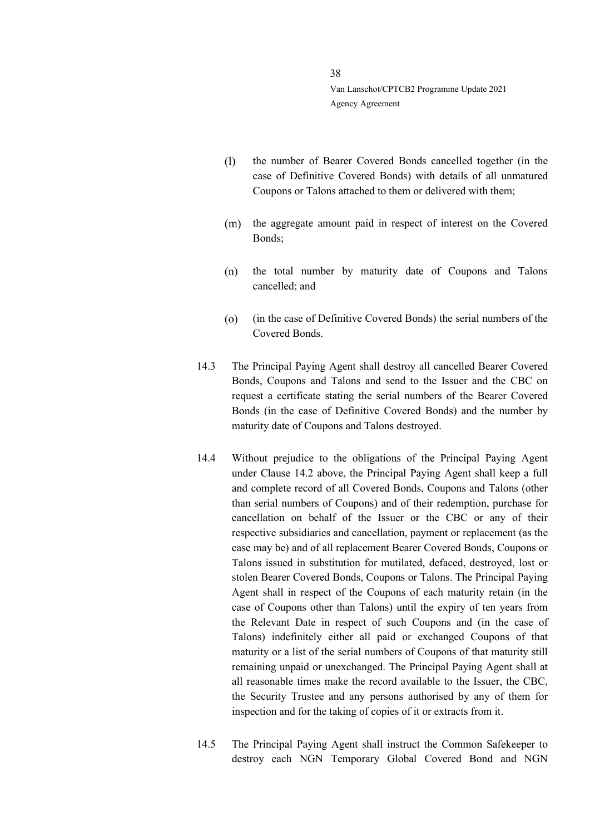- $(1)$ the number of Bearer Covered Bonds cancelled together (in the case of Definitive Covered Bonds) with details of all unmatured Coupons or Talons attached to them or delivered with them;
- the aggregate amount paid in respect of interest on the Covered  $(m)$ Bonds;
- $(n)$ the total number by maturity date of Coupons and Talons cancelled; and
- $(0)$ (in the case of Definitive Covered Bonds) the serial numbers of the Covered Bonds.
- <span id="page-37-0"></span>14.3 The Principal Paying Agent shall destroy all cancelled Bearer Covered Bonds, Coupons and Talons and send to the Issuer and the CBC on request a certificate stating the serial numbers of the Bearer Covered Bonds (in the case of Definitive Covered Bonds) and the number by maturity date of Coupons and Talons destroyed.
- 14.4 Without prejudice to the obligations of the Principal Paying Agent under Clause [14.2](#page-36-1) above, the Principal Paying Agent shall keep a full and complete record of all Covered Bonds, Coupons and Talons (other than serial numbers of Coupons) and of their redemption, purchase for cancellation on behalf of the Issuer or the CBC or any of their respective subsidiaries and cancellation, payment or replacement (as the case may be) and of all replacement Bearer Covered Bonds, Coupons or Talons issued in substitution for mutilated, defaced, destroyed, lost or stolen Bearer Covered Bonds, Coupons or Talons. The Principal Paying Agent shall in respect of the Coupons of each maturity retain (in the case of Coupons other than Talons) until the expiry of ten years from the Relevant Date in respect of such Coupons and (in the case of Talons) indefinitely either all paid or exchanged Coupons of that maturity or a list of the serial numbers of Coupons of that maturity still remaining unpaid or unexchanged. The Principal Paying Agent shall at all reasonable times make the record available to the Issuer, the CBC, the Security Trustee and any persons authorised by any of them for inspection and for the taking of copies of it or extracts from it.
- 14.5 The Principal Paying Agent shall instruct the Common Safekeeper to destroy each NGN Temporary Global Covered Bond and NGN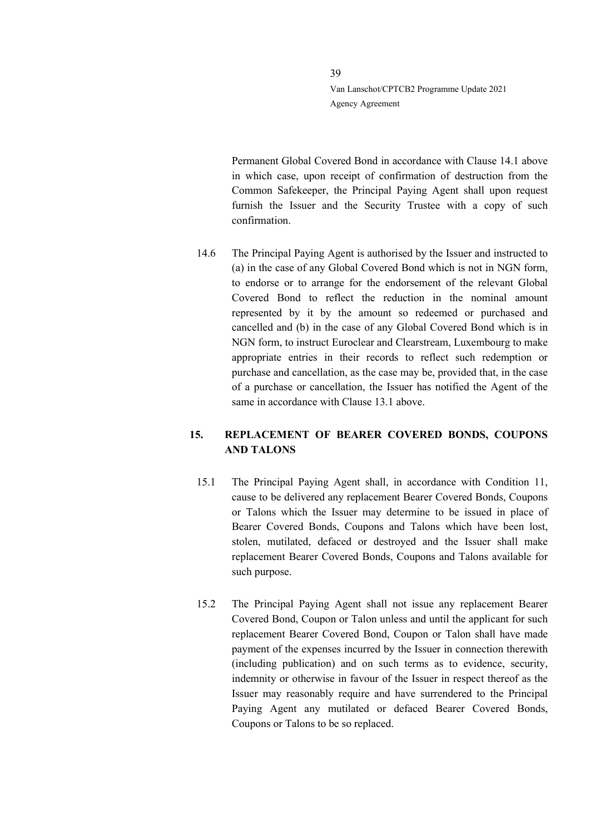Permanent Global Covered Bond in accordance with Clause [14.1](#page-36-2) above in which case, upon receipt of confirmation of destruction from the Common Safekeeper, the Principal Paying Agent shall upon request furnish the Issuer and the Security Trustee with a copy of such confirmation.

14.6 The Principal Paying Agent is authorised by the Issuer and instructed to (a) in the case of any Global Covered Bond which is not in NGN form, to endorse or to arrange for the endorsement of the relevant Global Covered Bond to reflect the reduction in the nominal amount represented by it by the amount so redeemed or purchased and cancelled and (b) in the case of any Global Covered Bond which is in NGN form, to instruct Euroclear and Clearstream, Luxembourg to make appropriate entries in their records to reflect such redemption or purchase and cancellation, as the case may be, provided that, in the case of a purchase or cancellation, the Issuer has notified the Agent of the same in accordance with Clause [13.1](#page-35-1) above.

# <span id="page-38-0"></span>**15. REPLACEMENT OF BEARER COVERED BONDS, COUPONS AND TALONS**

- 15.1 The Principal Paying Agent shall, in accordance with Condition 11, cause to be delivered any replacement Bearer Covered Bonds, Coupons or Talons which the Issuer may determine to be issued in place of Bearer Covered Bonds, Coupons and Talons which have been lost, stolen, mutilated, defaced or destroyed and the Issuer shall make replacement Bearer Covered Bonds, Coupons and Talons available for such purpose.
- 15.2 The Principal Paying Agent shall not issue any replacement Bearer Covered Bond, Coupon or Talon unless and until the applicant for such replacement Bearer Covered Bond, Coupon or Talon shall have made payment of the expenses incurred by the Issuer in connection therewith (including publication) and on such terms as to evidence, security, indemnity or otherwise in favour of the Issuer in respect thereof as the Issuer may reasonably require and have surrendered to the Principal Paying Agent any mutilated or defaced Bearer Covered Bonds, Coupons or Talons to be so replaced.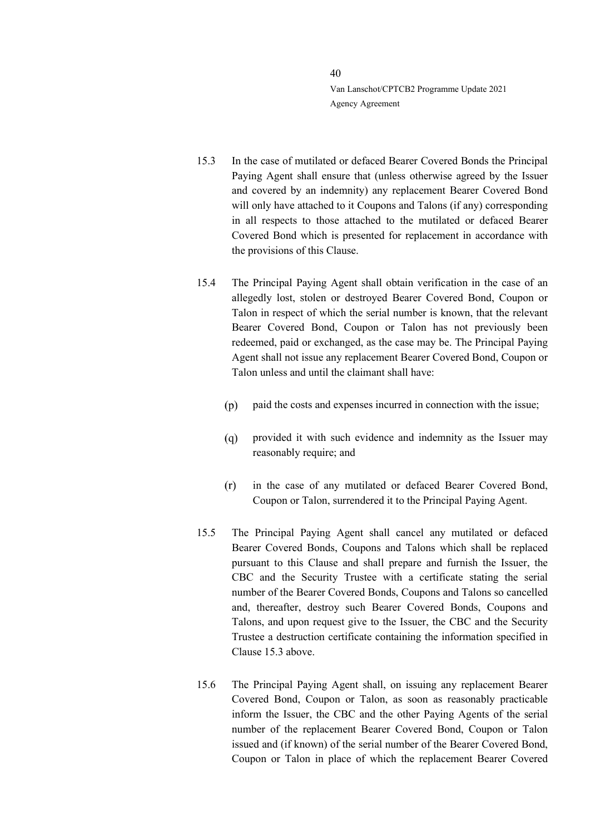- 15.3 In the case of mutilated or defaced Bearer Covered Bonds the Principal Paying Agent shall ensure that (unless otherwise agreed by the Issuer and covered by an indemnity) any replacement Bearer Covered Bond will only have attached to it Coupons and Talons (if any) corresponding in all respects to those attached to the mutilated or defaced Bearer Covered Bond which is presented for replacement in accordance with the provisions of this Clause.
- 15.4 The Principal Paying Agent shall obtain verification in the case of an allegedly lost, stolen or destroyed Bearer Covered Bond, Coupon or Talon in respect of which the serial number is known, that the relevant Bearer Covered Bond, Coupon or Talon has not previously been redeemed, paid or exchanged, as the case may be. The Principal Paying Agent shall not issue any replacement Bearer Covered Bond, Coupon or Talon unless and until the claimant shall have:
	- paid the costs and expenses incurred in connection with the issue;  $(p)$
	- provided it with such evidence and indemnity as the Issuer may  $(q)$ reasonably require; and
	- in the case of any mutilated or defaced Bearer Covered Bond,  $(r)$ Coupon or Talon, surrendered it to the Principal Paying Agent.
- 15.5 The Principal Paying Agent shall cancel any mutilated or defaced Bearer Covered Bonds, Coupons and Talons which shall be replaced pursuant to this Clause and shall prepare and furnish the Issuer, the CBC and the Security Trustee with a certificate stating the serial number of the Bearer Covered Bonds, Coupons and Talons so cancelled and, thereafter, destroy such Bearer Covered Bonds, Coupons and Talons, and upon request give to the Issuer, the CBC and the Security Trustee a destruction certificate containing the information specified in Claus[e 15.3](#page-37-0) above.
- 15.6 The Principal Paying Agent shall, on issuing any replacement Bearer Covered Bond, Coupon or Talon, as soon as reasonably practicable inform the Issuer, the CBC and the other Paying Agents of the serial number of the replacement Bearer Covered Bond, Coupon or Talon issued and (if known) of the serial number of the Bearer Covered Bond, Coupon or Talon in place of which the replacement Bearer Covered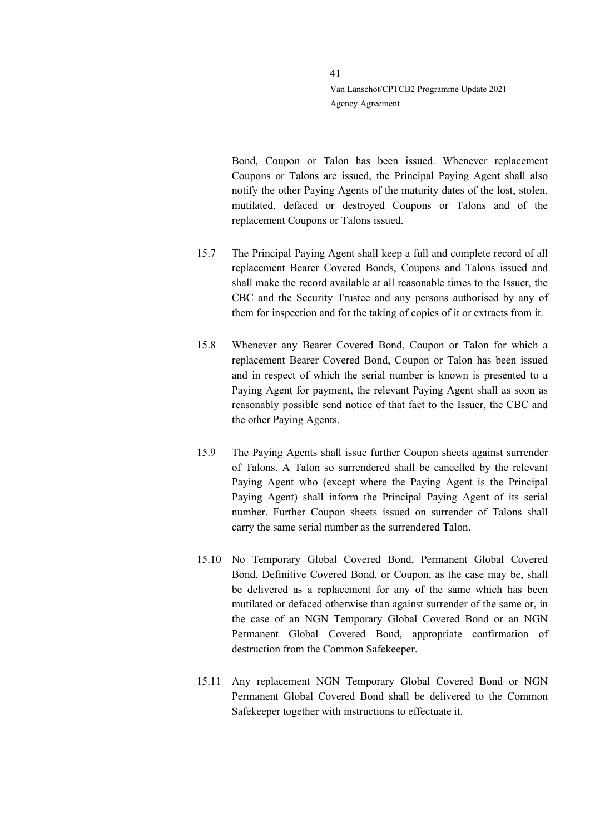Bond, Coupon or Talon has been issued. Whenever replacement Coupons or Talons are issued, the Principal Paying Agent shall also notify the other Paying Agents of the maturity dates of the lost, stolen, mutilated, defaced or destroyed Coupons or Talons and of the replacement Coupons or Talons issued.

- 15.7 The Principal Paying Agent shall keep a full and complete record of all replacement Bearer Covered Bonds, Coupons and Talons issued and shall make the record available at all reasonable times to the Issuer, the CBC and the Security Trustee and any persons authorised by any of them for inspection and for the taking of copies of it or extracts from it.
- 15.8 Whenever any Bearer Covered Bond, Coupon or Talon for which a replacement Bearer Covered Bond, Coupon or Talon has been issued and in respect of which the serial number is known is presented to a Paying Agent for payment, the relevant Paying Agent shall as soon as reasonably possible send notice of that fact to the Issuer, the CBC and the other Paying Agents.
- 15.9 The Paying Agents shall issue further Coupon sheets against surrender of Talons. A Talon so surrendered shall be cancelled by the relevant Paying Agent who (except where the Paying Agent is the Principal Paying Agent) shall inform the Principal Paying Agent of its serial number. Further Coupon sheets issued on surrender of Talons shall carry the same serial number as the surrendered Talon.
- 15.10 No Temporary Global Covered Bond, Permanent Global Covered Bond, Definitive Covered Bond, or Coupon, as the case may be, shall be delivered as a replacement for any of the same which has been mutilated or defaced otherwise than against surrender of the same or, in the case of an NGN Temporary Global Covered Bond or an NGN Permanent Global Covered Bond, appropriate confirmation of destruction from the Common Safekeeper.
- 15.11 Any replacement NGN Temporary Global Covered Bond or NGN Permanent Global Covered Bond shall be delivered to the Common Safekeeper together with instructions to effectuate it.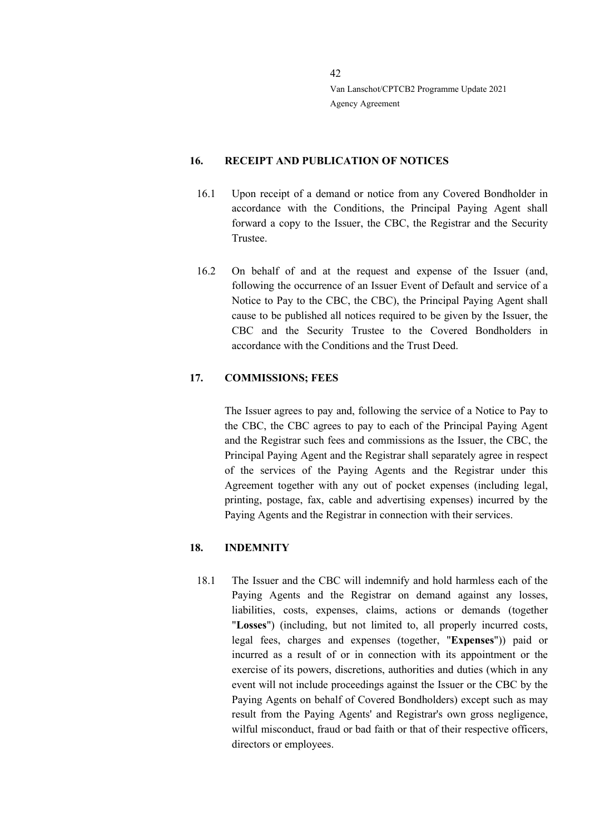#### <span id="page-41-0"></span>**16. RECEIPT AND PUBLICATION OF NOTICES**

- 16.1 Upon receipt of a demand or notice from any Covered Bondholder in accordance with the Conditions, the Principal Paying Agent shall forward a copy to the Issuer, the CBC, the Registrar and the Security Trustee.
- 16.2 On behalf of and at the request and expense of the Issuer (and, following the occurrence of an Issuer Event of Default and service of a Notice to Pay to the CBC, the CBC), the Principal Paying Agent shall cause to be published all notices required to be given by the Issuer, the CBC and the Security Trustee to the Covered Bondholders in accordance with the Conditions and the Trust Deed.

## <span id="page-41-1"></span>**17. COMMISSIONS; FEES**

The Issuer agrees to pay and, following the service of a Notice to Pay to the CBC, the CBC agrees to pay to each of the Principal Paying Agent and the Registrar such fees and commissions as the Issuer, the CBC, the Principal Paying Agent and the Registrar shall separately agree in respect of the services of the Paying Agents and the Registrar under this Agreement together with any out of pocket expenses (including legal, printing, postage, fax, cable and advertising expenses) incurred by the Paying Agents and the Registrar in connection with their services.

## <span id="page-41-2"></span>**18. INDEMNITY**

18.1 The Issuer and the CBC will indemnify and hold harmless each of the Paying Agents and the Registrar on demand against any losses, liabilities, costs, expenses, claims, actions or demands (together "**Losses**") (including, but not limited to, all properly incurred costs, legal fees, charges and expenses (together, "**Expenses**")) paid or incurred as a result of or in connection with its appointment or the exercise of its powers, discretions, authorities and duties (which in any event will not include proceedings against the Issuer or the CBC by the Paying Agents on behalf of Covered Bondholders) except such as may result from the Paying Agents' and Registrar's own gross negligence, wilful misconduct, fraud or bad faith or that of their respective officers, directors or employees.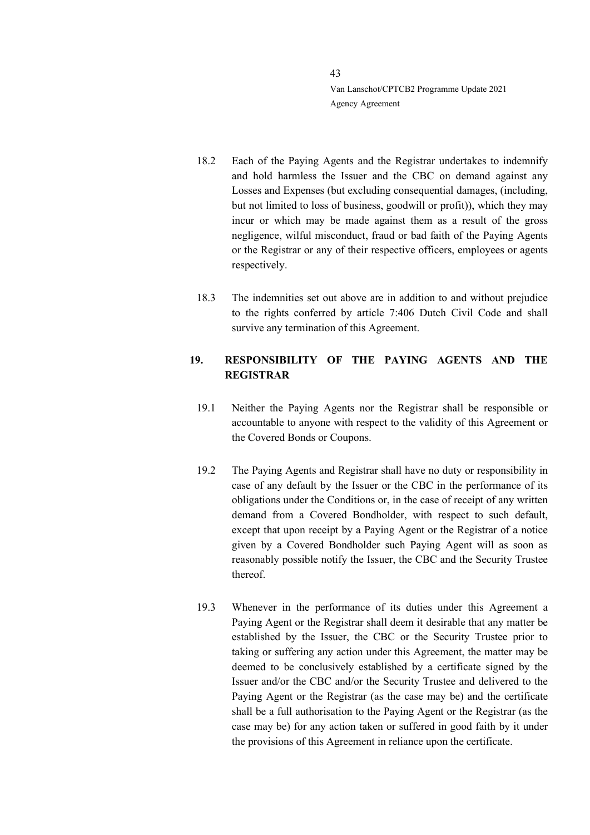- 18.2 Each of the Paying Agents and the Registrar undertakes to indemnify and hold harmless the Issuer and the CBC on demand against any Losses and Expenses (but excluding consequential damages, (including, but not limited to loss of business, goodwill or profit)), which they may incur or which may be made against them as a result of the gross negligence, wilful misconduct, fraud or bad faith of the Paying Agents or the Registrar or any of their respective officers, employees or agents respectively.
- 18.3 The indemnities set out above are in addition to and without prejudice to the rights conferred by article 7:406 Dutch Civil Code and shall survive any termination of this Agreement.

# <span id="page-42-0"></span>**19. RESPONSIBILITY OF THE PAYING AGENTS AND THE REGISTRAR**

- 19.1 Neither the Paying Agents nor the Registrar shall be responsible or accountable to anyone with respect to the validity of this Agreement or the Covered Bonds or Coupons.
- 19.2 The Paying Agents and Registrar shall have no duty or responsibility in case of any default by the Issuer or the CBC in the performance of its obligations under the Conditions or, in the case of receipt of any written demand from a Covered Bondholder, with respect to such default, except that upon receipt by a Paying Agent or the Registrar of a notice given by a Covered Bondholder such Paying Agent will as soon as reasonably possible notify the Issuer, the CBC and the Security Trustee thereof.
- 19.3 Whenever in the performance of its duties under this Agreement a Paying Agent or the Registrar shall deem it desirable that any matter be established by the Issuer, the CBC or the Security Trustee prior to taking or suffering any action under this Agreement, the matter may be deemed to be conclusively established by a certificate signed by the Issuer and/or the CBC and/or the Security Trustee and delivered to the Paying Agent or the Registrar (as the case may be) and the certificate shall be a full authorisation to the Paying Agent or the Registrar (as the case may be) for any action taken or suffered in good faith by it under the provisions of this Agreement in reliance upon the certificate.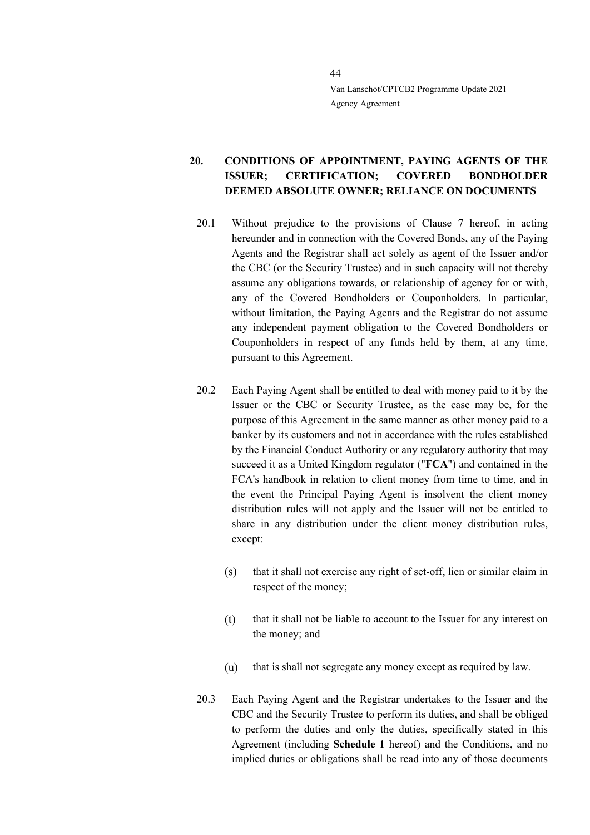# <span id="page-43-0"></span>**20. CONDITIONS OF APPOINTMENT, PAYING AGENTS OF THE ISSUER; CERTIFICATION; COVERED BONDHOLDER DEEMED ABSOLUTE OWNER; RELIANCE ON DOCUMENTS**

- 20.1 Without prejudice to the provisions of Clause [7](#page-15-0) hereof, in acting hereunder and in connection with the Covered Bonds, any of the Paying Agents and the Registrar shall act solely as agent of the Issuer and/or the CBC (or the Security Trustee) and in such capacity will not thereby assume any obligations towards, or relationship of agency for or with, any of the Covered Bondholders or Couponholders. In particular, without limitation, the Paying Agents and the Registrar do not assume any independent payment obligation to the Covered Bondholders or Couponholders in respect of any funds held by them, at any time, pursuant to this Agreement.
- 20.2 Each Paying Agent shall be entitled to deal with money paid to it by the Issuer or the CBC or Security Trustee, as the case may be, for the purpose of this Agreement in the same manner as other money paid to a banker by its customers and not in accordance with the rules established by the Financial Conduct Authority or any regulatory authority that may succeed it as a United Kingdom regulator ("**FCA**") and contained in the FCA's handbook in relation to client money from time to time, and in the event the Principal Paying Agent is insolvent the client money distribution rules will not apply and the Issuer will not be entitled to share in any distribution under the client money distribution rules, except:
	- $(s)$ that it shall not exercise any right of set-off, lien or similar claim in respect of the money;
	- $(t)$ that it shall not be liable to account to the Issuer for any interest on the money; and
	- $(u)$ that is shall not segregate any money except as required by law.
- 20.3 Each Paying Agent and the Registrar undertakes to the Issuer and the CBC and the Security Trustee to perform its duties, and shall be obliged to perform the duties and only the duties, specifically stated in this Agreement (including **Schedule 1** hereof) and the Conditions, and no implied duties or obligations shall be read into any of those documents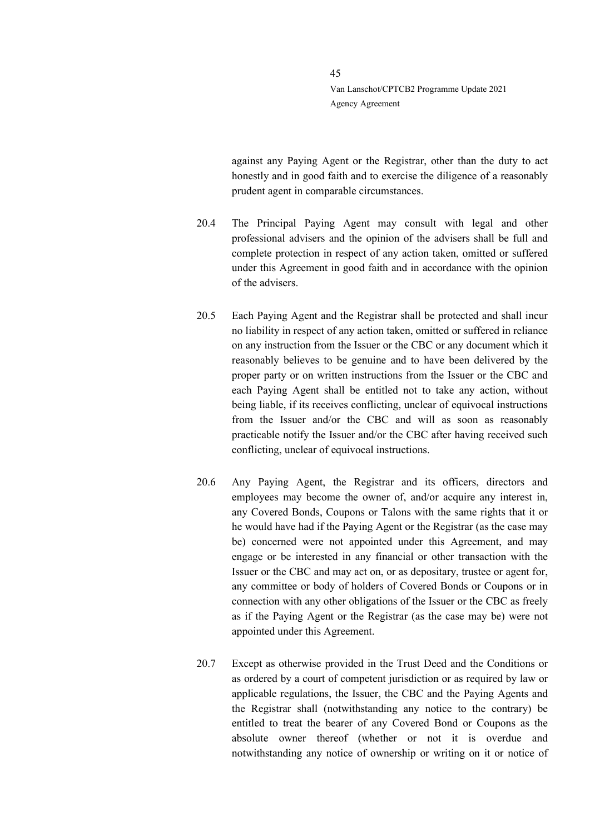against any Paying Agent or the Registrar, other than the duty to act honestly and in good faith and to exercise the diligence of a reasonably prudent agent in comparable circumstances.

- 20.4 The Principal Paying Agent may consult with legal and other professional advisers and the opinion of the advisers shall be full and complete protection in respect of any action taken, omitted or suffered under this Agreement in good faith and in accordance with the opinion of the advisers.
- 20.5 Each Paying Agent and the Registrar shall be protected and shall incur no liability in respect of any action taken, omitted or suffered in reliance on any instruction from the Issuer or the CBC or any document which it reasonably believes to be genuine and to have been delivered by the proper party or on written instructions from the Issuer or the CBC and each Paying Agent shall be entitled not to take any action, without being liable, if its receives conflicting, unclear of equivocal instructions from the Issuer and/or the CBC and will as soon as reasonably practicable notify the Issuer and/or the CBC after having received such conflicting, unclear of equivocal instructions.
- 20.6 Any Paying Agent, the Registrar and its officers, directors and employees may become the owner of, and/or acquire any interest in, any Covered Bonds, Coupons or Talons with the same rights that it or he would have had if the Paying Agent or the Registrar (as the case may be) concerned were not appointed under this Agreement, and may engage or be interested in any financial or other transaction with the Issuer or the CBC and may act on, or as depositary, trustee or agent for, any committee or body of holders of Covered Bonds or Coupons or in connection with any other obligations of the Issuer or the CBC as freely as if the Paying Agent or the Registrar (as the case may be) were not appointed under this Agreement.
- 20.7 Except as otherwise provided in the Trust Deed and the Conditions or as ordered by a court of competent jurisdiction or as required by law or applicable regulations, the Issuer, the CBC and the Paying Agents and the Registrar shall (notwithstanding any notice to the contrary) be entitled to treat the bearer of any Covered Bond or Coupons as the absolute owner thereof (whether or not it is overdue and notwithstanding any notice of ownership or writing on it or notice of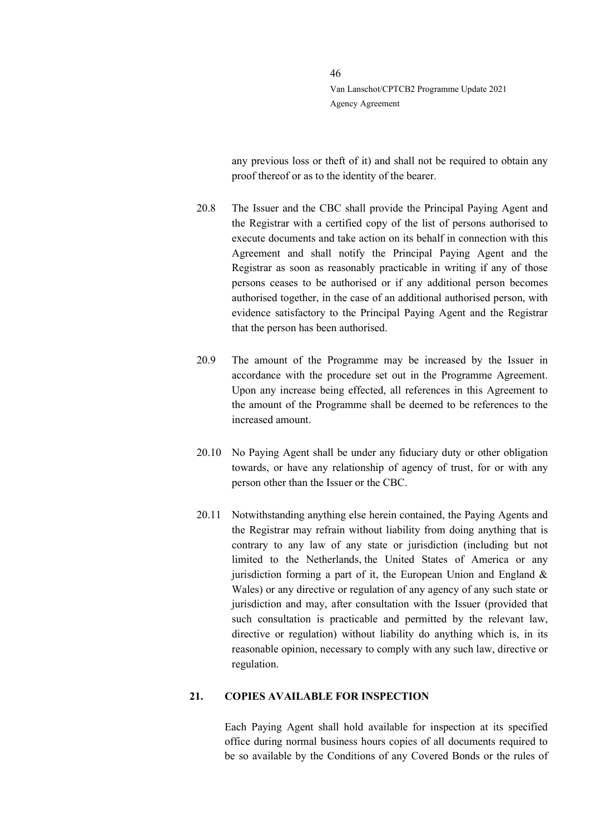any previous loss or theft of it) and shall not be required to obtain any proof thereof or as to the identity of the bearer.

- <span id="page-45-1"></span>20.8 The Issuer and the CBC shall provide the Principal Paying Agent and the Registrar with a certified copy of the list of persons authorised to execute documents and take action on its behalf in connection with this Agreement and shall notify the Principal Paying Agent and the Registrar as soon as reasonably practicable in writing if any of those persons ceases to be authorised or if any additional person becomes authorised together, in the case of an additional authorised person, with evidence satisfactory to the Principal Paying Agent and the Registrar that the person has been authorised.
- 20.9 The amount of the Programme may be increased by the Issuer in accordance with the procedure set out in the Programme Agreement. Upon any increase being effected, all references in this Agreement to the amount of the Programme shall be deemed to be references to the increased amount.
- 20.10 No Paying Agent shall be under any fiduciary duty or other obligation towards, or have any relationship of agency of trust, for or with any person other than the Issuer or the CBC.
- 20.11 Notwithstanding anything else herein contained, the Paying Agents and the Registrar may refrain without liability from doing anything that is contrary to any law of any state or jurisdiction (including but not limited to the Netherlands, the United States of America or any jurisdiction forming a part of it, the European Union and England  $\&$ Wales) or any directive or regulation of any agency of any such state or jurisdiction and may, after consultation with the Issuer (provided that such consultation is practicable and permitted by the relevant law, directive or regulation) without liability do anything which is, in its reasonable opinion, necessary to comply with any such law, directive or regulation.

#### <span id="page-45-0"></span>**21. COPIES AVAILABLE FOR INSPECTION**

Each Paying Agent shall hold available for inspection at its specified office during normal business hours copies of all documents required to be so available by the Conditions of any Covered Bonds or the rules of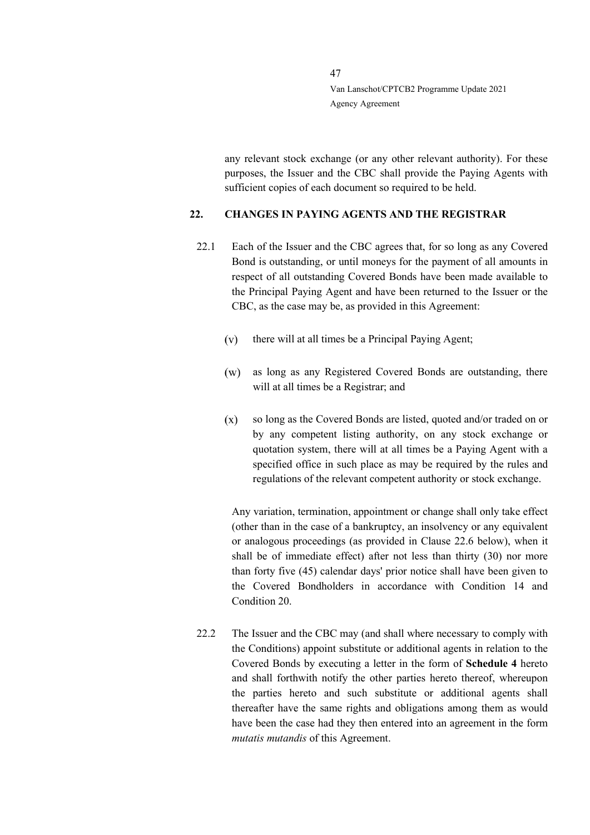any relevant stock exchange (or any other relevant authority). For these purposes, the Issuer and the CBC shall provide the Paying Agents with sufficient copies of each document so required to be held.

## <span id="page-46-0"></span>**22. CHANGES IN PAYING AGENTS AND THE REGISTRAR**

- <span id="page-46-1"></span>22.1 Each of the Issuer and the CBC agrees that, for so long as any Covered Bond is outstanding, or until moneys for the payment of all amounts in respect of all outstanding Covered Bonds have been made available to the Principal Paying Agent and have been returned to the Issuer or the CBC, as the case may be, as provided in this Agreement:
	- there will at all times be a Principal Paying Agent;  $(v)$
	- $(w)$ as long as any Registered Covered Bonds are outstanding, there will at all times be a Registrar; and
	- $(x)$ so long as the Covered Bonds are listed, quoted and/or traded on or by any competent listing authority, on any stock exchange or quotation system, there will at all times be a Paying Agent with a specified office in such place as may be required by the rules and regulations of the relevant competent authority or stock exchange.

Any variation, termination, appointment or change shall only take effect (other than in the case of a bankruptcy, an insolvency or any equivalent or analogous proceedings (as provided in Clause [22.6](#page-47-0) below), when it shall be of immediate effect) after not less than thirty (30) nor more than forty five (45) calendar days' prior notice shall have been given to the Covered Bondholders in accordance with Condition 14 and Condition 20.

22.2 The Issuer and the CBC may (and shall where necessary to comply with the Conditions) appoint substitute or additional agents in relation to the Covered Bonds by executing a letter in the form of **Schedule 4** hereto and shall forthwith notify the other parties hereto thereof, whereupon the parties hereto and such substitute or additional agents shall thereafter have the same rights and obligations among them as would have been the case had they then entered into an agreement in the form *mutatis mutandis* of this Agreement.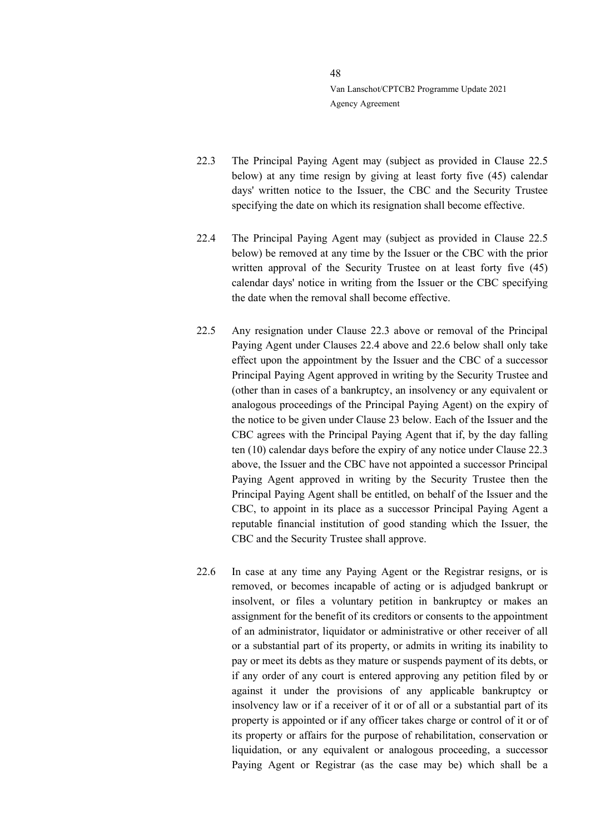- <span id="page-47-2"></span>22.3 The Principal Paying Agent may (subject as provided in Clause [22.5](#page-47-1) below) at any time resign by giving at least forty five (45) calendar days' written notice to the Issuer, the CBC and the Security Trustee specifying the date on which its resignation shall become effective.
- <span id="page-47-3"></span>22.4 The Principal Paying Agent may (subject as provided in Clause [22.5](#page-47-1) below) be removed at any time by the Issuer or the CBC with the prior written approval of the Security Trustee on at least forty five (45) calendar days' notice in writing from the Issuer or the CBC specifying the date when the removal shall become effective.
- <span id="page-47-1"></span>22.5 Any resignation under Clause [22.3](#page-47-2) above or removal of the Principal Paying Agent under Clauses [22.4](#page-47-3) above and [22.6](#page-47-0) below shall only take effect upon the appointment by the Issuer and the CBC of a successor Principal Paying Agent approved in writing by the Security Trustee and (other than in cases of a bankruptcy, an insolvency or any equivalent or analogous proceedings of the Principal Paying Agent) on the expiry of the notice to be given under Clause [23](#page-49-0) below. Each of the Issuer and the CBC agrees with the Principal Paying Agent that if, by the day falling ten (10) calendar days before the expiry of any notice under Clause [22.3](#page-47-2) above, the Issuer and the CBC have not appointed a successor Principal Paying Agent approved in writing by the Security Trustee then the Principal Paying Agent shall be entitled, on behalf of the Issuer and the CBC, to appoint in its place as a successor Principal Paying Agent a reputable financial institution of good standing which the Issuer, the CBC and the Security Trustee shall approve.
- <span id="page-47-0"></span>22.6 In case at any time any Paying Agent or the Registrar resigns, or is removed, or becomes incapable of acting or is adjudged bankrupt or insolvent, or files a voluntary petition in bankruptcy or makes an assignment for the benefit of its creditors or consents to the appointment of an administrator, liquidator or administrative or other receiver of all or a substantial part of its property, or admits in writing its inability to pay or meet its debts as they mature or suspends payment of its debts, or if any order of any court is entered approving any petition filed by or against it under the provisions of any applicable bankruptcy or insolvency law or if a receiver of it or of all or a substantial part of its property is appointed or if any officer takes charge or control of it or of its property or affairs for the purpose of rehabilitation, conservation or liquidation, or any equivalent or analogous proceeding, a successor Paying Agent or Registrar (as the case may be) which shall be a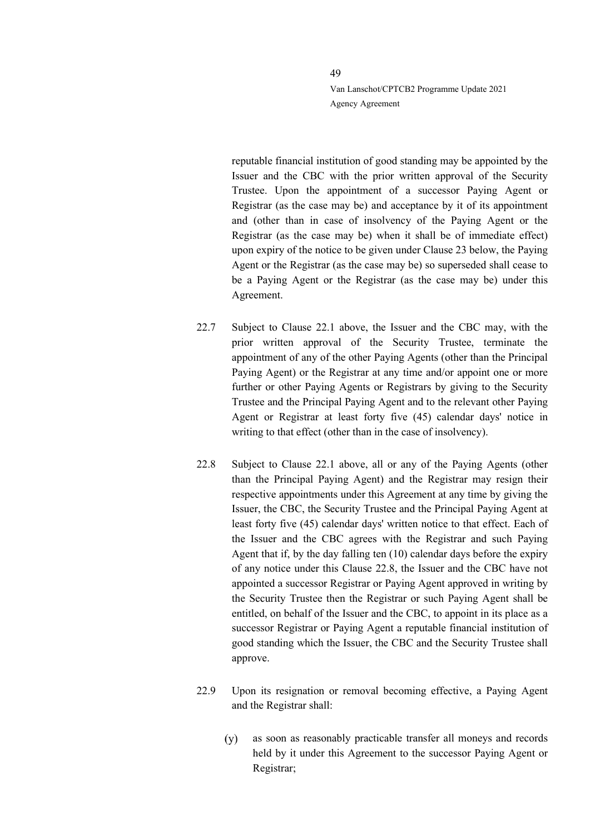reputable financial institution of good standing may be appointed by the Issuer and the CBC with the prior written approval of the Security Trustee. Upon the appointment of a successor Paying Agent or Registrar (as the case may be) and acceptance by it of its appointment and (other than in case of insolvency of the Paying Agent or the Registrar (as the case may be) when it shall be of immediate effect) upon expiry of the notice to be given under Clause [23](#page-49-0) below, the Paying Agent or the Registrar (as the case may be) so superseded shall cease to be a Paying Agent or the Registrar (as the case may be) under this Agreement.

- <span id="page-48-0"></span>22.7 Subject to Clause [22.1](#page-46-1) above, the Issuer and the CBC may, with the prior written approval of the Security Trustee, terminate the appointment of any of the other Paying Agents (other than the Principal Paying Agent) or the Registrar at any time and/or appoint one or more further or other Paying Agents or Registrars by giving to the Security Trustee and the Principal Paying Agent and to the relevant other Paying Agent or Registrar at least forty five (45) calendar days' notice in writing to that effect (other than in the case of insolvency).
- 22.8 Subject to Clause [22.1](#page-46-1) above, all or any of the Paying Agents (other than the Principal Paying Agent) and the Registrar may resign their respective appointments under this Agreement at any time by giving the Issuer, the CBC, the Security Trustee and the Principal Paying Agent at least forty five (45) calendar days' written notice to that effect. Each of the Issuer and the CBC agrees with the Registrar and such Paying Agent that if, by the day falling ten (10) calendar days before the expiry of any notice under this Clause 22.8, the Issuer and the CBC have not appointed a successor Registrar or Paying Agent approved in writing by the Security Trustee then the Registrar or such Paying Agent shall be entitled, on behalf of the Issuer and the CBC, to appoint in its place as a successor Registrar or Paying Agent a reputable financial institution of good standing which the Issuer, the CBC and the Security Trustee shall approve.
- 22.9 Upon its resignation or removal becoming effective, a Paying Agent and the Registrar shall:
	- $(y)$ as soon as reasonably practicable transfer all moneys and records held by it under this Agreement to the successor Paying Agent or Registrar;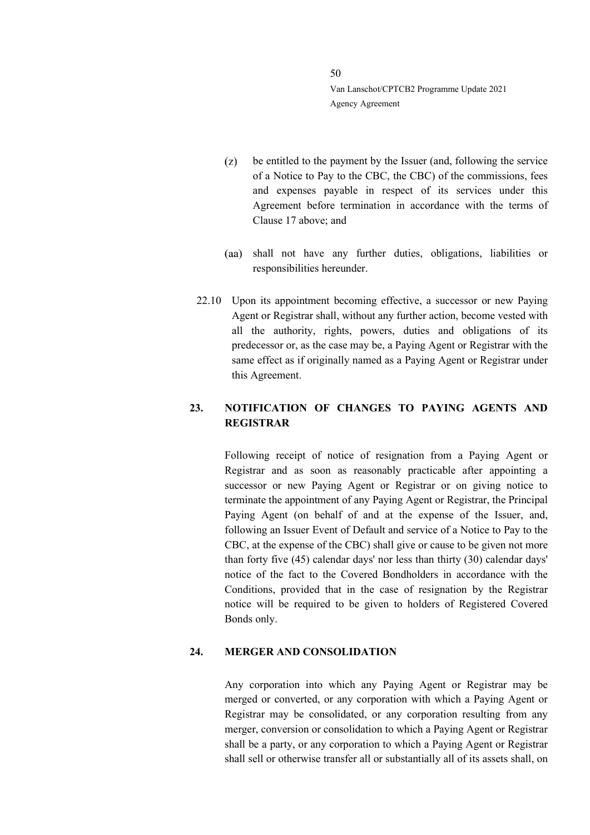- be entitled to the payment by the Issuer (and, following the service  $(z)$ of a Notice to Pay to the CBC, the CBC) of the commissions, fees and expenses payable in respect of its services under this Agreement before termination in accordance with the terms of Clause [17](#page-41-1) above; and
- shall not have any further duties, obligations, liabilities or responsibilities hereunder.
- 22.10 Upon its appointment becoming effective, a successor or new Paying Agent or Registrar shall, without any further action, become vested with all the authority, rights, powers, duties and obligations of its predecessor or, as the case may be, a Paying Agent or Registrar with the same effect as if originally named as a Paying Agent or Registrar under this Agreement.

# <span id="page-49-0"></span>**23. NOTIFICATION OF CHANGES TO PAYING AGENTS AND REGISTRAR**

Following receipt of notice of resignation from a Paying Agent or Registrar and as soon as reasonably practicable after appointing a successor or new Paying Agent or Registrar or on giving notice to terminate the appointment of any Paying Agent or Registrar, the Principal Paying Agent (on behalf of and at the expense of the Issuer, and, following an Issuer Event of Default and service of a Notice to Pay to the CBC, at the expense of the CBC) shall give or cause to be given not more than forty five (45) calendar days' nor less than thirty (30) calendar days' notice of the fact to the Covered Bondholders in accordance with the Conditions, provided that in the case of resignation by the Registrar notice will be required to be given to holders of Registered Covered Bonds only.

## <span id="page-49-1"></span>**24. MERGER AND CONSOLIDATION**

Any corporation into which any Paying Agent or Registrar may be merged or converted, or any corporation with which a Paying Agent or Registrar may be consolidated, or any corporation resulting from any merger, conversion or consolidation to which a Paying Agent or Registrar shall be a party, or any corporation to which a Paying Agent or Registrar shall sell or otherwise transfer all or substantially all of its assets shall, on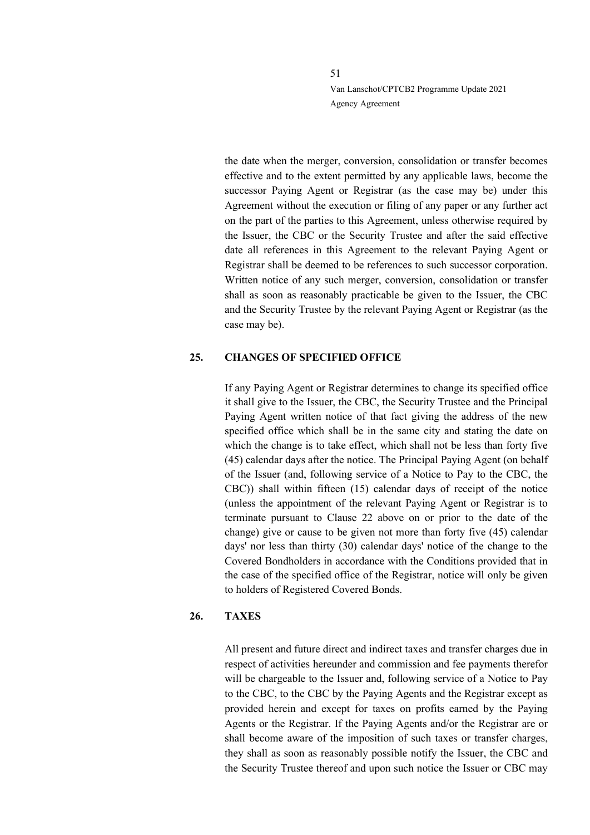the date when the merger, conversion, consolidation or transfer becomes effective and to the extent permitted by any applicable laws, become the successor Paying Agent or Registrar (as the case may be) under this Agreement without the execution or filing of any paper or any further act on the part of the parties to this Agreement, unless otherwise required by the Issuer, the CBC or the Security Trustee and after the said effective date all references in this Agreement to the relevant Paying Agent or Registrar shall be deemed to be references to such successor corporation. Written notice of any such merger, conversion, consolidation or transfer shall as soon as reasonably practicable be given to the Issuer, the CBC and the Security Trustee by the relevant Paying Agent or Registrar (as the case may be).

## <span id="page-50-0"></span>**25. CHANGES OF SPECIFIED OFFICE**

If any Paying Agent or Registrar determines to change its specified office it shall give to the Issuer, the CBC, the Security Trustee and the Principal Paying Agent written notice of that fact giving the address of the new specified office which shall be in the same city and stating the date on which the change is to take effect, which shall not be less than forty five (45) calendar days after the notice. The Principal Paying Agent (on behalf of the Issuer (and, following service of a Notice to Pay to the CBC, the CBC)) shall within fifteen (15) calendar days of receipt of the notice (unless the appointment of the relevant Paying Agent or Registrar is to terminate pursuant to Clause [22](#page-46-0) above on or prior to the date of the change) give or cause to be given not more than forty five (45) calendar days' nor less than thirty (30) calendar days' notice of the change to the Covered Bondholders in accordance with the Conditions provided that in the case of the specified office of the Registrar, notice will only be given to holders of Registered Covered Bonds.

## <span id="page-50-1"></span>**26. TAXES**

All present and future direct and indirect taxes and transfer charges due in respect of activities hereunder and commission and fee payments therefor will be chargeable to the Issuer and, following service of a Notice to Pay to the CBC, to the CBC by the Paying Agents and the Registrar except as provided herein and except for taxes on profits earned by the Paying Agents or the Registrar. If the Paying Agents and/or the Registrar are or shall become aware of the imposition of such taxes or transfer charges, they shall as soon as reasonably possible notify the Issuer, the CBC and the Security Trustee thereof and upon such notice the Issuer or CBC may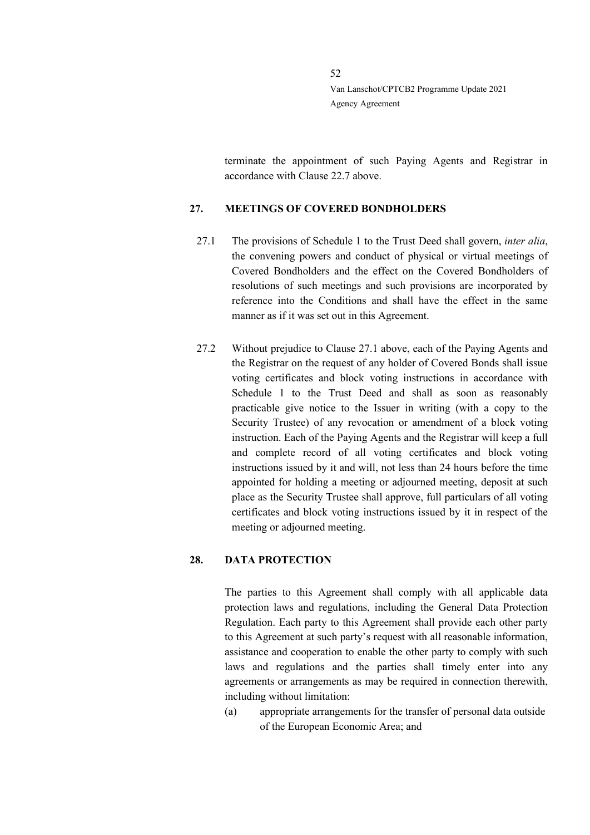terminate the appointment of such Paying Agents and Registrar in accordance with Clause [22.7](#page-48-0) above.

## <span id="page-51-0"></span>**27. MEETINGS OF COVERED BONDHOLDERS**

- <span id="page-51-2"></span>27.1 The provisions of Schedule 1 to the Trust Deed shall govern, *inter alia*, the convening powers and conduct of physical or virtual meetings of Covered Bondholders and the effect on the Covered Bondholders of resolutions of such meetings and such provisions are incorporated by reference into the Conditions and shall have the effect in the same manner as if it was set out in this Agreement.
- 27.2 Without prejudice to Clause [27.1](#page-51-2) above, each of the Paying Agents and the Registrar on the request of any holder of Covered Bonds shall issue voting certificates and block voting instructions in accordance with Schedule 1 to the Trust Deed and shall as soon as reasonably practicable give notice to the Issuer in writing (with a copy to the Security Trustee) of any revocation or amendment of a block voting instruction. Each of the Paying Agents and the Registrar will keep a full and complete record of all voting certificates and block voting instructions issued by it and will, not less than 24 hours before the time appointed for holding a meeting or adjourned meeting, deposit at such place as the Security Trustee shall approve, full particulars of all voting certificates and block voting instructions issued by it in respect of the meeting or adjourned meeting.

# <span id="page-51-1"></span>**28. DATA PROTECTION**

The parties to this Agreement shall comply with all applicable data protection laws and regulations, including the General Data Protection Regulation. Each party to this Agreement shall provide each other party to this Agreement at such party's request with all reasonable information, assistance and cooperation to enable the other party to comply with such laws and regulations and the parties shall timely enter into any agreements or arrangements as may be required in connection therewith, including without limitation:

(a) appropriate arrangements for the transfer of personal data outside of the European Economic Area; and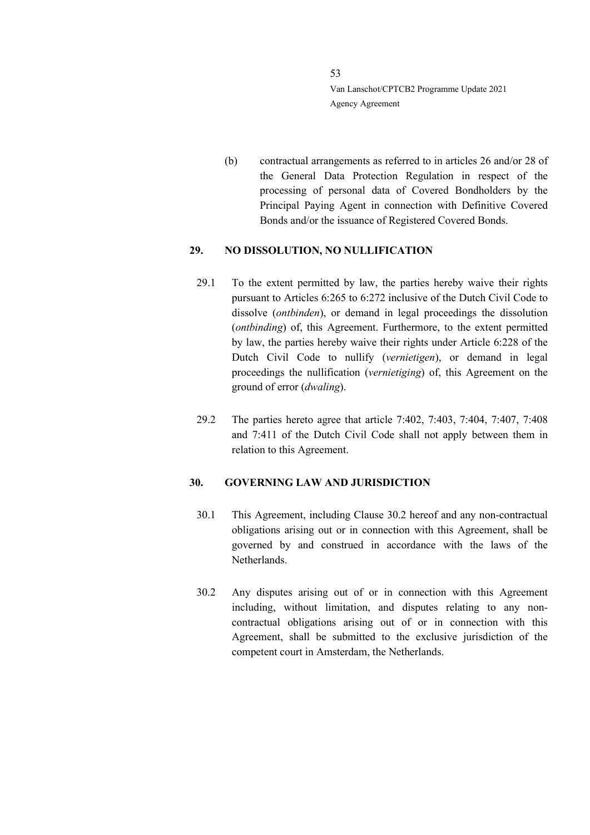(b) contractual arrangements as referred to in articles 26 and/or 28 of the General Data Protection Regulation in respect of the processing of personal data of Covered Bondholders by the Principal Paying Agent in connection with Definitive Covered Bonds and/or the issuance of Registered Covered Bonds.

## <span id="page-52-0"></span>**29. NO DISSOLUTION, NO NULLIFICATION**

- 29.1 To the extent permitted by law, the parties hereby waive their rights pursuant to Articles 6:265 to 6:272 inclusive of the Dutch Civil Code to dissolve (*ontbinden*), or demand in legal proceedings the dissolution (*ontbinding*) of, this Agreement. Furthermore, to the extent permitted by law, the parties hereby waive their rights under Article 6:228 of the Dutch Civil Code to nullify (*vernietigen*), or demand in legal proceedings the nullification (*vernietiging*) of, this Agreement on the ground of error (*dwaling*).
- 29.2 The parties hereto agree that article 7:402, 7:403, 7:404, 7:407, 7:408 and 7:411 of the Dutch Civil Code shall not apply between them in relation to this Agreement.

# <span id="page-52-1"></span>**30. GOVERNING LAW AND JURISDICTION**

- 30.1 This Agreement, including Clause [30.2](#page-52-2) hereof and any non-contractual obligations arising out or in connection with this Agreement, shall be governed by and construed in accordance with the laws of the Netherlands.
- <span id="page-52-2"></span>30.2 Any disputes arising out of or in connection with this Agreement including, without limitation, and disputes relating to any noncontractual obligations arising out of or in connection with this Agreement, shall be submitted to the exclusive jurisdiction of the competent court in Amsterdam, the Netherlands.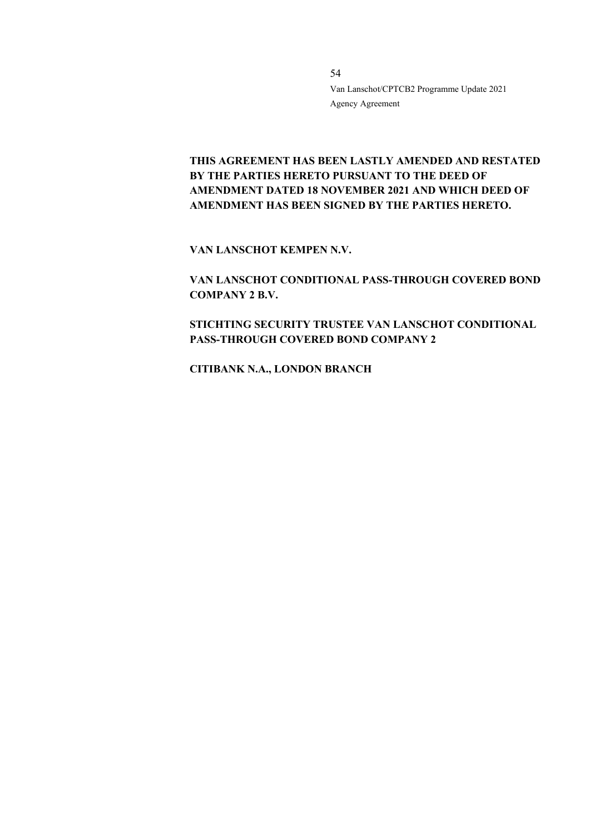# **THIS AGREEMENT HAS BEEN LASTLY AMENDED AND RESTATED BY THE PARTIES HERETO PURSUANT TO THE DEED OF AMENDMENT DATED 18 NOVEMBER 2021 AND WHICH DEED OF AMENDMENT HAS BEEN SIGNED BY THE PARTIES HERETO.**

**VAN LANSCHOT KEMPEN N.V.**

**VAN LANSCHOT CONDITIONAL PASS-THROUGH COVERED BOND COMPANY 2 B.V.**

**STICHTING SECURITY TRUSTEE VAN LANSCHOT CONDITIONAL PASS-THROUGH COVERED BOND COMPANY 2**

**CITIBANK N.A., LONDON BRANCH**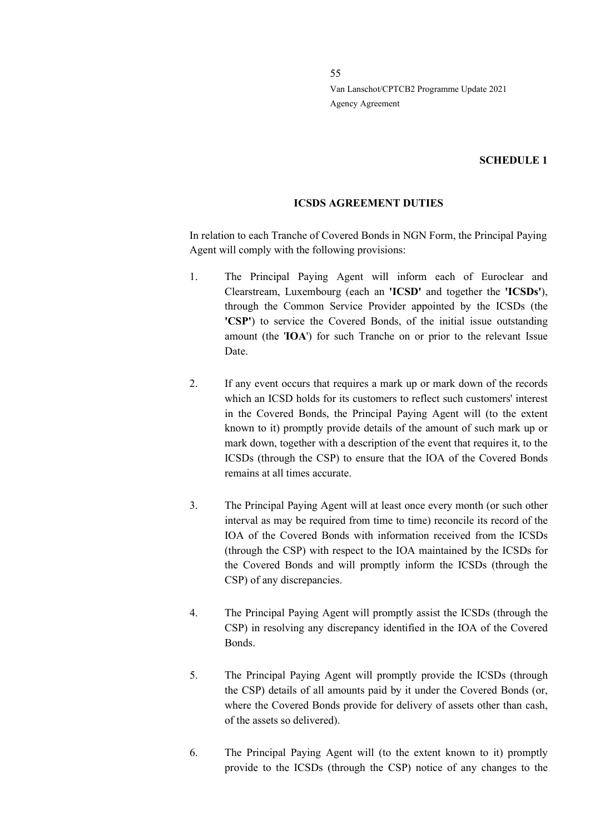## **SCHEDULE 1**

#### **ICSDS AGREEMENT DUTIES**

In relation to each Tranche of Covered Bonds in NGN Form, the Principal Paying Agent will comply with the following provisions:

- 1. The Principal Paying Agent will inform each of Euroclear and Clearstream, Luxembourg (each an **'ICSD'** and together the **'ICSDs'**), through the Common Service Provider appointed by the ICSDs (the **'CSP'**) to service the Covered Bonds, of the initial issue outstanding amount (the '**IOA**') for such Tranche on or prior to the relevant Issue Date.
- 2. If any event occurs that requires a mark up or mark down of the records which an ICSD holds for its customers to reflect such customers' interest in the Covered Bonds, the Principal Paying Agent will (to the extent known to it) promptly provide details of the amount of such mark up or mark down, together with a description of the event that requires it, to the ICSDs (through the CSP) to ensure that the IOA of the Covered Bonds remains at all times accurate.
- 3. The Principal Paying Agent will at least once every month (or such other interval as may be required from time to time) reconcile its record of the IOA of the Covered Bonds with information received from the ICSDs (through the CSP) with respect to the IOA maintained by the ICSDs for the Covered Bonds and will promptly inform the ICSDs (through the CSP) of any discrepancies.
- 4. The Principal Paying Agent will promptly assist the ICSDs (through the CSP) in resolving any discrepancy identified in the IOA of the Covered Bonds.
- 5. The Principal Paying Agent will promptly provide the ICSDs (through the CSP) details of all amounts paid by it under the Covered Bonds (or, where the Covered Bonds provide for delivery of assets other than cash, of the assets so delivered).
- 6. The Principal Paying Agent will (to the extent known to it) promptly provide to the ICSDs (through the CSP) notice of any changes to the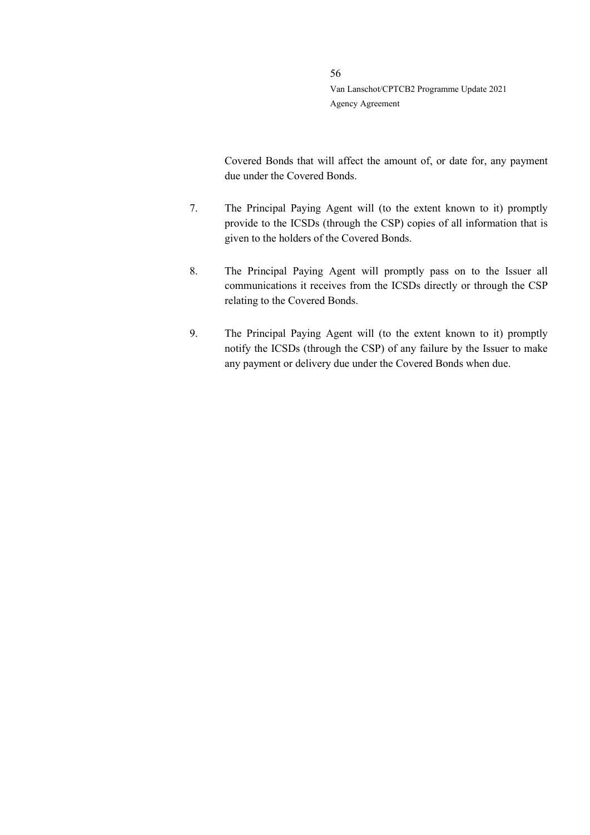Covered Bonds that will affect the amount of, or date for, any payment due under the Covered Bonds.

- 7. The Principal Paying Agent will (to the extent known to it) promptly provide to the ICSDs (through the CSP) copies of all information that is given to the holders of the Covered Bonds.
- 8. The Principal Paying Agent will promptly pass on to the Issuer all communications it receives from the ICSDs directly or through the CSP relating to the Covered Bonds.
- 9. The Principal Paying Agent will (to the extent known to it) promptly notify the ICSDs (through the CSP) of any failure by the Issuer to make any payment or delivery due under the Covered Bonds when due.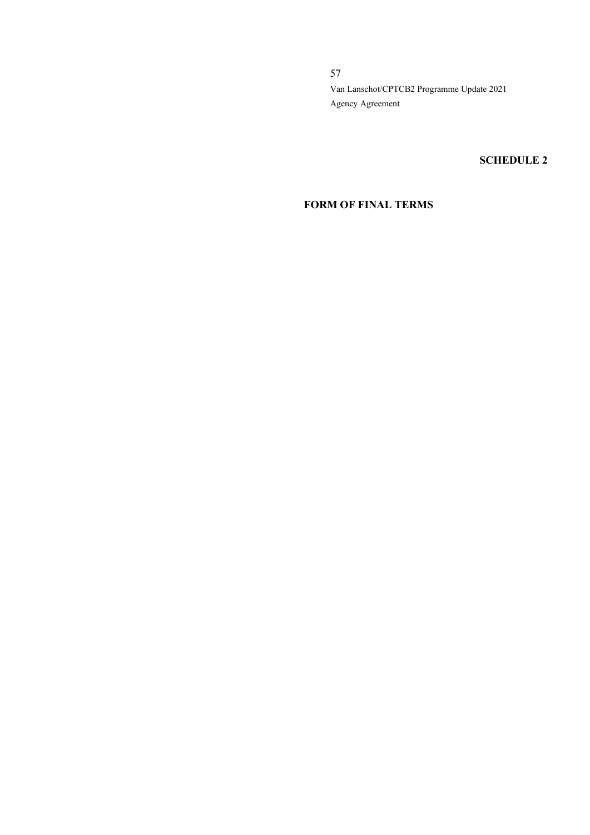# **SCHEDULE 2**

# **FORM OF FINAL TERMS**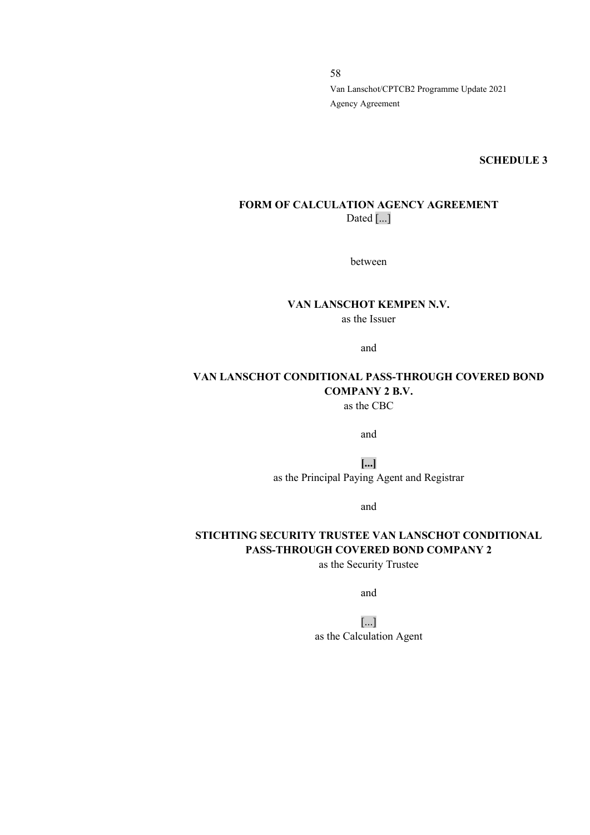**SCHEDULE 3**

# **FORM OF CALCULATION AGENCY AGREEMENT** Dated [...]

between

## **VAN LANSCHOT KEMPEN N.V.** as the Issuer

and

# **VAN LANSCHOT CONDITIONAL PASS-THROUGH COVERED BOND COMPANY 2 B.V.** as the CBC

and

**[...]** as the Principal Paying Agent and Registrar

and

# **STICHTING SECURITY TRUSTEE VAN LANSCHOT CONDITIONAL PASS-THROUGH COVERED BOND COMPANY 2**

as the Security Trustee

and

[...] as the Calculation Agent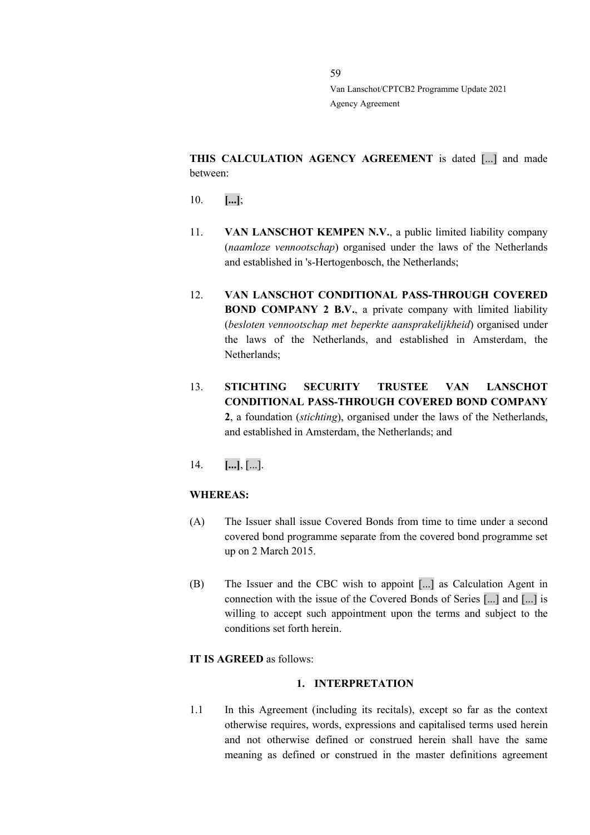**THIS CALCULATION AGENCY AGREEMENT** is dated [...] and made between:

- 10. **[...]**;
- 11. **VAN LANSCHOT KEMPEN N.V.**, a public limited liability company (*naamloze vennootschap*) organised under the laws of the Netherlands and established in 's-Hertogenbosch, the Netherlands;
- 12. **VAN LANSCHOT CONDITIONAL PASS-THROUGH COVERED BOND COMPANY 2 B.V.**, a private company with limited liability (*besloten vennootschap met beperkte aansprakelijkheid*) organised under the laws of the Netherlands, and established in Amsterdam, the Netherlands;
- 13. **STICHTING SECURITY TRUSTEE VAN LANSCHOT CONDITIONAL PASS-THROUGH COVERED BOND COMPANY 2**, a foundation (*stichting*), organised under the laws of the Netherlands, and established in Amsterdam, the Netherlands; and
- 14. **[...]**, [...].

#### **WHEREAS:**

- (A) The Issuer shall issue Covered Bonds from time to time under a second covered bond programme separate from the covered bond programme set up on 2 March 2015.
- (B) The Issuer and the CBC wish to appoint [...] as Calculation Agent in connection with the issue of the Covered Bonds of Series [...] and [...] is willing to accept such appointment upon the terms and subject to the conditions set forth herein.
- **IT IS AGREED** as follows:

## **1. INTERPRETATION**

1.1 In this Agreement (including its recitals), except so far as the context otherwise requires, words, expressions and capitalised terms used herein and not otherwise defined or construed herein shall have the same meaning as defined or construed in the master definitions agreement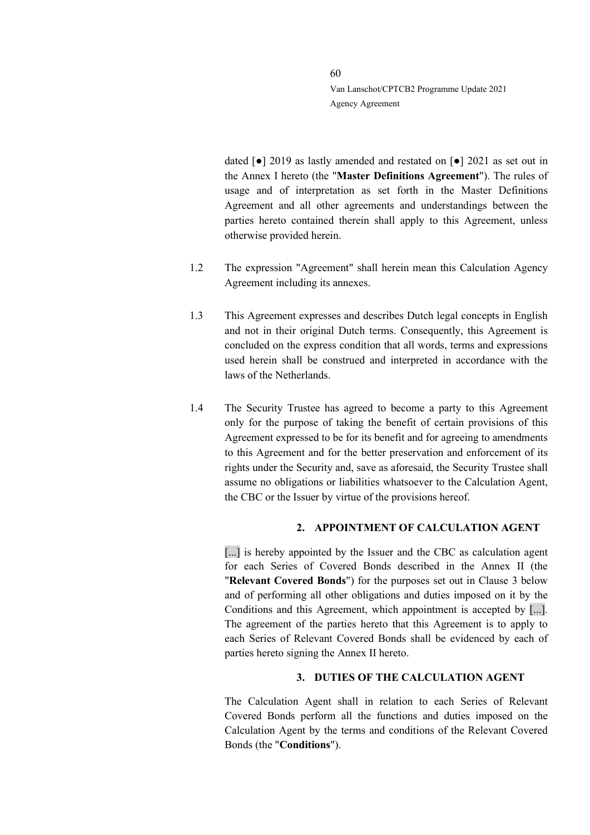dated [●] 2019 as lastly amended and restated on [●] 2021 as set out in the Annex I hereto (the "**Master Definitions Agreement**"). The rules of usage and of interpretation as set forth in the Master Definitions Agreement and all other agreements and understandings between the parties hereto contained therein shall apply to this Agreement, unless otherwise provided herein.

- 1.2 The expression "Agreement" shall herein mean this Calculation Agency Agreement including its annexes.
- 1.3 This Agreement expresses and describes Dutch legal concepts in English and not in their original Dutch terms. Consequently, this Agreement is concluded on the express condition that all words, terms and expressions used herein shall be construed and interpreted in accordance with the laws of the Netherlands.
- 1.4 The Security Trustee has agreed to become a party to this Agreement only for the purpose of taking the benefit of certain provisions of this Agreement expressed to be for its benefit and for agreeing to amendments to this Agreement and for the better preservation and enforcement of its rights under the Security and, save as aforesaid, the Security Trustee shall assume no obligations or liabilities whatsoever to the Calculation Agent, the CBC or the Issuer by virtue of the provisions hereof.

## **2. APPOINTMENT OF CALCULATION AGENT**

[...] is hereby appointed by the Issuer and the CBC as calculation agent for each Series of Covered Bonds described in the Annex II (the "**Relevant Covered Bonds**") for the purposes set out in Clause [3](#page-59-0) below and of performing all other obligations and duties imposed on it by the Conditions and this Agreement, which appointment is accepted by [...]. The agreement of the parties hereto that this Agreement is to apply to each Series of Relevant Covered Bonds shall be evidenced by each of parties hereto signing the Annex II hereto.

## **3. DUTIES OF THE CALCULATION AGENT**

<span id="page-59-0"></span>The Calculation Agent shall in relation to each Series of Relevant Covered Bonds perform all the functions and duties imposed on the Calculation Agent by the terms and conditions of the Relevant Covered Bonds (the "**Conditions**").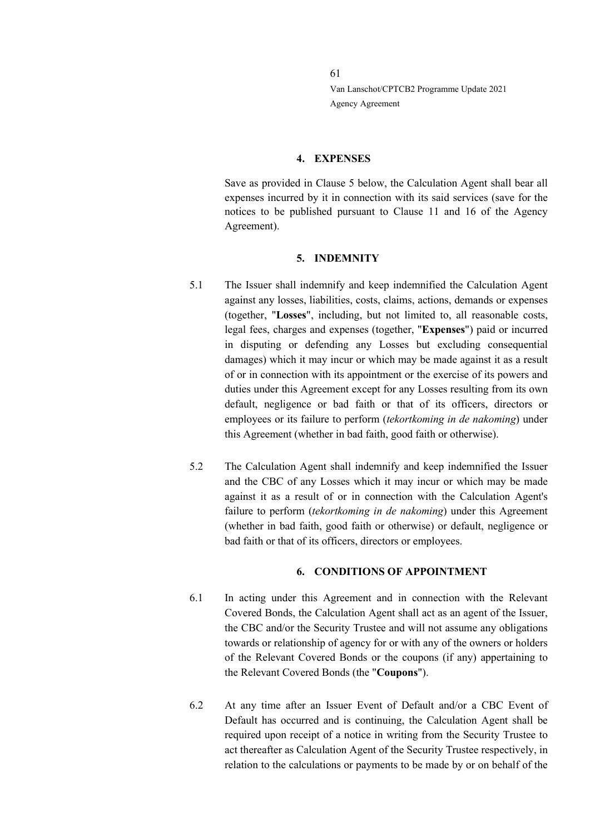#### **4. EXPENSES**

Save as provided in Clause [5](#page-60-0) below, the Calculation Agent shall bear all expenses incurred by it in connection with its said services (save for the notices to be published pursuant to Clause 11 and 16 of the Agency Agreement).

#### **5. INDEMNITY**

- <span id="page-60-0"></span>5.1 The Issuer shall indemnify and keep indemnified the Calculation Agent against any losses, liabilities, costs, claims, actions, demands or expenses (together, "**Losses**", including, but not limited to, all reasonable costs, legal fees, charges and expenses (together, "**Expenses**") paid or incurred in disputing or defending any Losses but excluding consequential damages) which it may incur or which may be made against it as a result of or in connection with its appointment or the exercise of its powers and duties under this Agreement except for any Losses resulting from its own default, negligence or bad faith or that of its officers, directors or employees or its failure to perform (*tekortkoming in de nakoming*) under this Agreement (whether in bad faith, good faith or otherwise).
- 5.2 The Calculation Agent shall indemnify and keep indemnified the Issuer and the CBC of any Losses which it may incur or which may be made against it as a result of or in connection with the Calculation Agent's failure to perform (*tekortkoming in de nakoming*) under this Agreement (whether in bad faith, good faith or otherwise) or default, negligence or bad faith or that of its officers, directors or employees.

#### **6. CONDITIONS OF APPOINTMENT**

- 6.1 In acting under this Agreement and in connection with the Relevant Covered Bonds, the Calculation Agent shall act as an agent of the Issuer, the CBC and/or the Security Trustee and will not assume any obligations towards or relationship of agency for or with any of the owners or holders of the Relevant Covered Bonds or the coupons (if any) appertaining to the Relevant Covered Bonds (the "**Coupons**").
- 6.2 At any time after an Issuer Event of Default and/or a CBC Event of Default has occurred and is continuing, the Calculation Agent shall be required upon receipt of a notice in writing from the Security Trustee to act thereafter as Calculation Agent of the Security Trustee respectively, in relation to the calculations or payments to be made by or on behalf of the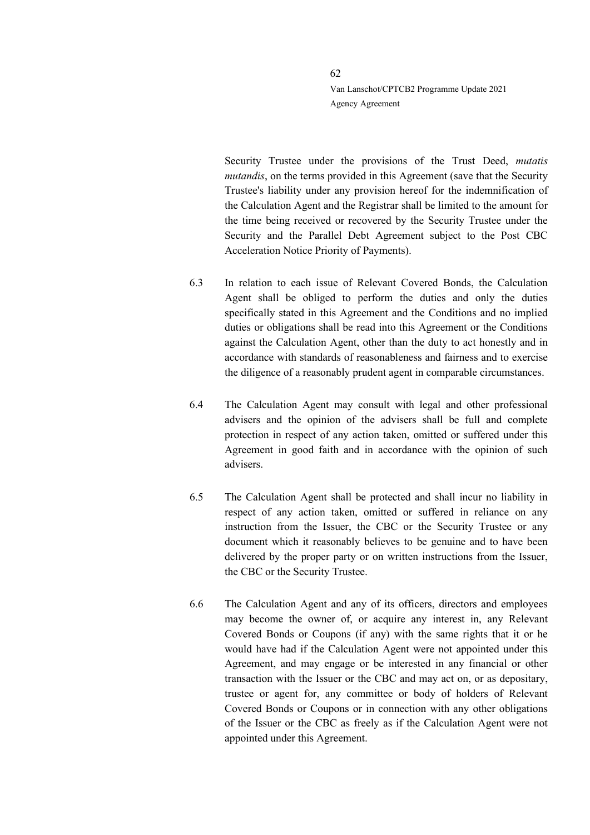Security Trustee under the provisions of the Trust Deed, *mutatis mutandis*, on the terms provided in this Agreement (save that the Security Trustee's liability under any provision hereof for the indemnification of the Calculation Agent and the Registrar shall be limited to the amount for the time being received or recovered by the Security Trustee under the Security and the Parallel Debt Agreement subject to the Post CBC Acceleration Notice Priority of Payments).

- 6.3 In relation to each issue of Relevant Covered Bonds, the Calculation Agent shall be obliged to perform the duties and only the duties specifically stated in this Agreement and the Conditions and no implied duties or obligations shall be read into this Agreement or the Conditions against the Calculation Agent, other than the duty to act honestly and in accordance with standards of reasonableness and fairness and to exercise the diligence of a reasonably prudent agent in comparable circumstances.
- 6.4 The Calculation Agent may consult with legal and other professional advisers and the opinion of the advisers shall be full and complete protection in respect of any action taken, omitted or suffered under this Agreement in good faith and in accordance with the opinion of such advisers.
- 6.5 The Calculation Agent shall be protected and shall incur no liability in respect of any action taken, omitted or suffered in reliance on any instruction from the Issuer, the CBC or the Security Trustee or any document which it reasonably believes to be genuine and to have been delivered by the proper party or on written instructions from the Issuer, the CBC or the Security Trustee.
- 6.6 The Calculation Agent and any of its officers, directors and employees may become the owner of, or acquire any interest in, any Relevant Covered Bonds or Coupons (if any) with the same rights that it or he would have had if the Calculation Agent were not appointed under this Agreement, and may engage or be interested in any financial or other transaction with the Issuer or the CBC and may act on, or as depositary, trustee or agent for, any committee or body of holders of Relevant Covered Bonds or Coupons or in connection with any other obligations of the Issuer or the CBC as freely as if the Calculation Agent were not appointed under this Agreement.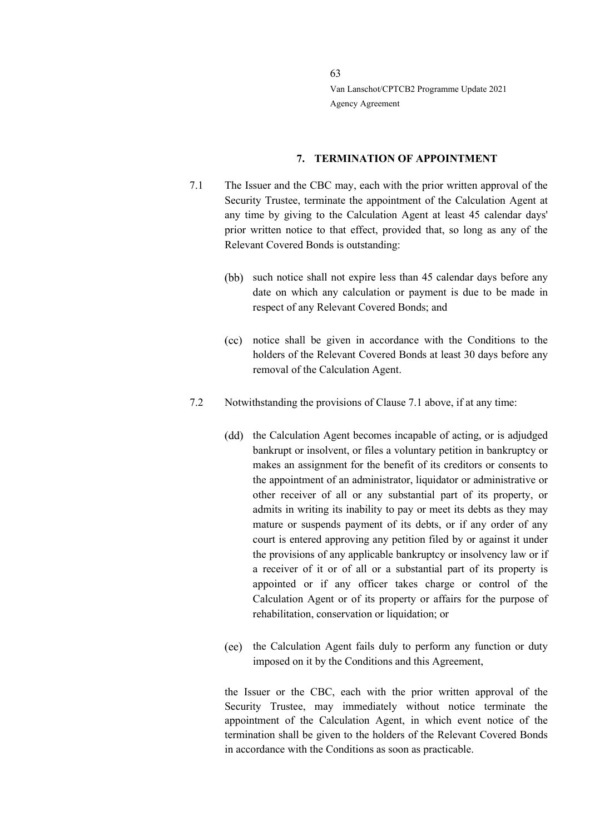#### **7. TERMINATION OF APPOINTMENT**

- 7.1 The Issuer and the CBC may, each with the prior written approval of the Security Trustee, terminate the appointment of the Calculation Agent at any time by giving to the Calculation Agent at least 45 calendar days' prior written notice to that effect, provided that, so long as any of the Relevant Covered Bonds is outstanding:
	- (bb) such notice shall not expire less than 45 calendar days before any date on which any calculation or payment is due to be made in respect of any Relevant Covered Bonds; and
	- notice shall be given in accordance with the Conditions to the holders of the Relevant Covered Bonds at least 30 days before any removal of the Calculation Agent.
- 7.2 Notwithstanding the provisions of Clause 7.1 above, if at any time:
	- (dd) the Calculation Agent becomes incapable of acting, or is adjudged bankrupt or insolvent, or files a voluntary petition in bankruptcy or makes an assignment for the benefit of its creditors or consents to the appointment of an administrator, liquidator or administrative or other receiver of all or any substantial part of its property, or admits in writing its inability to pay or meet its debts as they may mature or suspends payment of its debts, or if any order of any court is entered approving any petition filed by or against it under the provisions of any applicable bankruptcy or insolvency law or if a receiver of it or of all or a substantial part of its property is appointed or if any officer takes charge or control of the Calculation Agent or of its property or affairs for the purpose of rehabilitation, conservation or liquidation; or
	- (ee) the Calculation Agent fails duly to perform any function or duty imposed on it by the Conditions and this Agreement,

the Issuer or the CBC, each with the prior written approval of the Security Trustee, may immediately without notice terminate the appointment of the Calculation Agent, in which event notice of the termination shall be given to the holders of the Relevant Covered Bonds in accordance with the Conditions as soon as practicable.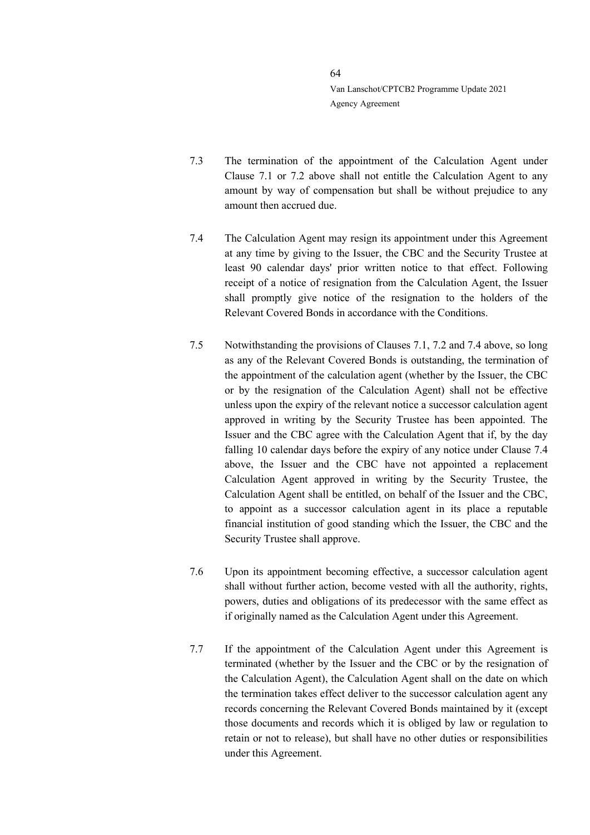- 7.3 The termination of the appointment of the Calculation Agent under Clause 7.1 or 7.2 above shall not entitle the Calculation Agent to any amount by way of compensation but shall be without prejudice to any amount then accrued due.
- 7.4 The Calculation Agent may resign its appointment under this Agreement at any time by giving to the Issuer, the CBC and the Security Trustee at least 90 calendar days' prior written notice to that effect. Following receipt of a notice of resignation from the Calculation Agent, the Issuer shall promptly give notice of the resignation to the holders of the Relevant Covered Bonds in accordance with the Conditions.
- 7.5 Notwithstanding the provisions of Clauses 7.1, 7.2 and 7.4 above, so long as any of the Relevant Covered Bonds is outstanding, the termination of the appointment of the calculation agent (whether by the Issuer, the CBC or by the resignation of the Calculation Agent) shall not be effective unless upon the expiry of the relevant notice a successor calculation agent approved in writing by the Security Trustee has been appointed. The Issuer and the CBC agree with the Calculation Agent that if, by the day falling 10 calendar days before the expiry of any notice under Clause 7.4 above, the Issuer and the CBC have not appointed a replacement Calculation Agent approved in writing by the Security Trustee, the Calculation Agent shall be entitled, on behalf of the Issuer and the CBC, to appoint as a successor calculation agent in its place a reputable financial institution of good standing which the Issuer, the CBC and the Security Trustee shall approve.
- 7.6 Upon its appointment becoming effective, a successor calculation agent shall without further action, become vested with all the authority, rights, powers, duties and obligations of its predecessor with the same effect as if originally named as the Calculation Agent under this Agreement.
- 7.7 If the appointment of the Calculation Agent under this Agreement is terminated (whether by the Issuer and the CBC or by the resignation of the Calculation Agent), the Calculation Agent shall on the date on which the termination takes effect deliver to the successor calculation agent any records concerning the Relevant Covered Bonds maintained by it (except those documents and records which it is obliged by law or regulation to retain or not to release), but shall have no other duties or responsibilities under this Agreement.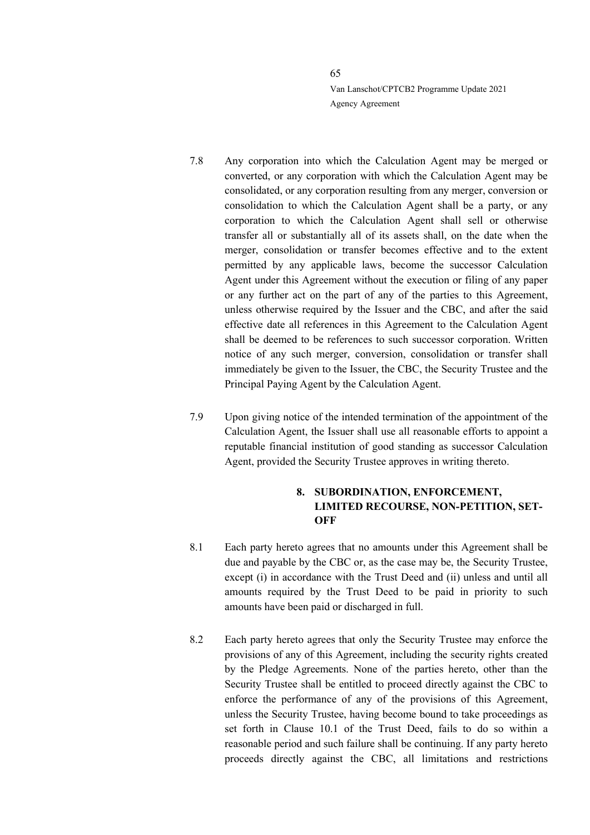- 7.8 Any corporation into which the Calculation Agent may be merged or converted, or any corporation with which the Calculation Agent may be consolidated, or any corporation resulting from any merger, conversion or consolidation to which the Calculation Agent shall be a party, or any corporation to which the Calculation Agent shall sell or otherwise transfer all or substantially all of its assets shall, on the date when the merger, consolidation or transfer becomes effective and to the extent permitted by any applicable laws, become the successor Calculation Agent under this Agreement without the execution or filing of any paper or any further act on the part of any of the parties to this Agreement, unless otherwise required by the Issuer and the CBC, and after the said effective date all references in this Agreement to the Calculation Agent shall be deemed to be references to such successor corporation. Written notice of any such merger, conversion, consolidation or transfer shall immediately be given to the Issuer, the CBC, the Security Trustee and the Principal Paying Agent by the Calculation Agent.
- 7.9 Upon giving notice of the intended termination of the appointment of the Calculation Agent, the Issuer shall use all reasonable efforts to appoint a reputable financial institution of good standing as successor Calculation Agent, provided the Security Trustee approves in writing thereto.

# **8. SUBORDINATION, ENFORCEMENT, LIMITED RECOURSE, NON-PETITION, SET-OFF**

- 8.1 Each party hereto agrees that no amounts under this Agreement shall be due and payable by the CBC or, as the case may be, the Security Trustee, except (i) in accordance with the Trust Deed and (ii) unless and until all amounts required by the Trust Deed to be paid in priority to such amounts have been paid or discharged in full.
- 8.2 Each party hereto agrees that only the Security Trustee may enforce the provisions of any of this Agreement, including the security rights created by the Pledge Agreements. None of the parties hereto, other than the Security Trustee shall be entitled to proceed directly against the CBC to enforce the performance of any of the provisions of this Agreement, unless the Security Trustee, having become bound to take proceedings as set forth in Clause 10.1 of the Trust Deed, fails to do so within a reasonable period and such failure shall be continuing. If any party hereto proceeds directly against the CBC, all limitations and restrictions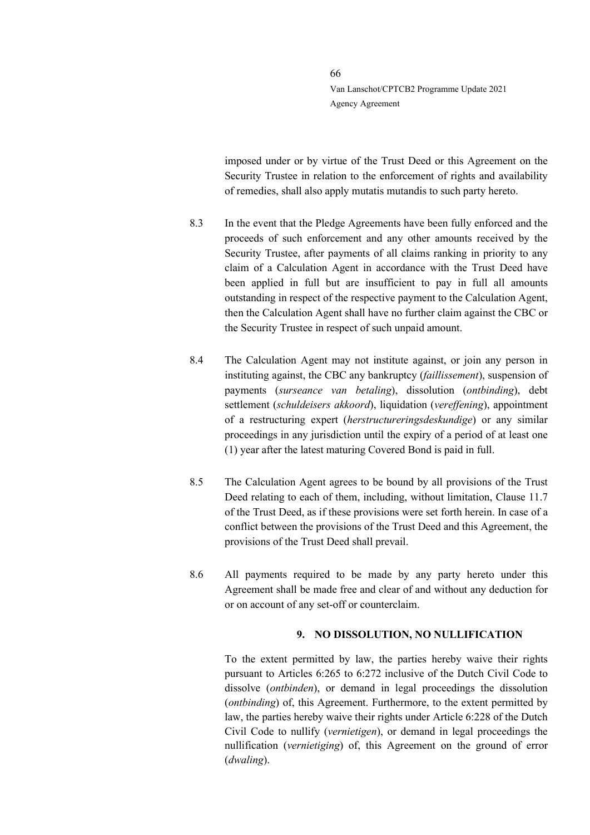imposed under or by virtue of the Trust Deed or this Agreement on the Security Trustee in relation to the enforcement of rights and availability of remedies, shall also apply mutatis mutandis to such party hereto.

- 8.3 In the event that the Pledge Agreements have been fully enforced and the proceeds of such enforcement and any other amounts received by the Security Trustee, after payments of all claims ranking in priority to any claim of a Calculation Agent in accordance with the Trust Deed have been applied in full but are insufficient to pay in full all amounts outstanding in respect of the respective payment to the Calculation Agent, then the Calculation Agent shall have no further claim against the CBC or the Security Trustee in respect of such unpaid amount.
- 8.4 The Calculation Agent may not institute against, or join any person in instituting against, the CBC any bankruptcy (*faillissement*), suspension of payments (*surseance van betaling*), dissolution (*ontbinding*), debt settlement (*schuldeisers akkoord*), liquidation (*vereffening*), appointment of a restructuring expert (*herstructureringsdeskundige*) or any similar proceedings in any jurisdiction until the expiry of a period of at least one (1) year after the latest maturing Covered Bond is paid in full.
- 8.5 The Calculation Agent agrees to be bound by all provisions of the Trust Deed relating to each of them, including, without limitation, Clause 11.7 of the Trust Deed, as if these provisions were set forth herein. In case of a conflict between the provisions of the Trust Deed and this Agreement, the provisions of the Trust Deed shall prevail.
- 8.6 All payments required to be made by any party hereto under this Agreement shall be made free and clear of and without any deduction for or on account of any set-off or counterclaim.

#### **9. NO DISSOLUTION, NO NULLIFICATION**

To the extent permitted by law, the parties hereby waive their rights pursuant to Articles 6:265 to 6:272 inclusive of the Dutch Civil Code to dissolve (*ontbinden*), or demand in legal proceedings the dissolution (*ontbinding*) of, this Agreement. Furthermore, to the extent permitted by law, the parties hereby waive their rights under Article 6:228 of the Dutch Civil Code to nullify (*vernietigen*), or demand in legal proceedings the nullification (*vernietiging*) of, this Agreement on the ground of error (*dwaling*).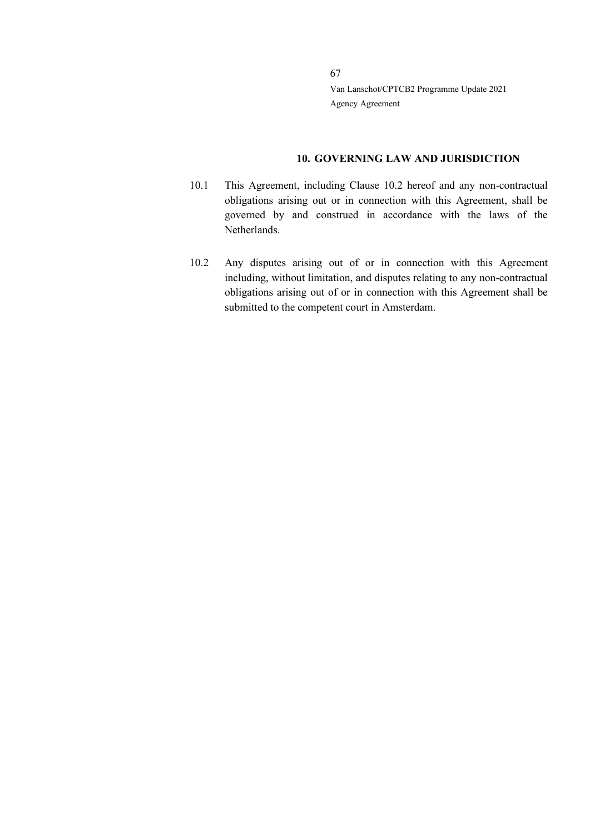## **10. GOVERNING LAW AND JURISDICTION**

- 10.1 This Agreement, including Clause 10.2 hereof and any non-contractual obligations arising out or in connection with this Agreement, shall be governed by and construed in accordance with the laws of the Netherlands.
- 10.2 Any disputes arising out of or in connection with this Agreement including, without limitation, and disputes relating to any non-contractual obligations arising out of or in connection with this Agreement shall be submitted to the competent court in Amsterdam.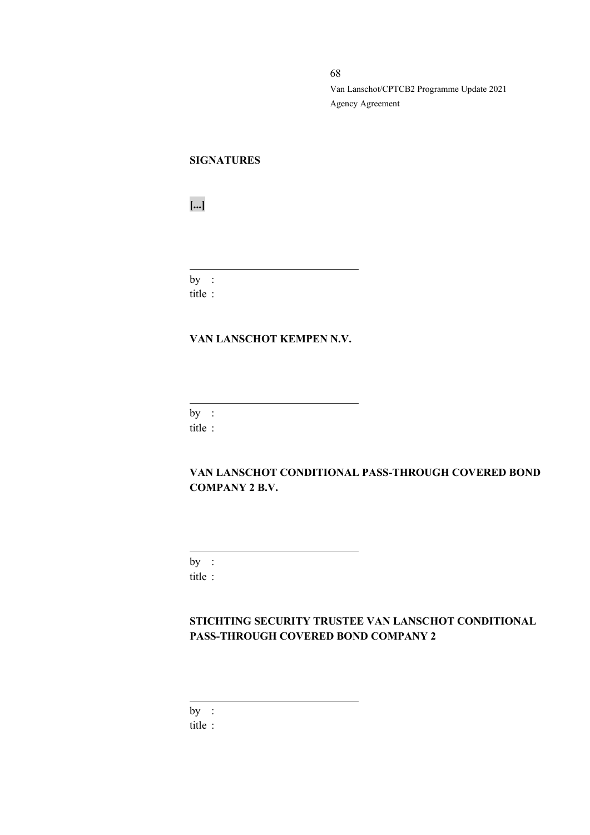# **SIGNATURES**

**[...]**

 $by:$ title :

## **VAN LANSCHOT KEMPEN N.V.**

 $by :$ 

title :

# **VAN LANSCHOT CONDITIONAL PASS-THROUGH COVERED BOND COMPANY 2 B.V.**

by : title :

# **STICHTING SECURITY TRUSTEE VAN LANSCHOT CONDITIONAL PASS-THROUGH COVERED BOND COMPANY 2**

by :

title :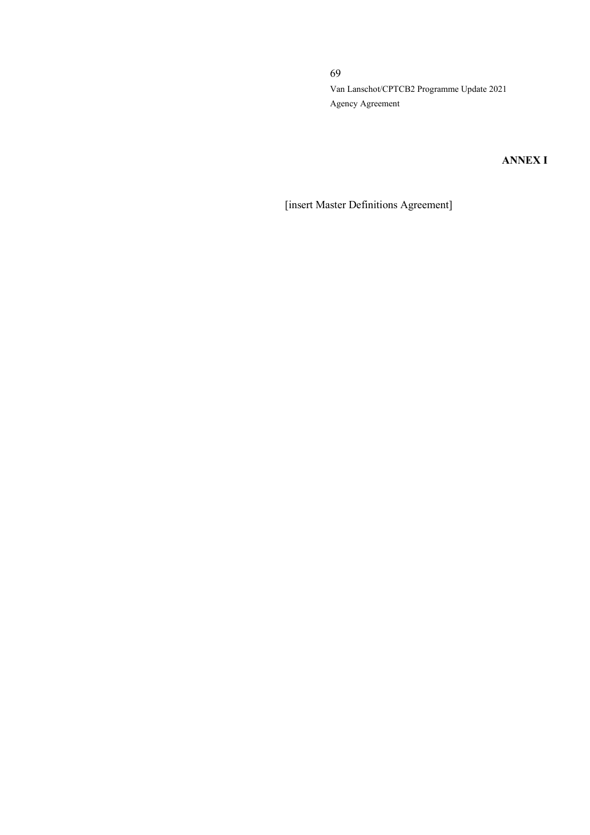# **ANNEX I**

[insert Master Definitions Agreement]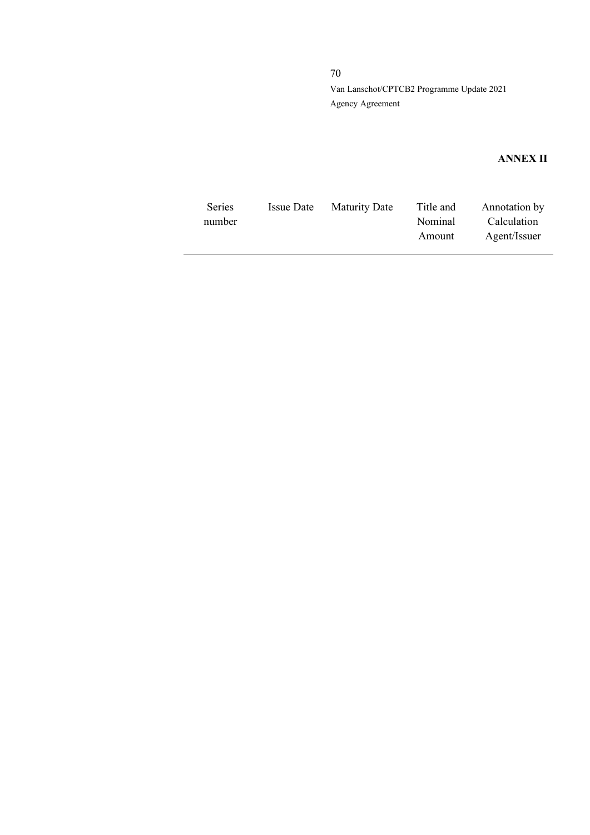# **ANNEX II**

| <b>Series</b> | Issue Date | <b>Maturity Date</b> | Title and | Annotation by |
|---------------|------------|----------------------|-----------|---------------|
| number        |            |                      | Nominal   | Calculation   |
|               |            |                      | Amount    | Agent/Issuer  |